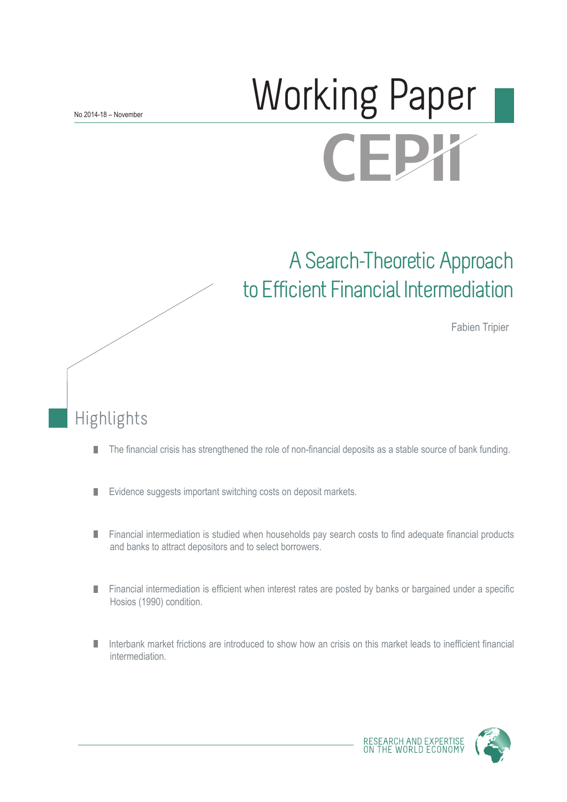# Working Paper FPX

## A Search-Theoretic Approach to Efficient Financial Intermediation

Fabien Tripier

## Highlights

- The financial crisis has strengthened the role of non-financial deposits as a stable source of bank funding. П
- Evidence suggests important switching costs on deposit markets. П
- **Financial intermediation is studied when households pay search costs to find adequate financial products** and banks to attract depositors and to select borrowers.
- **Financial intermediation is efficient when interest rates are posted by banks or bargained under a specific** Hosios (1990) condition.
- Interbank market frictions are introduced to show how an crisis on this market leads to inefficient financial intermediation.

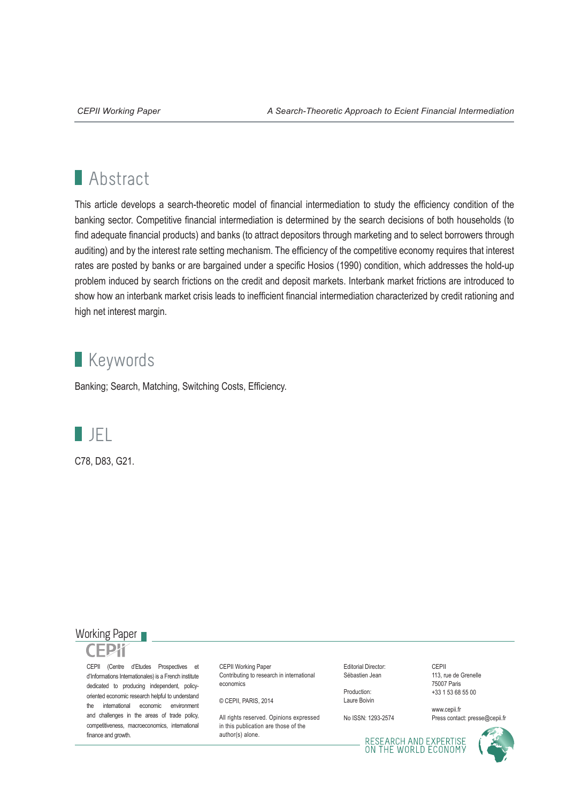## **Abstract**

This article develops a search-theoretic model of financial intermediation to study the efficiency condition of the banking sector. Competitive financial intermediation is determined by the search decisions of both households (to find adequate financial products) and banks (to attract depositors through marketing and to select borrowers through auditing) and by the interest rate setting mechanism. The efficiency of the competitive economy requires that interest rates are posted by banks or are bargained under a specific Hosios (1990) condition, which addresses the hold-up problem induced by search frictions on the credit and deposit markets. Interbank market frictions are introduced to show how an interbank market crisis leads to inefficient financial intermediation characterized by credit rationing and high net interest margin.

## **Keywords**

Banking; Search, Matching, Switching Costs, Efficiency.



C78, D83, G21.

#### Working Paper

CEPII (Centre d'Etudes Prospectives et d'Informations Internationales) is a French institute dedicated to producing independent, policyoriented economic research helpful to understand the international economic environment and challenges in the areas of trade policy, competitiveness, macroeconomics, international finance and growth.

CEPII Working Paper Contributing to research in international economics

© CEPII, PARIS, 2014

All rights reserved. Opinions expressed in this publication are those of the author(s) alone.

Editorial Director: Sébastien Jean

Production: Laure Boivin

No ISSN: 1293-2574

CEPII 113, rue de Grenelle 75007 Paris +33 1 53 68 55 00

www.cepii.fr Press contact: presse@cepii.fr

RESEARCH AND EXPERTISE<br>ON THE WORLD ECONOMY

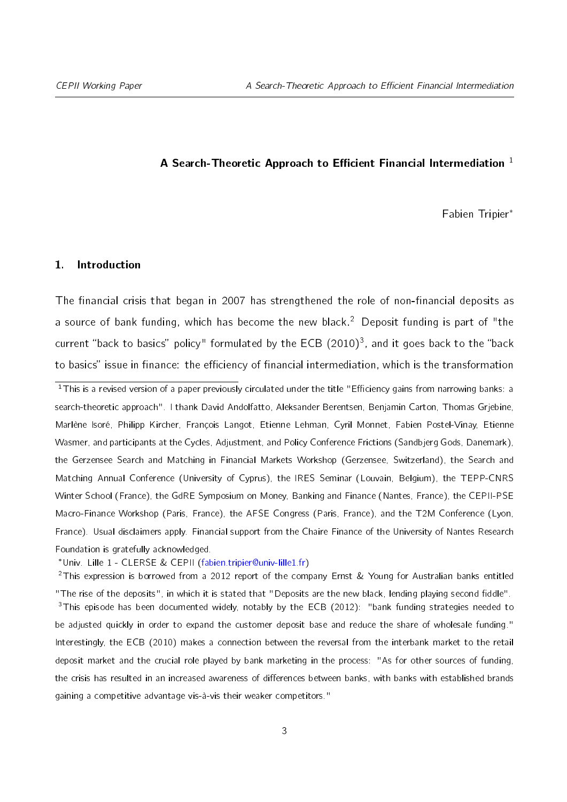#### A Search-Theoretic Approach to Efficient Financial Intermediation  $1$

Fabien Tripier

#### <span id="page-2-4"></span>1. Introduction

The financial crisis that began in 2007 has strengthened the role of non-financial deposits as a source of bank funding, which has become the new black.<sup>[2](#page-2-2)</sup> Deposit funding is part of "the current "back to basics" policy" formulated by the ECB  $(2010)^3$  $(2010)^3$ , and it goes back to the "back to basics" issue in finance: the efficiency of financial intermediation, which is the transformation

<span id="page-2-0"></span> $1$ This is a revised version of a paper previously circulated under the title "Efficiency gains from narrowing banks: a search-theoretic approach". I thank David Andolfatto, Aleksander Berentsen, Benjamin Carton, Thomas Grjebine, Marlène Isoré, Philipp Kircher, François Langot, Etienne Lehman, Cyril Monnet, Fabien Postel-Vinay, Etienne Wasmer, and participants at the Cycles, Adjustment, and Policy Conference Frictions (Sandbjerg Gods, Danemark), the Gerzensee Search and Matching in Financial Markets Workshop (Gerzensee, Switzerland), the Search and Matching Annual Conference (University of Cyprus), the IRES Seminar (Louvain, Belgium), the TEPP-CNRS Winter School (France), the GdRE Symposium on Money, Banking and Finance (Nantes, France), the CEPII-PSE Macro-Finance Workshop (Paris, France), the AFSE Congress (Paris, France), and the T2M Conference (Lyon, France). Usual disclaimers apply. Financial support from the Chaire Finance of the University of Nantes Research Foundation is gratefully acknowledged.

<span id="page-2-2"></span><span id="page-2-1"></span>Univ. Lille 1 - CLERSE & CEPII [\(fabien.tripier@univ-lille1.fr\)](mailto:fabien.tripier@univ-lille1.fr)

<span id="page-2-3"></span><sup>2</sup>This expression is borrowed from a 2012 report of the company Ernst & Young for Australian banks entitled "The rise of the deposits", in which it is stated that "Deposits are the new black, lending playing second fiddle". <sup>3</sup>This episode has been documented widely, notably by the ECB (2012): "bank funding strategies needed to be adjusted quickly in order to expand the customer deposit base and reduce the share of wholesale funding." Interestingly, the ECB (2010) makes a connection between the reversal from the interbank market to the retail deposit market and the crucial role played by bank marketing in the process: "As for other sources of funding, the crisis has resulted in an increased awareness of differences between banks, with banks with established brands gaining a competitive advantage vis-à-vis their weaker competitors."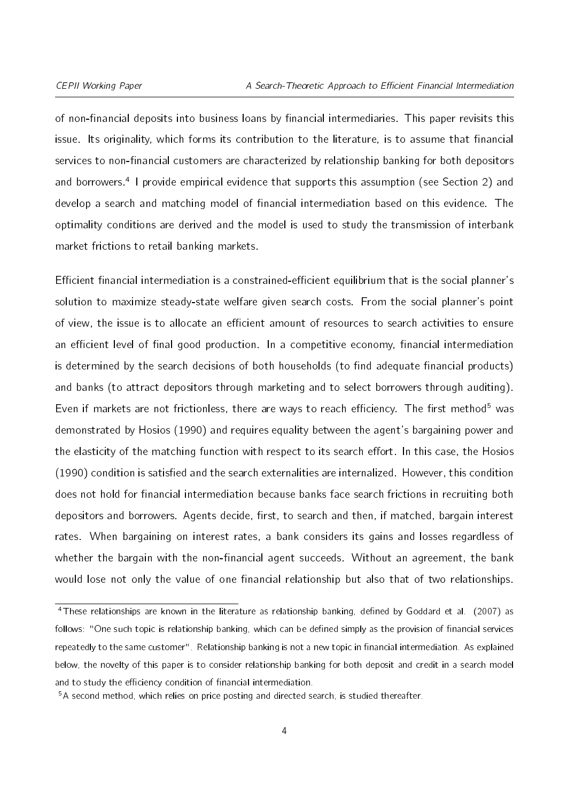of non-financial deposits into business loans by financial intermediaries. This paper revisits this issue. Its originality, which forms its contribution to the literature, is to assume that financial services to non-financial customers are characterized by relationship banking for both depositors and borrowers.<sup>[4](#page-3-0)</sup> I provide empirical evidence that supports this assumption (see Section [2\)](#page-5-0) and develop a search and matching model of financial intermediation based on this evidence. The optimality conditions are derived and the model is used to study the transmission of interbank market frictions to retail banking markets.

Efficient financial intermediation is a constrained-efficient equilibrium that is the social planner's solution to maximize steady-state welfare given search costs. From the social planner's point of view, the issue is to allocate an efficient amount of resources to search activities to ensure an efficient level of final good production. In a competitive economy, financial intermediation is determined by the search decisions of both households (to find adequate financial products) and banks (to attract depositors through marketing and to select borrowers through auditing). Even if markets are not frictionless, there are ways to reach efficiency. The first method<sup>[5](#page-3-1)</sup> was demonstrated by Hosios (1990) and requires equality between the agent's bargaining power and the elasticity of the matching function with respect to its search effort. In this case, the Hosios (1990) condition is satisfied and the search externalities are internalized. However, this condition does not hold for financial intermediation because banks face search frictions in recruiting both depositors and borrowers. Agents decide, first, to search and then, if matched, bargain interest rates. When bargaining on interest rates, a bank considers its gains and losses regardless of whether the bargain with the non-financial agent succeeds. Without an agreement, the bank would lose not only the value of one financial relationship but also that of two relationships.

<span id="page-3-0"></span> $4$ These relationships are known in the literature as relationship banking, defined by Goddard et al. (2007) as follows: "One such topic is relationship banking, which can be defined simply as the provision of financial services repeatedly to the same customer". Relationship banking is not a new topic in financial intermediation. As explained below, the novelty of this paper is to consider relationship banking for both deposit and credit in a search model and to study the efficiency condition of financial intermediation.

<span id="page-3-1"></span><sup>5</sup>A second method, which relies on price posting and directed search, is studied thereafter.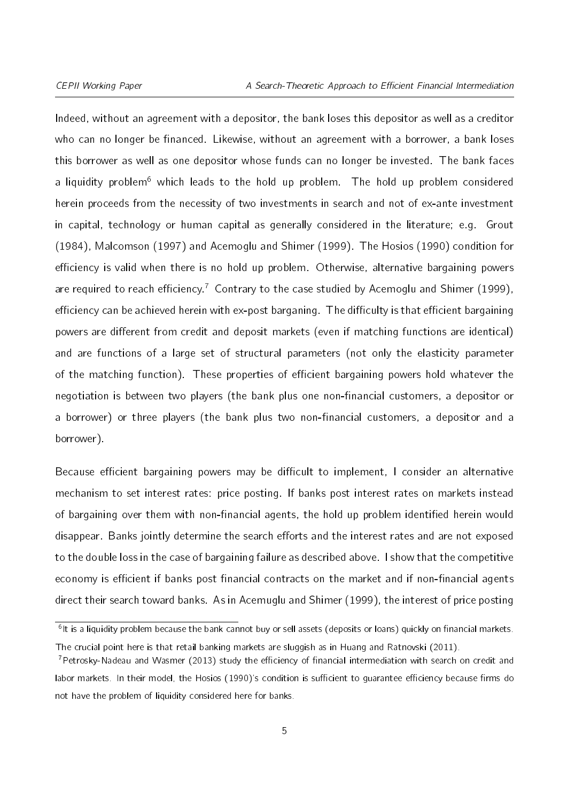Indeed, without an agreement with a depositor, the bank loses this depositor as well as a creditor who can no longer be financed. Likewise, without an agreement with a borrower, a bank loses this borrower as well as one depositor whose funds can no longer be invested. The bank faces a liquidity problem<sup>[6](#page-4-0)</sup> which leads to the hold up problem. The hold up problem considered herein proceeds from the necessity of two investments in search and not of ex-ante investment in capital, technology or human capital as generally considered in the literature; e.g. Grout (1984), Malcomson (1997) and Acemoglu and Shimer (1999). The Hosios (1990) condition for efficiency is valid when there is no hold up problem. Otherwise, alternative bargaining powers are required to reach efficiency.<sup>[7](#page-4-1)</sup> Contrary to the case studied by Acemoglu and Shimer (1999), efficiency can be achieved herein with ex-post barganing. The difficulty is that efficient bargaining powers are different from credit and deposit markets (even if matching functions are identical) and are functions of a large set of structural parameters (not only the elasticity parameter of the matching function). These properties of efficient bargaining powers hold whatever the negotiation is between two players (the bank plus one non-financial customers, a depositor or a borrower) or three players (the bank plus two non-financial customers, a depositor and a borrower).

Because efficient bargaining powers may be difficult to implement, I consider an alternative mechanism to set interest rates: price posting. If banks post interest rates on markets instead of bargaining over them with non-financial agents, the hold up problem identified herein would disappear. Banks jointly determine the search efforts and the interest rates and are not exposed to the double loss in the case of bargaining failure as described above. I show that the competitive economy is efficient if banks post financial contracts on the market and if non-financial agents direct their search toward banks. As in Acemuglu and Shimer (1999), the interest of price posting

<span id="page-4-0"></span><sup>&</sup>lt;sup>6</sup>lt is a liquidity problem because the bank cannot buy or sell assets (deposits or loans) quickly on financial markets. The crucial point here is that retail banking markets are sluggish as in Huang and Ratnovski (2011).

<span id="page-4-1"></span><sup>&</sup>lt;sup>7</sup>Petrosky-Nadeau and Wasmer (2013) study the efficiency of financial intermediation with search on credit and labor markets. In their model, the Hosios (1990)'s condition is sufficient to guarantee efficiency because firms do not have the problem of liquidity considered here for banks.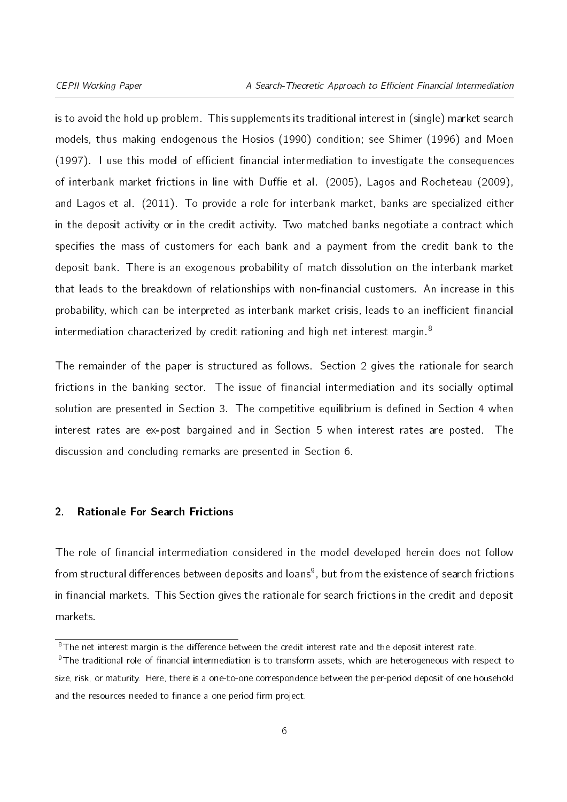is to avoid the hold up problem. This supplements its traditional interest in (single) market search models, thus making endogenous the Hosios (1990) condition; see Shimer (1996) and Moen  $(1997)$ . I use this model of efficient financial intermediation to investigate the consequences of interbank market frictions in line with Duffie et al. (2005), Lagos and Rocheteau (2009), and Lagos et al. (2011). To provide a role for interbank market, banks are specialized either in the deposit activity or in the credit activity. Two matched banks negotiate a contract which specifies the mass of customers for each bank and a payment from the credit bank to the deposit bank. There is an exogenous probability of match dissolution on the interbank market that leads to the breakdown of relationships with non-financial customers. An increase in this probability, which can be interpreted as interbank market crisis, leads to an inefficient financial intermediation characterized by credit rationing and high net interest margin.<sup>[8](#page-5-1)</sup>

The remainder of the paper is structured as follows. Section [2](#page-5-0) gives the rationale for search frictions in the banking sector. The issue of financial intermediation and its socially optimal solution are presented in Section [3.](#page-9-0) The competitive equilibrium is defined in Section [4](#page-13-0) when interest rates are ex-post bargained and in Section [5](#page-22-0) when interest rates are posted. The discussion and concluding remarks are presented in Section [6.](#page-29-0)

#### <span id="page-5-0"></span>2. Rationale For Search Frictions

The role of financial intermediation considered in the model developed herein does not follow from structural differences between deposits and loans<sup>[9](#page-5-2)</sup>, but from the existence of search frictions in financial markets. This Section gives the rationale for search frictions in the credit and deposit markets.

<span id="page-5-2"></span><span id="page-5-1"></span><sup>&</sup>lt;sup>8</sup>The net interest margin is the difference between the credit interest rate and the deposit interest rate.

<sup>&</sup>lt;sup>9</sup>The traditional role of financial intermediation is to transform assets, which are heterogeneous with respect to size, risk, or maturity. Here, there is a one-to-one correspondence between the per-period deposit of one household and the resources needed to finance a one period firm project.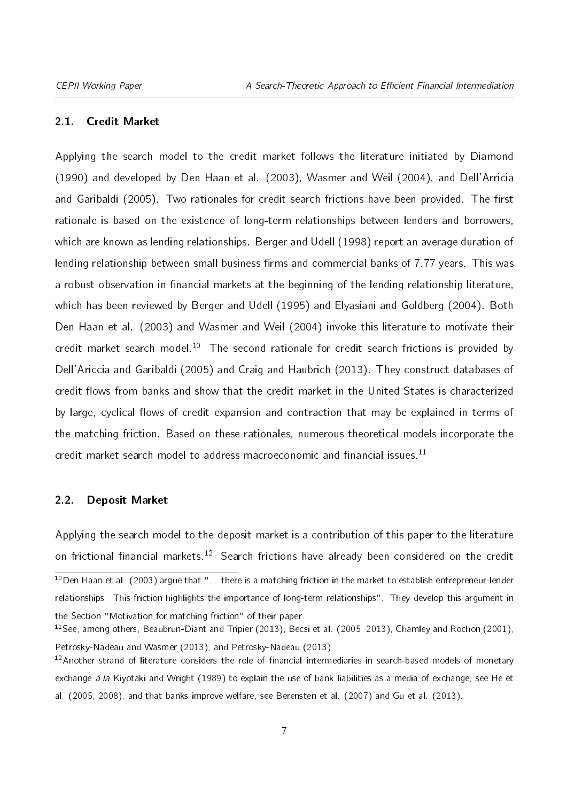#### 2.1. Credit Market

Applying the search model to the credit market follows the literature initiated by Diamond (1990) and developed by Den Haan et al. (2003), Wasmer and Weil (2004), and Dell'Arricia and Garibaldi (2005). Two rationales for credit search frictions have been provided. The first rationale is based on the existence of long-term relationships between lenders and borrowers, which are known as lending relationships. Berger and Udell (1998) report an average duration of lending relationship between small business firms and commercial banks of 7.77 years. This was a robust observation in financial markets at the beginning of the lending relationship literature, which has been reviewed by Berger and Udell (1995) and Elyasiani and Goldberg (2004). Both Den Haan et al. (2003) and Wasmer and Weil (2004) invoke this literature to motivate their credit market search model.<sup>[10](#page-6-0)</sup> The second rationale for credit search frictions is provided by Dell'Ariccia and Garibaldi (2005) and Craig and Haubrich (2013). They construct databases of credit flows from banks and show that the credit market in the United States is characterized by large, cyclical flows of credit expansion and contraction that may be explained in terms of the matching friction. Based on these rationales, numerous theoretical models incorporate the credit market search model to address macroeconomic and financial issues.<sup>[11](#page-6-1)</sup>

#### 2.2. Deposit Market

<span id="page-6-0"></span>Applying the search model to the deposit market is a contribution of this paper to the literature on frictional financial markets.<sup>[12](#page-6-2)</sup> Search frictions have already been considered on the credit  $\frac{10}{10}$ Den Haan et al. (2003) argue that "... there is a matching friction in the market to establish entrepreneur-lender relationships. This friction highlights the importance of long-term relationships". They develop this argument in the Section "Motivation for matching friction" of their paper.

<span id="page-6-1"></span><sup>11</sup>See, among others, Beaubrun-Diant and Tripier (2013), Becsi et al. (2005, 2013), Chamley and Rochon (2001), Petrosky-Nadeau and Wasmer (2013), and Petrosky-Nadeau (2013).

<span id="page-6-2"></span> $12$ Another strand of literature considers the role of financial intermediaries in search-based models of monetary exchange à la Kiyotaki and Wright (1989) to explain the use of bank liabilities as a media of exchange, see He et al. (2005, 2008), and that banks improve welfare, see Berensten et al. (2007) and Gu et al. (2013).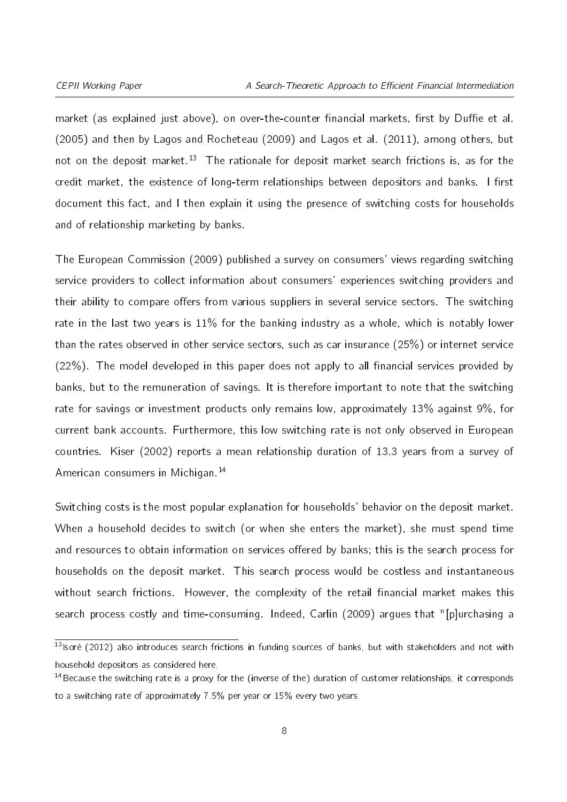market (as explained just above), on over-the-counter financial markets, first by Duffie et al. (2005) and then by Lagos and Rocheteau (2009) and Lagos et al. (2011), among others, but not on the deposit market.<sup>[13](#page-7-0)</sup> The rationale for deposit market search frictions is, as for the credit market, the existence of long-term relationships between depositors and banks. I first document this fact, and I then explain it using the presence of switching costs for households and of relationship marketing by banks.

The European Commission (2009) published a survey on consumers' views regarding switching service providers to collect information about consumers' experiences switching providers and their ability to compare offers from various suppliers in several service sectors. The switching rate in the last two years is  $11\%$  for the banking industry as a whole, which is notably lower than the rates observed in other service sectors, such as car insurance (25%) or internet service  $(22%)$ . The model developed in this paper does not apply to all financial services provided by banks, but to the remuneration of savings. It is therefore important to note that the switching rate for savings or investment products only remains low, approximately 13% against 9%, for current bank accounts. Furthermore, this low switching rate is not only observed in European countries. Kiser (2002) reports a mean relationship duration of 13.3 years from a survey of American consumers in Michigan.<sup>[14](#page-7-1)</sup>

Switching costs is the most popular explanation for households' behavior on the deposit market. When a household decides to switch (or when she enters the market), she must spend time and resources to obtain information on services offered by banks; this is the search process for households on the deposit market. This search process would be costless and instantaneous without search frictions. However, the complexity of the retail financial market makes this search process costly and time-consuming. Indeed, Carlin (2009) argues that "[p]urchasing a

<span id="page-7-0"></span><sup>13</sup> lsoré (2012) also introduces search frictions in funding sources of banks, but with stakeholders and not with household depositors as considered here.

<span id="page-7-1"></span> $14$ Because the switching rate is a proxy for the (inverse of the) duration of customer relationships, it corresponds to a switching rate of approximately 7.5% per year or 15% every two years.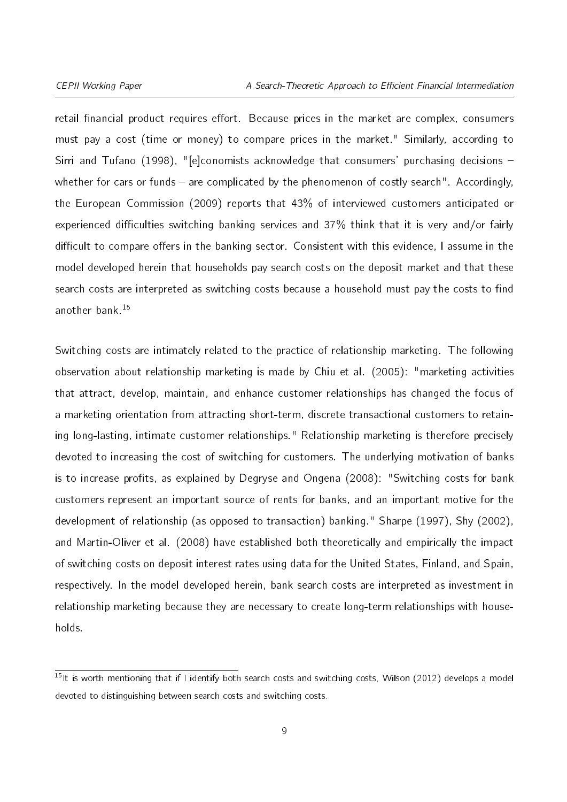retail financial product requires effort. Because prices in the market are complex, consumers must pay a cost (time or money) to compare prices in the market." Similarly, according to Sirri and Tufano (1998), "[e]conomists acknowledge that consumers' purchasing decisions whether for cars or funds  $-$  are complicated by the phenomenon of costly search". Accordingly, the European Commission (2009) reports that 43% of interviewed customers anticipated or experienced difficulties switching banking services and  $37\%$  think that it is very and/or fairly difficult to compare offers in the banking sector. Consistent with this evidence, I assume in the model developed herein that households pay search costs on the deposit market and that these search costs are interpreted as switching costs because a household must pay the costs to find another bank.<sup>[15](#page-8-0)</sup>

Switching costs are intimately related to the practice of relationship marketing. The following observation about relationship marketing is made by Chiu et al. (2005): "marketing activities that attract, develop, maintain, and enhance customer relationships has changed the focus of a marketing orientation from attracting short-term, discrete transactional customers to retaining long-lasting, intimate customer relationships." Relationship marketing is therefore precisely devoted to increasing the cost of switching for customers. The underlying motivation of banks is to increase profits, as explained by Degryse and Ongena (2008): "Switching costs for bank customers represent an important source of rents for banks, and an important motive for the development of relationship (as opposed to transaction) banking." Sharpe (1997), Shy (2002), and Martin-Oliver et al. (2008) have established both theoretically and empirically the impact of switching costs on deposit interest rates using data for the United States, Finland, and Spain, respectively. In the model developed herein, bank search costs are interpreted as investment in relationship marketing because they are necessary to create long-term relationships with households.

<span id="page-8-0"></span> $15$ It is worth mentioning that if I identify both search costs and switching costs, Wilson (2012) develops a model devoted to distinguishing between search costs and switching costs.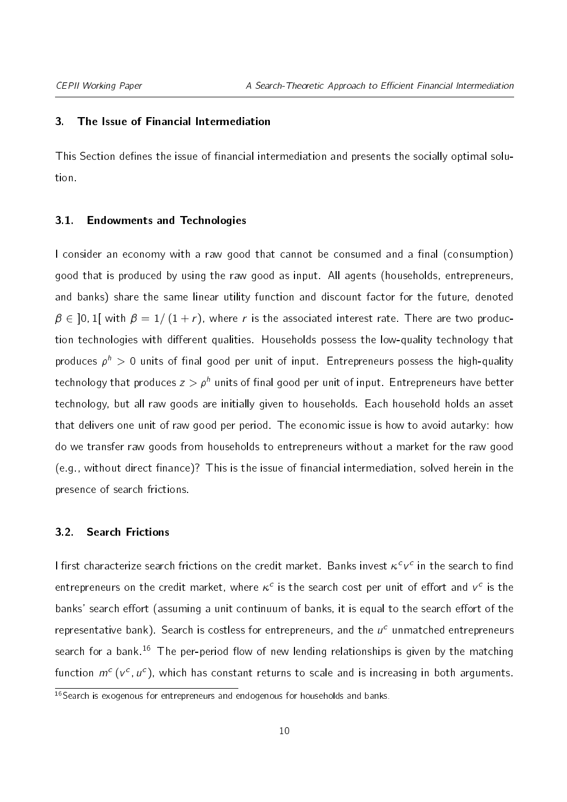#### <span id="page-9-0"></span>3. The Issue of Financial Intermediation

This Section defines the issue of financial intermediation and presents the socially optimal solution.

#### <span id="page-9-2"></span>3.1. Endowments and Technologies

I consider an economy with a raw good that cannot be consumed and a final (consumption) good that is produced by using the raw good as input. All agents (households, entrepreneurs, and banks) share the same linear utility function and discount factor for the future, denoted  $\beta \in$  10.1 I with  $\beta = 1/(1 + r)$ , where r is the associated interest rate. There are two production technologies with different qualities. Households possess the low-quality technology that produces  $\rho^h > 0$  units of final good per unit of input. Entrepreneurs possess the high-quality technology that produces  $z > \rho^h$  units of final good per unit of input. Entrepreneurs have better technology, but all raw goods are initially given to households. Each household holds an asset that delivers one unit of raw good per period. The economic issue is how to avoid autarky: how do we transfer raw goods from households to entrepreneurs without a market for the raw good  $(e.g., with out direct finance)?$  This is the issue of financial intermediation, solved herein in the presence of search frictions.

#### <span id="page-9-3"></span>3.2. Search Frictions

I first characterize search frictions on the credit market. Banks invest  $\kappa^c \nu^c$  in the search to find entrepreneurs on the credit market, where  $\kappa^c$  is the search cost per unit of effort and  $v^c$  is the banks' search effort (assuming a unit continuum of banks, it is equal to the search effort of the representative bank). Search is costless for entrepreneurs, and the  $u^c$  unmatched entrepreneurs search for a bank.<sup>[16](#page-9-1)</sup> The per-period flow of new lending relationships is given by the matching function  $m^{c}$  (v<sup>c</sup>,  $u^{c}$ ), which has constant returns to scale and is increasing in both arguments.

<span id="page-9-1"></span> $\frac{16}{16}$ Search is exogenous for entrepreneurs and endogenous for households and banks.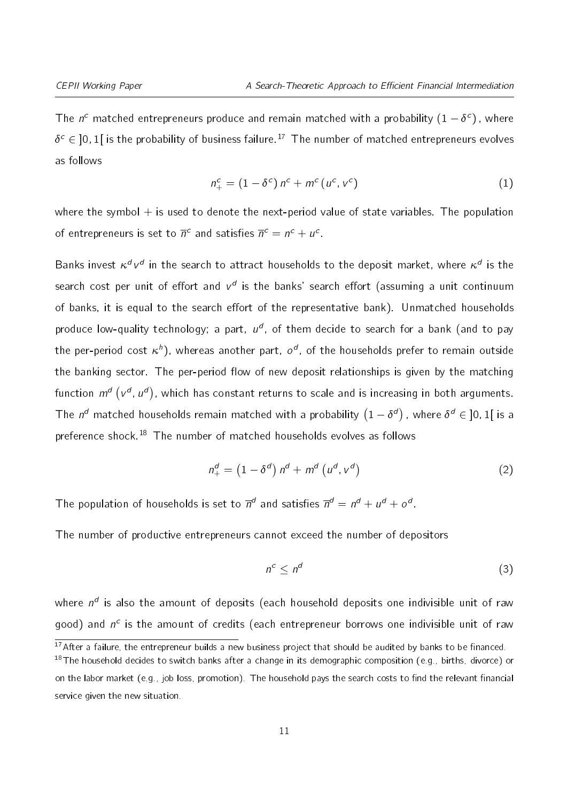<span id="page-10-2"></span>The  $n^c$  matched entrepreneurs produce and remain matched with a probability  $(1-\delta^c)$  , where  $\delta^c \in \ ]0,1[$  is the probability of business failure. $^{17}$  $^{17}$  $^{17}$  The number of matched entrepreneurs evolves as follows

$$
n_{+}^{c} = (1 - \delta^{c}) n^{c} + m^{c} (u^{c}, v^{c})
$$
 (1)

where the symbol  $+$  is used to denote the next-period value of state variables. The population of entrepreneurs is set to  $\overline{n}^c$  and satisfies  $\overline{n}^c = n^c + u^c$ .

Banks invest  $\kappa^d\, v^d$  in the search to attract households to the deposit market, where  $\kappa^d$  is the search cost per unit of effort and  $v^d$  is the banks' search effort (assuming a unit continuum of banks, it is equal to the search effort of the representative bank). Unmatched households produce low-quality technology; a part,  $u^d$ , of them decide to search for a bank (and to pay the per-period cost  $\kappa^h$ ), whereas another part,  $o^d$ , of the households prefer to remain outside the banking sector. The per-period flow of new deposit relationships is given by the matching function  $m^{d}$   $(\nu^{d}, u^{d})$ , which has constant returns to scale and is increasing in both arguments. The  $n^d$  matched households remain matched with a probability  $(1-\delta^d)$  , where  $\delta^d\in\ ]0,1[$  is a preference shock.[18](#page-10-1) The number of matched households evolves as follows

$$
n_+^d = \left(1 - \delta^d\right) n^d + m^d \left(u^d, v^d\right) \tag{2}
$$

The population of households is set to  $\overline{n}^d$  and satisfies  $\overline{n}^d = n^d + u^d + o^d.$ 

The number of productive entrepreneurs cannot exceed the number of depositors

<span id="page-10-4"></span><span id="page-10-3"></span>
$$
n^c \le n^d \tag{3}
$$

where  $n^d$  is also the amount of deposits (each household deposits one indivisible unit of raw good) and  $n^c$  is the amount of credits (each entrepreneur borrows one indivisible unit of raw

<span id="page-10-1"></span><span id="page-10-0"></span> $\frac{17}{17}$  After a failure, the entrepreneur builds a new business project that should be audited by banks to be financed.

<sup>&</sup>lt;sup>18</sup>The household decides to switch banks after a change in its demographic composition (e.g., births, divorce) or on the labor market (e.g., job loss, promotion). The household pays the search costs to find the relevant financial service given the new situation.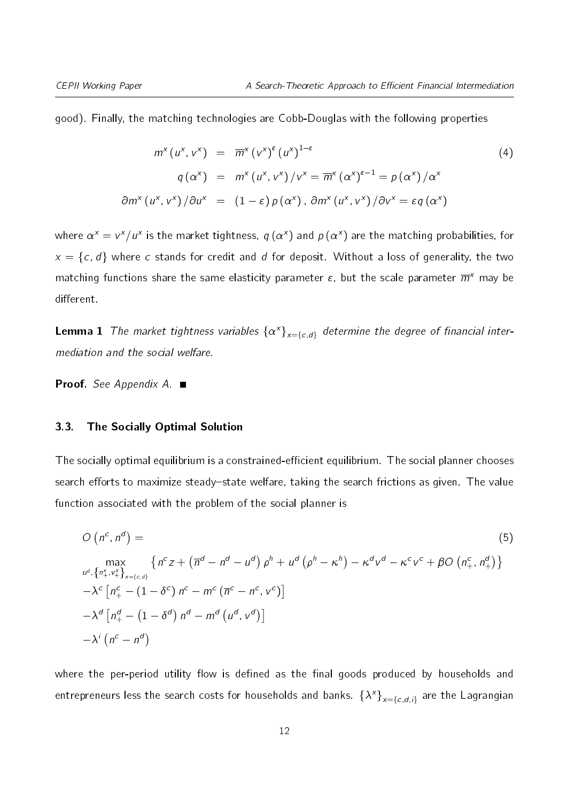good). Finally, the matching technologies are Cobb-Douglas with the following properties

<span id="page-11-1"></span>
$$
m^{x}(u^{x}, v^{x}) = \overline{m}^{x}(v^{x})^{\epsilon}(u^{x})^{1-\epsilon}
$$
\n
$$
q(\alpha^{x}) = m^{x}(u^{x}, v^{x})/v^{x} = \overline{m}^{x}(\alpha^{x})^{\epsilon-1} = p(\alpha^{x})/\alpha^{x}
$$
\n
$$
m^{x}(u^{x}, v^{x})/\partial u^{x} = (1-\epsilon)p(\alpha^{x}), \partial m^{x}(u^{x}, v^{x})/\partial v^{x} = \epsilon q(\alpha^{x})
$$
\n(4)

where  $\alpha^x = v^x/u^x$  is the market tightness,  $q\left(\alpha^x\right)$  and  $p\left(\alpha^x\right)$  are the matching probabilities, for  $x = \{c, d\}$  where c stands for credit and d for deposit. Without a loss of generality, the two matching functions share the same elasticity parameter  $\varepsilon$ , but the scale parameter  $\overline{m}^{\chi}$  may be different.

<span id="page-11-3"></span>**Lemma 1** The market tightness variables  $\{\alpha^x\}_{x=\{c,d\}}$  determine the degree of financial intermediation and the social welfare.

Proof. See Appendix [A.](#page-2-4) ■

 $\partial$ 

#### <span id="page-11-2"></span>3.3. The Socially Optimal Solution

The socially optimal equilibrium is a constrained-efficient equilibrium. The social planner chooses search efforts to maximize steady-state welfare, taking the search frictions as given. The value function associated with the problem of the social planner is

<span id="page-11-0"></span>
$$
O\left(n^{c}, n^{d}\right) = \qquad (5)
$$
\n
$$
\max_{u^{d}, \{n_{+}^{x}, v_{+}^{x}\}_{x=\{c,d\}}} \left\{ n^{c}z + \left(\overline{n}^{d} - n^{d} - u^{d}\right)\rho^{h} + u^{d}\left(\rho^{h} - \kappa^{h}\right) - \kappa^{d}v^{d} - \kappa^{c}v^{c} + \beta O\left(n_{+}^{c}, n_{+}^{d}\right) \right\}
$$
\n
$$
-\lambda^{c}\left[n_{+}^{c} - \left(1 - \delta^{c}\right)n^{c} - m^{c}\left(\overline{n}^{c} - n^{c}, v^{c}\right)\right]
$$
\n
$$
-\lambda^{d}\left[n_{+}^{d} - \left(1 - \delta^{d}\right)n^{d} - m^{d}\left(u^{d}, v^{d}\right)\right]
$$
\n
$$
-\lambda^{i}\left(n^{c} - n^{d}\right)
$$
\n(6)

where the per-period utility flow is defined as the final goods produced by households and entrepreneurs less the search costs for households and banks.  $\{\lambda^\mathsf{x}\}_{\mathsf{x}=\{c,d,i\}}$  are the Lagrangian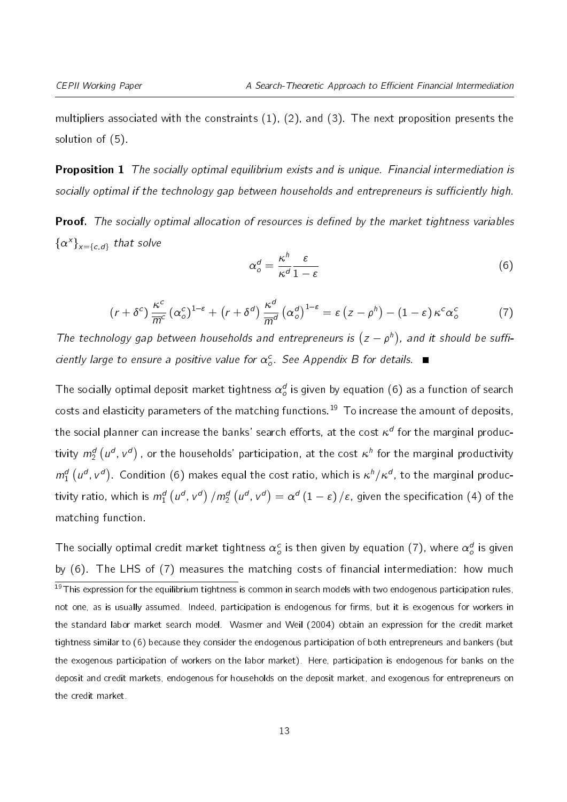multipliers associated with the constraints [\(1\)](#page-10-2), [\(2\)](#page-10-3), and [\(3\)](#page-10-4). The next proposition presents the solution of [\(5\)](#page-11-0).

<span id="page-12-3"></span>**Proposition 1** The socially optimal equilibrium exists and is unique. Financial intermediation is socially optimal if the technology gap between households and entrepreneurs is sufficiently high.

<span id="page-12-2"></span>**Proof.** The socially optimal allocation of resources is defined by the market tightness variables  ${ {\alpha^x}\} _{x = \{c,d\}}$  that solve

<span id="page-12-0"></span>
$$
\alpha_o^d = \frac{\kappa^h}{\kappa^d} \frac{\varepsilon}{1 - \varepsilon} \tag{6}
$$

$$
(r+\delta^c)\frac{\kappa^c}{\overline{m}^c}(\alpha_o^c)^{1-\epsilon}+(r+\delta^d)\frac{\kappa^d}{\overline{m}^d}(\alpha_o^d)^{1-\epsilon}=\epsilon(z-\rho^h)-(1-\epsilon)\kappa^c\alpha_o^c
$$
 (7)

The technology gap between households and entrepreneurs is  $(z - \rho^h)$ , and it should be sufficiently large to ensure a positive value for  $\alpha_o^c$ . See Appendix [B](#page-5-0) for details.

The socially optimal deposit market tightness  $\alpha_o^d$  is given by equation [\(6\)](#page-12-0) as a function of search costs and elasticity parameters of the matching functions.<sup>[19](#page-12-1)</sup> To increase the amount of deposits, the social planner can increase the banks' search efforts, at the cost  $\kappa^d$  for the marginal productivity  $m_2^d\left( u^d, v^d\right)$  , or the households' participation, at the cost  $\kappa^h$  for the marginal productivity  $m_1^d(u^d, v^d)$ . Condition [\(6\)](#page-12-0) makes equal the cost ratio, which is  $\kappa^h/\kappa^d$ , to the marginal productivity ratio, which is  $m_1^d\left(u^d\!,\,v^d\right)/m_2^d\left(u^d\!,\,v^d\right)=\alpha^d\left(1-{\varepsilon}\right)/{\varepsilon}$ , given the specification [\(4\)](#page-11-1) of the matching function.

<span id="page-12-1"></span>The socially optimal credit market tightness  $\alpha_o^c$  is then given by equation [\(7\)](#page-12-2), where  $\alpha_o^d$  is given by  $(6)$ . The LHS of  $(7)$  measures the matching costs of financial intermediation: how much  $19$ This expression for the equilibrium tightness is common in search models with two endogenous participation rules, not one, as is usually assumed. Indeed, participation is endogenous for firms, but it is exogenous for workers in the standard labor market search model. Wasmer and Weil (2004) obtain an expression for the credit market tightness similar to [\(6\)](#page-12-0) because they consider the endogenous participation of both entrepreneurs and bankers (but the exogenous participation of workers on the labor market). Here, participation is endogenous for banks on the deposit and credit markets, endogenous for households on the deposit market, and exogenous for entrepreneurs on the credit market.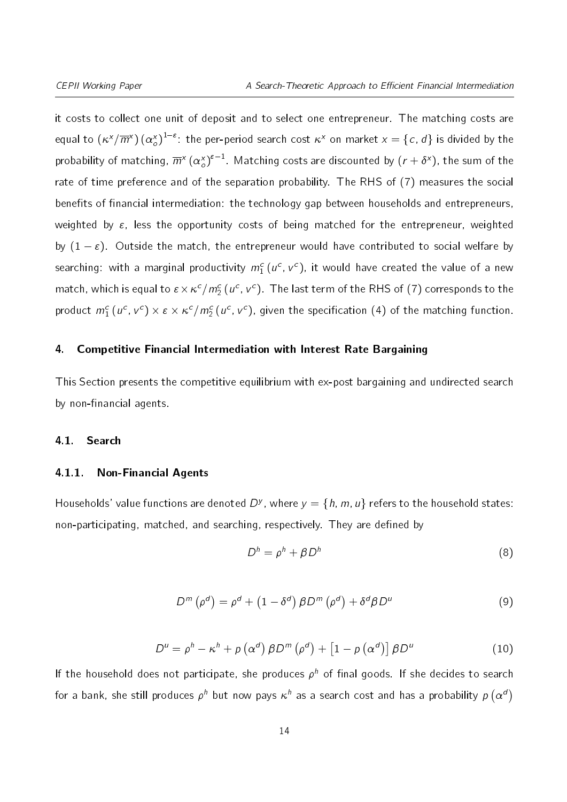it costs to collect one unit of deposit and to select one entrepreneur. The matching costs are equal to  $(\kappa^\chi/\overline{m}^\chi)\,(\alpha_o^\chi)^{1-\varepsilon}$ : the per-period search cost  $\kappa^\chi$  on market  $\chi=\{c,\,d\}$  is divided by the probability of matching,  $\overline{m}^{\chi}$   $(\alpha_o^x)^{\varepsilon-1}.$  Matching costs are discounted by  $(r+\delta^x)$ , the sum of the rate of time preference and of the separation probability. The RHS of [\(7\)](#page-12-2) measures the social benefits of financial intermediation: the technology gap between households and entrepreneurs, weighted by  $\varepsilon$ , less the opportunity costs of being matched for the entrepreneur, weighted by  $(1 - \varepsilon)$ . Outside the match, the entrepreneur would have contributed to social welfare by searching: with a marginal productivity  $m_1^c$   $(u^c,$   $v^c)$ , it would have created the value of a new match, which is equal to  $\epsilon\!\times\!\kappa^c/m_2^c$  ( $u^c$ ,  $v^c$ ). The last term of the RHS of [\(7\)](#page-12-2) corresponds to the product  $m_1^c(u^c,v^c)\times \varepsilon\times \kappa^c/m_2^c(u^c,v^c)$ , given the specification [\(4\)](#page-11-1) of the matching function.

#### <span id="page-13-0"></span>4. Competitive Financial Intermediation with Interest Rate Bargaining

This Section presents the competitive equilibrium with ex-post bargaining and undirected search by non-financial agents.

#### 4.1. Search

#### 4.1.1. Non-Financial Agents

<span id="page-13-2"></span>Households' value functions are denoted  $D^y$ , where  $y = \{h, m, u\}$  refers to the household states: non-participating, matched, and searching, respectively. They are defined by

<span id="page-13-1"></span>
$$
D^h = \rho^h + \beta D^h \tag{8}
$$

$$
D^{m}(\rho^{d}) = \rho^{d} + (1 - \delta^{d}) \beta D^{m}(\rho^{d}) + \delta^{d} \beta D^{u}
$$
 (9)

$$
D^{u} = \rho^{h} - \kappa^{h} + \rho \left( \alpha^{d} \right) \beta D^{m} \left( \rho^{d} \right) + \left[ 1 - \rho \left( \alpha^{d} \right) \right] \beta D^{u}
$$
 (10)

<span id="page-13-3"></span>If the household does not participate, she produces  $\rho^h$  of final goods. If she decides to search for a bank, she still produces  $\rho^h$  but now pays  $\kappa^h$  as a search cost and has a probability  $\rho\left(\alpha^d\right)$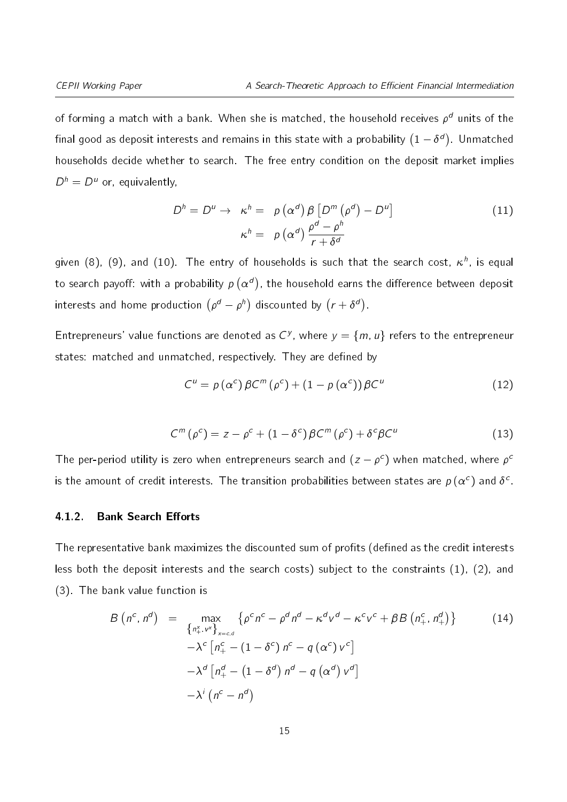of forming a match with a bank. When she is matched, the household receives  $\rho^d$  units of the final good as deposit interests and remains in this state with a probability  $(1-\delta^d)$ . Unmatched households decide whether to search. The free entry condition on the deposit market implies  $D^h = D^u$  or, equivalently,

<span id="page-14-2"></span>
$$
D^{h} = D^{u} \rightarrow \kappa^{h} = \rho (\alpha^{d}) \beta [D^{m} (\rho^{d}) - D^{u}]
$$
  

$$
\kappa^{h} = \rho (\alpha^{d}) \frac{\rho^{d} - \rho^{h}}{r + \delta^{d}}
$$
 (11)

given [\(8\)](#page-13-1), [\(9\)](#page-13-2), and [\(10\)](#page-13-3). The entry of households is such that the search cost,  $\kappa^h$ , is equal to search payoff: with a probability  $\rho\left(\alpha^d\right)$ , the household earns the difference between deposit interests and home production  $\left(\rho^d-\rho^h\right)$  discounted by  $\left(r+\delta^d\right)$ .

Entrepreneurs' value functions are denoted as  $C^y$ , where  $y = \{m, u\}$  refers to the entrepreneur states: matched and unmatched, respectively. They are defined by

<span id="page-14-0"></span>
$$
C^{u} = p(\alpha^{c}) \beta C^{m}(\rho^{c}) + (1 - p(\alpha^{c})) \beta C^{u}
$$
 (12)

$$
C^{m}(\rho^{c}) = z - \rho^{c} + (1 - \delta^{c}) \beta C^{m}(\rho^{c}) + \delta^{c} \beta C^{u}
$$
 (13)

<span id="page-14-1"></span>The per-period utility is zero when entrepreneurs search and  $(z-\rho^c)$  when matched, where  $\rho^c$ is the amount of credit interests. The transition probabilities between states are  $p\left(\alpha^c\right)$  and  $\delta^c$ .

#### 4.1.2. Bank Search Efforts

The representative bank maximizes the discounted sum of profits (defined as the credit interests less both the deposit interests and the search costs) subject to the constraints [\(1\)](#page-10-2), [\(2\)](#page-10-3), and [\(3\)](#page-10-4). The bank value function is

<span id="page-14-3"></span>
$$
B\left(n^{c}, n^{d}\right) = \max_{\left\{n_{+}^{x}, v^{x}\right\}_{x=c,d}}\left\{\rho^{c} n^{c} - \rho^{d} n^{d} - \kappa^{d} v^{d} - \kappa^{c} v^{c} + \beta B\left(n_{+}^{c}, n_{+}^{d}\right)\right\}
$$
\n
$$
- \lambda^{c}\left[n_{+}^{c} - \left(1 - \delta^{c}\right) n^{c} - q\left(\alpha^{c}\right) v^{c}\right]
$$
\n
$$
- \lambda^{d}\left[n_{+}^{d} - \left(1 - \delta^{d}\right) n^{d} - q\left(\alpha^{d}\right) v^{d}\right]
$$
\n
$$
- \lambda^{i}\left(n^{c} - n^{d}\right)
$$
\n(14)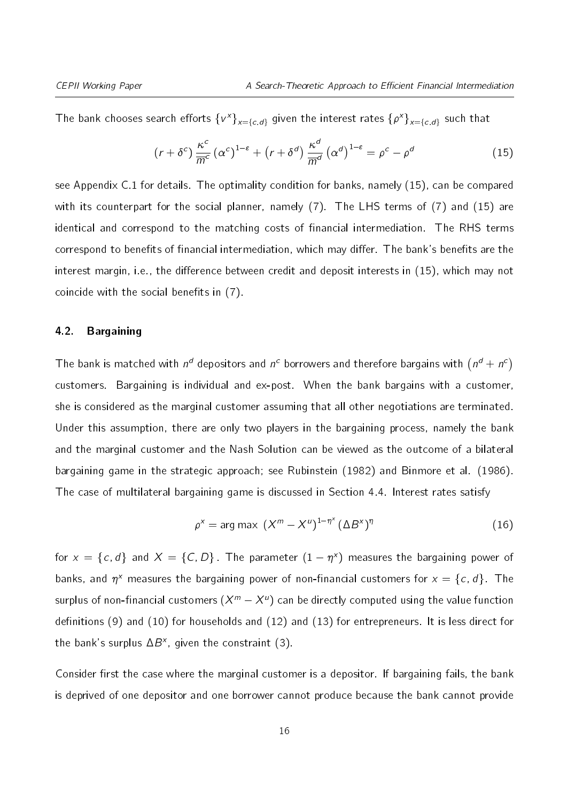The bank chooses search efforts  $\{\nu^x\}_{x=\{c,d\}}$  given the interest rates  $\{\rho^x\}_{x=\{c,d\}}$  such that

<span id="page-15-0"></span>
$$
(r + \delta^c) \frac{\kappa^c}{\overline{m}^c} (\alpha^c)^{1-\epsilon} + (r + \delta^d) \frac{\kappa^d}{\overline{m}^d} (\alpha^d)^{1-\epsilon} = \rho^c - \rho^d
$$
 (15)

see Appendix [C.1](#page-9-2) for details. The optimality condition for banks, namely [\(15\)](#page-15-0), can be compared with its counterpart for the social planner, namely [\(7\)](#page-12-2). The LHS terms of (7) and [\(15\)](#page-15-0) are identical and correspond to the matching costs of financial intermediation. The RHS terms correspond to benefits of financial intermediation, which may differ. The bank's benefits are the interest margin, i.e., the difference between credit and deposit interests in [\(15\)](#page-15-0), which may not coincide with the social benefits in  $(7)$ .

#### 4.2. Bargaining

The bank is matched with  $n^d$  depositors and  $n^c$  borrowers and therefore bargains with  $\left(n^d + n^c\right)$ customers. Bargaining is individual and ex-post. When the bank bargains with a customer, she is considered as the marginal customer assuming that all other negotiations are terminated. Under this assumption, there are only two players in the bargaining process, namely the bank and the marginal customer and the Nash Solution can be viewed as the outcome of a bilateral bargaining game in the strategic approach; see Rubinstein (1982) and Binmore et al. (1986). The case of multilateral bargaining game is discussed in Section [4.4.](#page-21-0) Interest rates satisfy

<span id="page-15-1"></span>
$$
\rho^x = \arg \max \left( X^m - X^u \right)^{1 - \eta^x} \left( \Delta B^x \right)^{\eta} \tag{16}
$$

for  $x = \{c, d\}$  and  $X = \{C, D\}$ . The parameter  $(1 - \eta^x)$  measures the bargaining power of banks, and  $\eta^x$  measures the bargaining power of non-financial customers for  $x = \{c, d\}$ . The surplus of non-financial customers  $(X^m-X^u)$  can be directly computed using the value function definitions [\(9\)](#page-13-2) and [\(10\)](#page-13-3) for households and [\(12\)](#page-14-0) and [\(13\)](#page-14-1) for entrepreneurs. It is less direct for the bank's surplus  $\Delta B^x$ , given the constraint [\(3\)](#page-10-4).

Consider first the case where the marginal customer is a depositor. If bargaining fails, the bank is deprived of one depositor and one borrower cannot produce because the bank cannot provide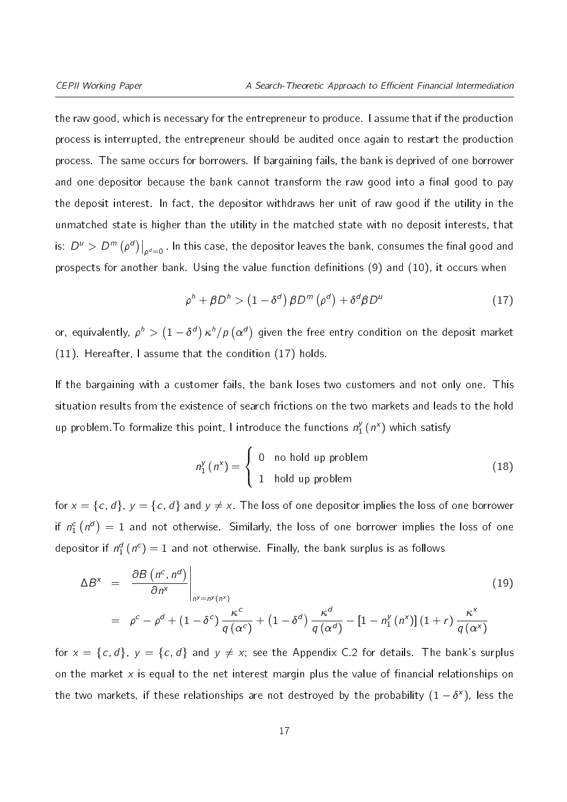the raw good, which is necessary for the entrepreneur to produce. I assume that if the production process is interrupted, the entrepreneur should be audited once again to restart the production process. The same occurs for borrowers. If bargaining fails, the bank is deprived of one borrower and one depositor because the bank cannot transform the raw good into a final good to pay the deposit interest. In fact, the depositor withdraws her unit of raw good if the utility in the unmatched state is higher than the utility in the matched state with no deposit interests, that is:  $\left.D^{u}>D^{m}\left(\rho^{d}\right)\right|_{\rho^{d}=0}$  . In this case, the depositor leaves the bank, consumes the final good and prospects for another bank. Using the value function definitions  $(9)$  and  $(10)$ , it occurs when

<span id="page-16-0"></span>
$$
\rho^h + \beta D^h > \left(1 - \delta^d\right) \beta D^m \left(\rho^d\right) + \delta^d \beta D^u \tag{17}
$$

or, equivalently,  $\rho^h > \left(1-\delta^d\right)\kappa^h/\rho\left(\alpha^d\right)$  given the free entry condition on the deposit market [\(11\)](#page-14-2). Hereafter, I assume that the condition [\(17\)](#page-16-0) holds.

If the bargaining with a customer fails, the bank loses two customers and not only one. This situation results from the existence of search frictions on the two markets and leads to the hold up problem. To formalize this point, I introduce the functions  $n_1^{\flat}$  $j_1^y(n^x)$  which satisfy

$$
n_1^y(n^x) = \begin{cases} 0 & \text{no hold up problem} \\ 1 & \text{hold up problem} \end{cases}
$$
 (18)

for  $x = \{c, d\}$ ,  $y = \{c, d\}$  and  $y \neq x$ . The loss of one depositor implies the loss of one borrower if  $n_{1}^{c}\left(\right. n^d\right)\,=\,1$  and not otherwise. Similarly, the loss of one borrower implies the loss of one depositor if  $n_{1}^{d}$   $(n^{c})=1$  and not otherwise. Finally, the bank surplus is as follows

<span id="page-16-1"></span>
$$
\Delta B^x = \left. \frac{\partial B\left(n^c, n^d\right)}{\partial n^x} \right|_{n^y = n^y(n^x)}
$$
\n
$$
= \left. \rho^c - \rho^d + (1 - \delta^c) \frac{\kappa^c}{q(\alpha^c)} + (1 - \delta^d) \frac{\kappa^d}{q(\alpha^d)} - \left[1 - n_1^y(n^x)\right](1 + r) \frac{\kappa^x}{q(\alpha^x)}
$$
\n(19)

for  $x = \{c, d\}$ ,  $y = \{c, d\}$  and  $y \neq x$ ; see the Appendix [C.2](#page-9-3) for details. The bank's surplus on the market  $x$  is equal to the net interest margin plus the value of financial relationships on the two markets, if these relationships are not destroyed by the probability  $(1-\delta^\times)$ , less the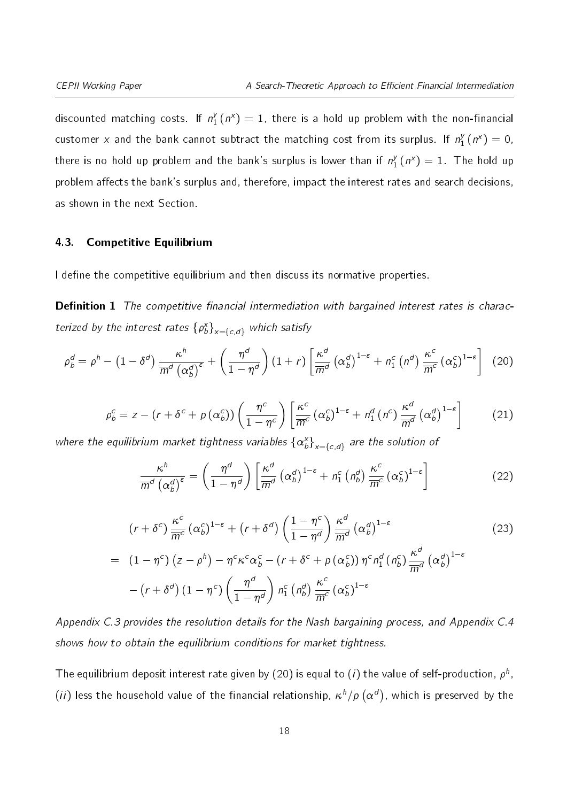discounted matching costs. If  $n_1^y$  $\binom{y}{1}$  ( $n^x$ ) = 1, there is a hold up problem with the non-financial customer x and the bank cannot subtract the matching cost from its surplus. If  $n_1^{\nu}$  $b_1^y(n^x) = 0,$ there is no hold up problem and the bank's surplus is lower than if  $n_1^{\flat}$  $j_1^y(n^x) = 1$ . The hold up problem affects the bank's surplus and, therefore, impact the interest rates and search decisions, as shown in the next Section.

#### 4.3. Competitive Equilibrium

I define the competitive equilibrium and then discuss its normative properties.

**Definition 1** The competitive financial intermediation with bargained interest rates is characterized by the interest rates  $\{\rho_b^x\}_{x=\{c,d\}}$  which satisfy

<span id="page-17-1"></span>
$$
\rho_b^d = \rho^h - \left(1 - \delta^d\right) \frac{\kappa^h}{\overline{m}^d \left(\alpha_b^d\right)^\varepsilon} + \left(\frac{\eta^d}{1 - \eta^d}\right) \left(1 + r\right) \left[\frac{\kappa^d}{\overline{m}^d} \left(\alpha_b^d\right)^{1 - \varepsilon} + n_1^c \left(n^d\right) \frac{\kappa^c}{\overline{m}^c} \left(\alpha_b^c\right)^{1 - \varepsilon}\right] \tag{20}
$$

<span id="page-17-0"></span>
$$
\rho_b^c = z - (r + \delta^c + p(\alpha_b^c)) \left( \frac{\eta^c}{1 - \eta^c} \right) \left[ \frac{\kappa^c}{\overline{m}^c} (\alpha_b^c)^{1 - \varepsilon} + n_1^d (n^c) \frac{\kappa^d}{\overline{m}^d} (\alpha_b^d)^{1 - \varepsilon} \right]
$$
(21)

where the equilibrium market tightness variables  $\left\{\alpha^{\mathsf{x}}_b\right\}_{\mathsf{x}=\left\{c,d\right\}}$  are the solution of

<span id="page-17-2"></span>
$$
\frac{\kappa^h}{\overline{m}^d \left(\alpha_b^d\right)^{\varepsilon}} = \left(\frac{\eta^d}{1 - \eta^d}\right) \left[\frac{\kappa^d}{\overline{m}^d} \left(\alpha_b^d\right)^{1 - \varepsilon} + n_1^c \left(n_b^d\right) \frac{\kappa^c}{\overline{m}^c} \left(\alpha_b^c\right)^{1 - \varepsilon}\right]
$$
(22)

<span id="page-17-3"></span>
$$
(r+\delta^{c}) \frac{\kappa^{c}}{m^{c}} (\alpha_{b}^{c})^{1-\epsilon} + (r+\delta^{d}) \left(\frac{1-\eta^{c}}{1-\eta^{d}}\right) \frac{\kappa^{d}}{m^{d}} (\alpha_{b}^{d})^{1-\epsilon}
$$
\n
$$
= (1-\eta^{c}) (z-\rho^{h}) - \eta^{c} \kappa^{c} \alpha_{b}^{c} - (r+\delta^{c}+\rho (\alpha_{b}^{c})) \eta^{c} n_{1}^{d} (n_{b}^{c}) \frac{\kappa^{d}}{m^{d}} (\alpha_{b}^{d})^{1-\epsilon}
$$
\n
$$
- (r+\delta^{d}) (1-\eta^{c}) \left(\frac{\eta^{d}}{1-\eta^{d}}\right) n_{1}^{c} (n_{b}^{d}) \frac{\kappa^{c}}{m^{c}} (\alpha_{b}^{c})^{1-\epsilon}
$$
\n(23)

Appendix [C.3](#page-11-2) provides the resolution details for the Nash bargaining process, and Appendix [C.4](#page-41-0) shows how to obtain the equilibrium conditions for market tightness.

The equilibrium deposit interest rate given by [\(20\)](#page-17-0) is equal to (*i*) the value of self-production,  $\rho^h$ ,  $(ii)$  less the household value of the financial relationship,  $\kappa^h/\rho$   $(\alpha^d)$ , which is preserved by the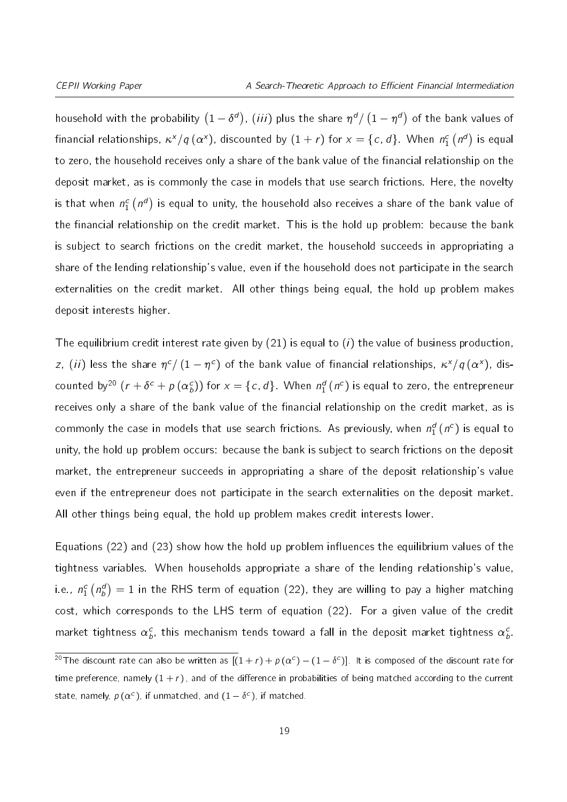household with the probability  $(1-\delta^d)$ ,  $(iii)$  plus the share  $\eta^d/\left(1-\eta^d\right)$  of the bank values of financial relationships,  $\kappa^\chi/q\,(\alpha^\chi)$ , discounted by  $(1+r)$  for  $\chi=\{c,\,d\}$  . When  $n_1^c\left(n^d\right)$  is equal to zero, the household receives only a share of the bank value of the financial relationship on the deposit market, as is commonly the case in models that use search frictions. Here, the novelty is that when  $n_1^c \left( n^d \right)$  is equal to unity, the household also receives a share of the bank value of the financial relationship on the credit market. This is the hold up problem: because the bank is subject to search frictions on the credit market, the household succeeds in appropriating a share of the lending relationship's value, even if the household does not participate in the search externalities on the credit market. All other things being equal, the hold up problem makes deposit interests higher.

The equilibrium credit interest rate given by [\(21\)](#page-17-1) is equal to  $(i)$  the value of business production, z, (ii) less the share  $\eta^c / \left(1-\eta^c\right)$  of the bank value of financial relationships,  $\kappa^\chi / \mathit{q\,}(\alpha^\chi)$ , discounted by $^{20}$  $^{20}$  $^{20}$   $(r+\delta^c+\rho \left( \alpha^c_b\right) )$  for  $x=\{c,\,d\}$ . When  $n^d_1\left( n^c\right)$  is equal to zero, the entrepreneur receives only a share of the bank value of the financial relationship on the credit market, as is commonly the case in models that use search frictions. As previously, when  $n_{1}^{d}$   $(n^{c})$  is equal to unity, the hold up problem occurs: because the bank is subject to search frictions on the deposit market, the entrepreneur succeeds in appropriating a share of the deposit relationship's value even if the entrepreneur does not participate in the search externalities on the deposit market. All other things being equal, the hold up problem makes credit interests lower.

Equations [\(22\)](#page-17-2) and [\(23\)](#page-17-3) show how the hold up problem influences the equilibrium values of the tightness variables. When households appropriate a share of the lending relationship's value, i.e.,  $n_1^c \left( n_b^d \right) = 1$  in the RHS term of equation [\(22\)](#page-17-2), they are willing to pay a higher matching cost, which corresponds to the LHS term of equation [\(22\)](#page-17-2). For a given value of the credit market tightness  $\alpha^c_b$ , this mechanism tends toward a fall in the deposit market tightness  $\alpha^c_b$ . cost, which corresponds to the LHS term of equation (22). For a given value of the credit<br>market tightness  $\alpha_b^c$ , this mechanism tends toward a fall in the deposit market tightness  $\alpha_b^c$ .<br><sup>20</sup>The discount rate can als

<span id="page-18-0"></span>time preference, namely  $(1 + r)$ , and of the difference in probabilities of being matched according to the current state, namely,  $p\left(\alpha^{c}\right)$ , if unmatched, and  $(1-\delta^{c})$ , if matched. can also be written as  $[(1 \text{mely } (1 + r))$ , and of the difference in the difference in the difference in the difference in the difference in the difference in the difference in the difference in the difference in the differen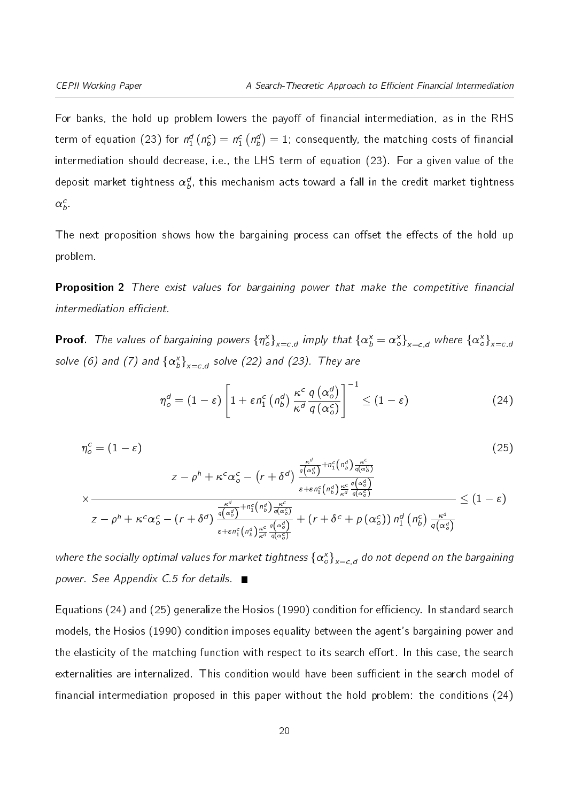For banks, the hold up problem lowers the payoff of financial intermediation, as in the RHS term of equation [\(23\)](#page-17-3) for  $n_1^d$  ( $n_b^c)=n_1^c$   $\left(n_b^d\right)=1$ ; consequently, the matching costs of financial intermediation should decrease, i.e., the LHS term of equation [\(23\)](#page-17-3). For a given value of the deposit market tightness  $\alpha_b^d$ , this mechanism acts toward a fall in the credit market tightness  $\alpha_b^c$  .

The next proposition shows how the bargaining process can offset the effects of the hold up problem.

<span id="page-19-2"></span>**Proposition 2** There exist values for bargaining power that make the competitive financial intermediation efficient.

**Proof.** The values of bargaining powers  $\{\eta^x_o\}_{x=c,d}$  imply that  $\{\alpha^x_b=\alpha^x_o\}_{x=c,d}$  where  $\{\alpha^x_o\}_{x=c,a}$ solve [\(6\)](#page-12-0) and [\(7\)](#page-12-2) and  $\left\{ \alpha^{\mathsf{x}}_b \right\}_{\mathsf{x}=c,d}$  solve [\(22\)](#page-17-2) and [\(23\)](#page-17-3). They are

<span id="page-19-0"></span>
$$
\eta_o^d = (1 - \varepsilon) \left[ 1 + \varepsilon n_1^c \left( n_b^d \right) \frac{\kappa^c}{\kappa^d} \frac{q \left( \alpha_o^d \right)}{q \left( \alpha_o^c \right)} \right]^{-1} \leq (1 - \varepsilon) \tag{24}
$$

<span id="page-19-1"></span>
$$
\eta_o^c = (1 - \varepsilon) \tag{25}
$$
\n
$$
z - \rho^h + \kappa^c \alpha_o^c - (r + \delta^d) \frac{\frac{\kappa^d}{q(\alpha_o^d)} + n_1^c (n_b^d) \frac{\kappa^c}{q(\alpha_o^c)}}{\varepsilon + \varepsilon n_1^c (n_b^d) \frac{\kappa^c}{\kappa^d} \frac{q(\alpha_o^d)}{q(\alpha_o^c)}}}{z - \rho^h + \kappa^c \alpha_o^c - (r + \delta^d) \frac{\frac{\kappa^d}{q(\alpha_o^d)} + n_1^c (n_b^d) \frac{\kappa^c}{q(\alpha_o^c)}}{\varepsilon + \varepsilon n_1^c (n_b^d) \frac{\kappa^c}{\kappa^d} \frac{q(\alpha_o^d)}{q(\alpha_o^c)}} + (r + \delta^c + p(\alpha_o^c)) n_1^d (n_b^c) \frac{\kappa^d}{q(\alpha_o^d)} \tag{25}
$$

where the socially optimal values for market tightness  $\left\{\alpha_o^\mathsf{x}\right\}_{\mathsf{x}= \mathsf{c}, \mathsf{d}}$  do not depend on the bargaining power. See Appendix [C.5](#page-42-0) for details.

Equations [\(24\)](#page-19-0) and [\(25\)](#page-19-1) generalize the Hosios (1990) condition for efficiency. In standard search models, the Hosios (1990) condition imposes equality between the agent's bargaining power and the elasticity of the matching function with respect to its search effort. In this case, the search externalities are internalized. This condition would have been sufficient in the search model of financial intermediation proposed in this paper without the hold problem: the conditions  $(24)$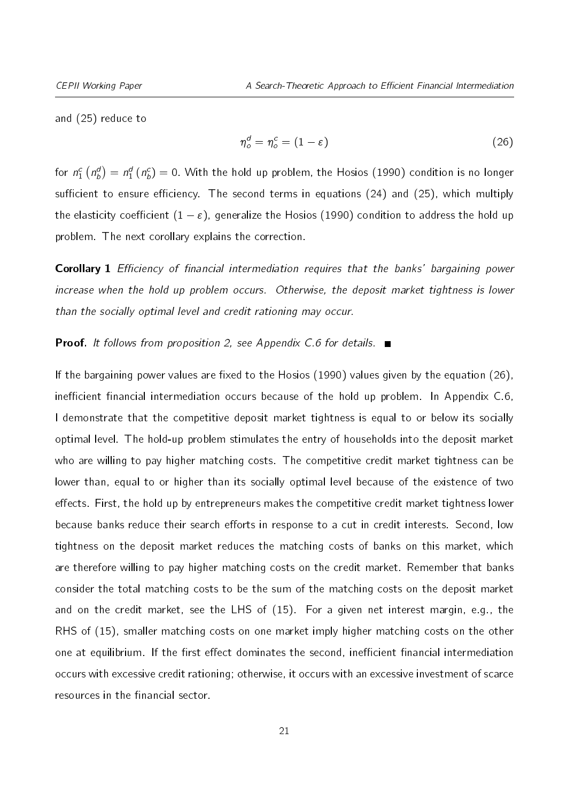<span id="page-20-0"></span>and [\(25\)](#page-19-1) reduce to

$$
\eta_o^d = \eta_o^c = (1 - \varepsilon) \tag{26}
$$

for  $n_1^c\left(n_b^d\right)=n_1^d\left(n_b^c\right)=0.$  With the hold up problem, the Hosios (1990) condition is no longer sufficient to ensure efficiency. The second terms in equations  $(24)$  and  $(25)$ , which multiply the elasticity coefficient  $(1 - \varepsilon)$ , generalize the Hosios (1990) condition to address the hold up problem. The next corollary explains the correction.

<span id="page-20-1"></span>**Corollary 1** Efficiency of financial intermediation requires that the banks' bargaining power increase when the hold up problem occurs. Otherwise, the deposit market tightness is lower than the socially optimal level and credit rationing may occur.

#### **Proof.** It follows from proposition [2,](#page-19-2) see Appendix [C.6](#page-43-0) for details.  $\blacksquare$

If the bargaining power values are fixed to the Hosios (1990) values given by the equation [\(26\)](#page-20-0), inefficient financial intermediation occurs because of the hold up problem. In Appendix  $C.6$ , I demonstrate that the competitive deposit market tightness is equal to or below its socially optimal level. The hold-up problem stimulates the entry of households into the deposit market who are willing to pay higher matching costs. The competitive credit market tightness can be lower than, equal to or higher than its socially optimal level because of the existence of two effects. First, the hold up by entrepreneurs makes the competitive credit market tightness lower because banks reduce their search efforts in response to a cut in credit interests. Second, low tightness on the deposit market reduces the matching costs of banks on this market, which are therefore willing to pay higher matching costs on the credit market. Remember that banks consider the total matching costs to be the sum of the matching costs on the deposit market and on the credit market, see the LHS of [\(15\)](#page-15-0). For a given net interest margin, e.g., the RHS of [\(15\)](#page-15-0), smaller matching costs on one market imply higher matching costs on the other one at equilibrium. If the first effect dominates the second, inefficient financial intermediation occurs with excessive credit rationing; otherwise, it occurs with an excessive investment of scarce resources in the financial sector.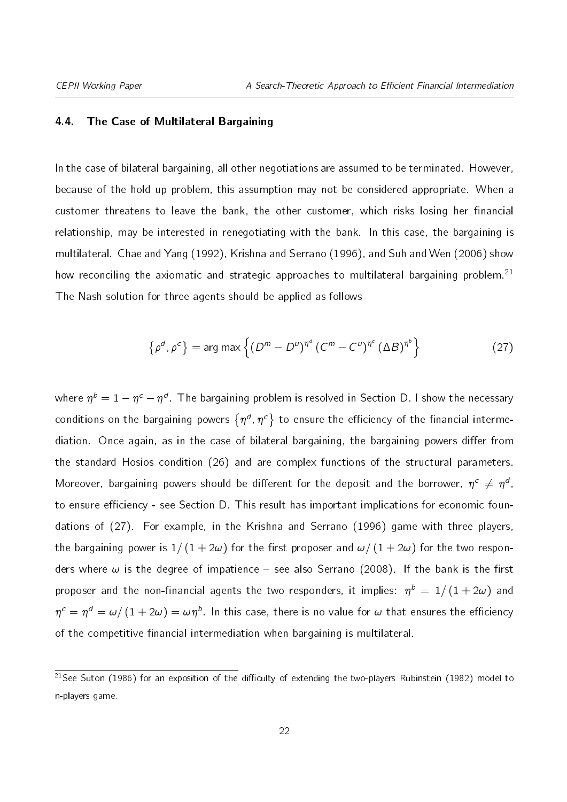#### <span id="page-21-0"></span>4.4. The Case of Multilateral Bargaining

In the case of bilateral bargaining, all other negotiations are assumed to be terminated. However, because of the hold up problem, this assumption may not be considered appropriate. When a customer threatens to leave the bank, the other customer, which risks losing her financial relationship, may be interested in renegotiating with the bank. In this case, the bargaining is multilateral. Chae and Yang (1992), Krishna and Serrano (1996), and Suh and Wen (2006) show how reconciling the axiomatic and strategic approaches to multilateral bargaining problem.<sup>[21](#page-21-1)</sup> The Nash solution for three agents should be applied as follows

<span id="page-21-2"></span>
$$
\left\{ \rho^d, \rho^c \right\} = \arg \max \left\{ \left( D^m - D^u \right)^{\eta^d} \left( C^m - C^u \right)^{\eta^c} \left( \Delta B \right)^{\eta^b} \right\} \tag{27}
$$

where  $\eta^b=1-\eta^c-\eta^d$  . The bargaining problem is resolved in Section [D.](#page-13-0) I show the necessary conditions on the bargaining powers  $\{\eta^d,\eta^c\}$  to ensure the efficiency of the financial intermediation. Once again, as in the case of bilateral bargaining, the bargaining powers differ from the standard Hosios condition [\(26\)](#page-20-0) and are complex functions of the structural parameters. Moreover, bargaining powers should be different for the deposit and the borrower,  $\eta^c \neq \eta^d$ , to ensure efficiency - see Section [D.](#page-13-0) This result has important implications for economic foundations of [\(27\)](#page-21-2). For example, in the Krishna and Serrano (1996) game with three players, the bargaining power is  $1/(1 + 2\omega)$  for the first proposer and  $\omega/(1 + 2\omega)$  for the two responders where  $\omega$  is the degree of impatience – see also Serrano (2008). If the bank is the first proposer and the non-financial agents the two responders, it implies:  $\eta^b \,=\, 1/\left(1 + 2\omega\right)$  and  $\eta^{\,\rm c}=\eta^{\,d}=\omega/\left(1+2\omega\right)=\omega\eta^{\,b}$ . In this case, there is no value for  $\omega$  that ensures the efficiency of the competitive financial intermediation when bargaining is multilateral.

<span id="page-21-1"></span><sup>&</sup>lt;sup>21</sup>See Suton (1986) for an exposition of the difficulty of extending the two-players Rubinstein (1982) model to n-players game.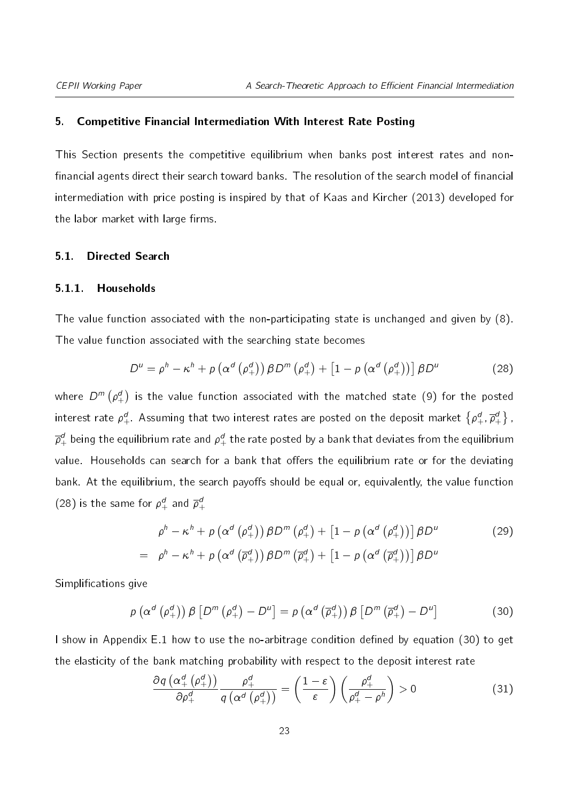#### <span id="page-22-0"></span>5. Competitive Financial Intermediation With Interest Rate Posting

This Section presents the competitive equilibrium when banks post interest rates and non financial agents direct their search toward banks. The resolution of the search model of financial intermediation with price posting is inspired by that of Kaas and Kircher (2013) developed for the labor market with large firms.

#### <span id="page-22-2"></span>5.1. Directed Search

#### 5.1.1. Households

The value function associated with the non-participating state is unchanged and given by [\(8\)](#page-13-1). The value function associated with the searching state becomes

<span id="page-22-1"></span>
$$
D^{u} = \rho^{h} - \kappa^{h} + p \left( \alpha^{d} \left( \rho_{+}^{d} \right) \right) \beta D^{m} \left( \rho_{+}^{d} \right) + \left[ 1 - p \left( \alpha^{d} \left( \rho_{+}^{d} \right) \right) \right] \beta D^{u}
$$
 (28)

where  $D^m\left( \rho_+^d\right)$  is the value function associated with the matched state [\(9\)](#page-13-2) for the posted interest rate  $\rho_+^d$  . Assuming that two interest rates are posted on the deposit market  $\big\{\rho_+^d,\overline\rho_+^a$  $j_+^d\big\}$  ,  $\overline{\rho}^d_+$  being the equilibrium rate and  $\rho^d_+$  the rate posted by a bank that deviates from the equilibrium value. Households can search for a bank that offers the equilibrium rate or for the deviating bank. At the equilibrium, the search payoffs should be equal or, equivalently, the value function [\(28\)](#page-22-1) is the same for  $\rho_+^d$  and  $\overline{\rho}_+^{d}$ +

<span id="page-22-4"></span>
$$
\rho^h - \kappa^h + \rho \left( \alpha^d \left( \rho_+^d \right) \right) \beta D^m \left( \rho_+^d \right) + \left[ 1 - \rho \left( \alpha^d \left( \rho_+^d \right) \right) \right] \beta D^u \tag{29}
$$
\n
$$
= \rho^h - \kappa^h + \rho \left( \alpha^d \left( \overline{\rho}_+^d \right) \right) \beta D^m \left( \overline{\rho}_+^d \right) + \left[ 1 - \rho \left( \alpha^d \left( \overline{\rho}_+^d \right) \right) \right] \beta D^u
$$

Simplifications give

<span id="page-22-3"></span>
$$
\rho\left(\alpha^{d}\left(\rho_{+}^{d}\right)\right)\beta\left[D^{m}\left(\rho_{+}^{d}\right)-D^{u}\right]=\rho\left(\alpha^{d}\left(\overline{\rho}_{+}^{d}\right)\right)\beta\left[D^{m}\left(\overline{\rho}_{+}^{d}\right)-D^{u}\right]
$$
\n(30)

I show in Appendix [E.1](#page-22-2) how to use the no-arbitrage condition defined by equation [\(30\)](#page-22-3) to get the elasticity of the bank matching probability with respect to the deposit interest rate

<span id="page-22-5"></span>
$$
\frac{\partial q\left(\alpha_{+}^{d}\left(\rho_{+}^{d}\right)\right)}{\partial \rho_{+}^{d}}\frac{\rho_{+}^{d}}{q\left(\alpha^{d}\left(\rho_{+}^{d}\right)\right)} = \left(\frac{1-\varepsilon}{\varepsilon}\right)\left(\frac{\rho_{+}^{d}}{\rho_{+}^{d}-\rho^{h}}\right) > 0
$$
\n(31)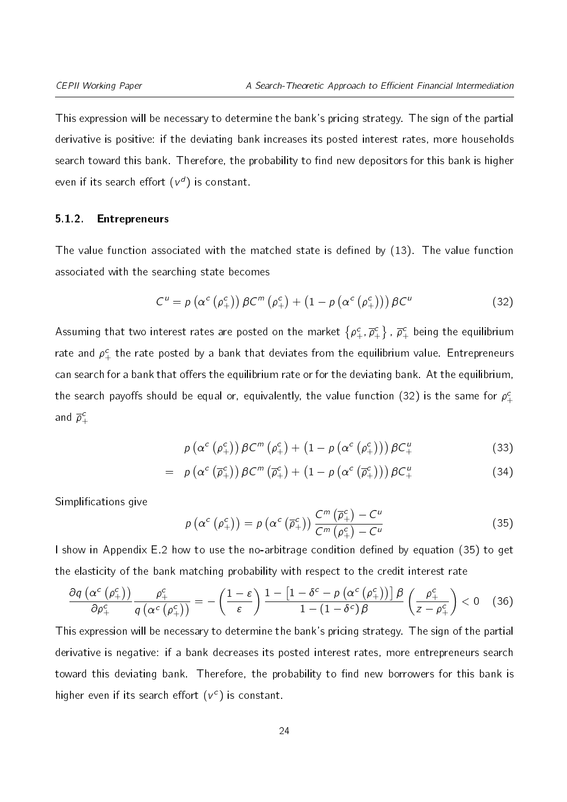This expression will be necessary to determine the bank's pricing strategy. The sign of the partial derivative is positive: if the deviating bank increases its posted interest rates, more households search toward this bank. Therefore, the probability to find new depositors for this bank is higher even if its search effort  $(\mathsf{v}^{\mathsf{d}})$  is constant.

#### 5.1.2. Entrepreneurs

The value function associated with the matched state is defined by  $(13)$ . The value function associated with the searching state becomes

<span id="page-23-0"></span>
$$
C^{u} = p\left(\alpha^{c}\left(\rho_{+}^{c}\right)\right)\beta C^{m}\left(\rho_{+}^{c}\right) + \left(1 - p\left(\alpha^{c}\left(\rho_{+}^{c}\right)\right)\right)\beta C^{u}
$$
\n(32)

Assuming that two interest rates are posted on the market  $\left\{ \rho_{+}^{c},\overline{\rho}_{+}^{c}\right.$  $\{\vec{r}^c_+\}$  ,  $\overline{\rho}^c_+$  being the equilibrium rate and  $\rho_+^c$  the rate posted by a bank that deviates from the equilibrium value. Entrepreneurs can search for a bank that offers the equilibrium rate or for the deviating bank. At the equilibrium, the search payoffs should be equal or, equivalently, the value function [\(32\)](#page-23-0) is the same for  $\rho_+^c$ and  $\overline{\rho}_4^c$ +

<span id="page-23-2"></span>
$$
\rho\left(\alpha^{c}\left(\rho_{+}^{c}\right)\right)\beta C^{m}\left(\rho_{+}^{c}\right)+\left(1-\rho\left(\alpha^{c}\left(\rho_{+}^{c}\right)\right)\right)\beta C_{+}^{u}\tag{33}
$$

<span id="page-23-1"></span>
$$
= \rho\left(\alpha^c\left(\overline{\rho}_+^c\right)\right)\beta C^m\left(\overline{\rho}_+^c\right) + \left(1 - \rho\left(\alpha^c\left(\overline{\rho}_+^c\right)\right)\right)\beta C_+^u \tag{34}
$$

Simplifications give

<span id="page-23-3"></span>
$$
p\left(\alpha^{c}\left(\rho_{+}^{c}\right)\right)=p\left(\alpha^{c}\left(\overline{\rho}_{+}^{c}\right)\right)\frac{C^{m}\left(\overline{\rho}_{+}^{c}\right)-C^{u}}{C^{m}\left(\rho_{+}^{c}\right)-C^{u}}
$$
\n(35)

I show in Appendix [E.2](#page-24-0) how to use the no-arbitrage condition defined by equation [\(35\)](#page-23-1) to get the elasticity of the bank matching probability with respect to the credit interest rate

$$
\frac{\partial q\left(\alpha^{c}\left(\rho_{+}^{c}\right)\right)}{\partial \rho_{+}^{c}}\frac{\rho_{+}^{c}}{q\left(\alpha^{c}\left(\rho_{+}^{c}\right)\right)}=-\left(\frac{1-\varepsilon}{\varepsilon}\right)\frac{1-\left[1-\delta^{c}-p\left(\alpha^{c}\left(\rho_{+}^{c}\right)\right)\right]\beta}{1-\left(1-\delta^{c}\right)\beta}\left(\frac{\rho_{+}^{c}}{z-\rho_{+}^{c}}\right)<0\quad \ \ (36)
$$

This expression will be necessary to determine the bank's pricing strategy. The sign of the partial derivative is negative: if a bank decreases its posted interest rates, more entrepreneurs search toward this deviating bank. Therefore, the probability to find new borrowers for this bank is higher even if its search effort  $(v^c)$  is constant.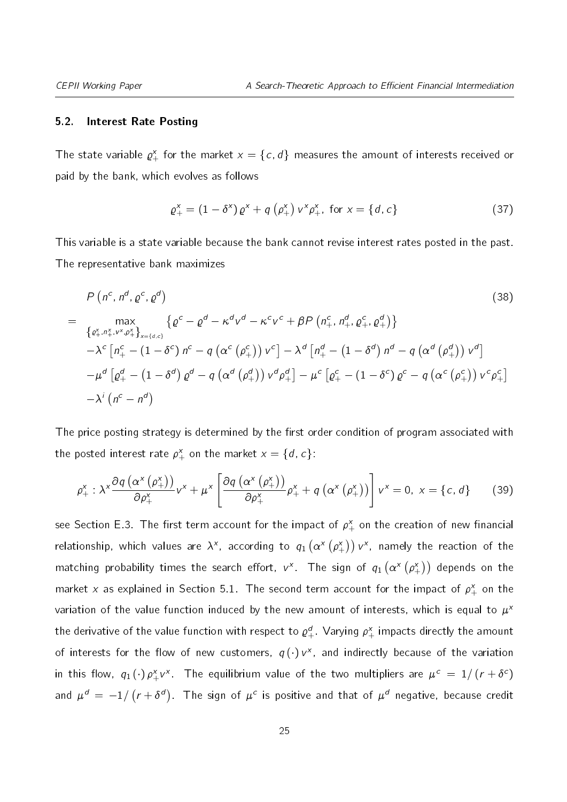#### <span id="page-24-0"></span>5.2. Interest Rate Posting

The state variable  $\varrho_{+}^{\text{x}}$  for the market  $x=\left\{ \textit{c},\textit{d}\right\}$  measures the amount of interests received or paid by the bank, which evolves as follows

<span id="page-24-3"></span>
$$
\varrho_{+}^{x} = (1 - \delta^{x}) \varrho^{x} + q \left( \rho_{+}^{x} \right) v^{x} \rho_{+}^{x}, \text{ for } x = \{d, c\}
$$
 (37)

This variable is a state variable because the bank cannot revise interest rates posted in the past. The representative bank maximizes

<span id="page-24-1"></span>
$$
P\left(n^{c}, n^{d}, \varrho^{c}, \varrho^{d}\right)
$$
\n
$$
= \max_{\{\varrho_{+}^{x}, n_{+}^{x}, v_{-}^{x}, \varrho_{+}^{x}\}_{x=\{d,c\}}}\n\left\{\varrho^{c} - \varrho^{d} - \kappa^{d} v^{d} - \kappa^{c} v^{c} + \beta P\left(n_{+}^{c}, n_{+}^{d}, \varrho_{+}^{c}, \varrho_{+}^{d}\right)\right\}\n-\lambda^{c}\left[n_{+}^{c} - \left(1 - \delta^{c}\right)n^{c} - q\left(\alpha^{c}\left(\varrho_{+}^{c}\right)\right)v^{c}\right] - \lambda^{d}\left[n_{+}^{d} - \left(1 - \delta^{d}\right)n^{d} - q\left(\alpha^{d}\left(\varrho_{+}^{d}\right)\right)v^{d}\right]\n-\mu^{d}\left[\varrho_{+}^{d} - \left(1 - \delta^{d}\right)\varrho^{d} - q\left(\alpha^{d}\left(\varrho_{+}^{d}\right)\right)v^{d}\varrho_{+}^{d}\right] - \mu^{c}\left[\varrho_{+}^{c} - \left(1 - \delta^{c}\right)\varrho^{c} - q\left(\alpha^{c}\left(\varrho_{+}^{c}\right)\right)v^{c}\varrho_{+}^{c}\right]\n-\lambda^{i}\left(n^{c} - n^{d}\right)
$$
\n
$$
(38)
$$
\n
$$
(39)
$$

The price posting strategy is determined by the first order condition of program associated with the posted interest rate  $\rho_+^{\mathsf{x}}$  on the market  ${\mathsf x}=\{d,c\}$ :

<span id="page-24-2"></span>
$$
\rho_{+}^{x} : \lambda^{x} \frac{\partial q\left(\alpha^{x}\left(\rho_{+}^{x}\right)\right)}{\partial \rho_{+}^{x}} v^{x} + \mu^{x} \left[\frac{\partial q\left(\alpha^{x}\left(\rho_{+}^{x}\right)\right)}{\partial \rho_{+}^{x}} \rho_{+}^{x} + q\left(\alpha^{x}\left(\rho_{+}^{x}\right)\right)\right] v^{x} = 0, \ x = \{c, d\} \tag{39}
$$

see Section [E.3.](#page-25-0) The first term account for the impact of  $\rho_+^{\mathsf{x}}$  on the creation of new financial relationship, which values are  $\lambda^{\mathsf{x}}$ , according to  $q_1\left(\alpha^{\mathsf{x}}\left(\rho_+^{\mathsf{x}}\right)\right)$   $\mathsf{v}^{\mathsf{x}}$ , namely the reaction of the matching probability times the search effort,  $v^\mathsf{x}$  . The sign of  $q_1\left(\alpha^\mathsf{x}\left(\rho_+^\mathsf{x}\right)\right)$  depends on the market  $x$  as explained in Section [5.1.](#page-22-2) The second term account for the impact of  $\rho_+^{\mathrm x}$  on the variation of the value function induced by the new amount of interests, which is equal to  $\mu^\star$ the derivative of the value function with respect to  $\varrho_+^{d}$  . Varying  $\rho_+^{\chi}$  impacts directly the amount of interests for the flow of new customers,  $q(\cdot)$   $v^x$ , and indirectly because of the variation in this flow,  $q_1(\cdot)\,\rho_+^{\sf x}\nu^{\sf x}$ . The equilibrium value of the two multipliers are  $\mu^{\sf c} \,=\, 1/\left(r+\delta^{\sf c}\right)$ and  $\mu^d\,=\,-1/\left(r+\delta^d\right)$ . The sign of  $\mu^c$  is positive and that of  $\mu^d$  negative, because credit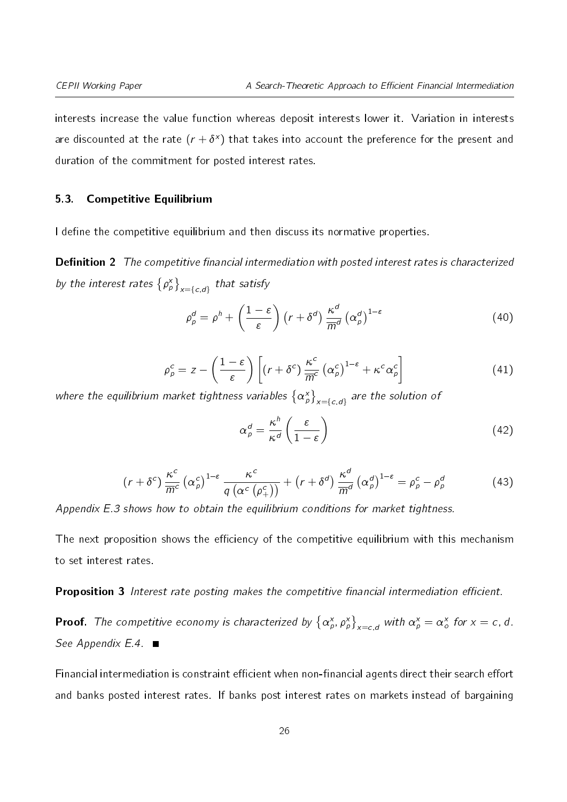interests increase the value function whereas deposit interests lower it. Variation in interests are discounted at the rate  $(r + \delta^x)$  that takes into account the preference for the present and duration of the commitment for posted interest rates.

#### <span id="page-25-0"></span>5.3. Competitive Equilibrium

<span id="page-25-1"></span>I define the competitive equilibrium and then discuss its normative properties.

**Definition 2** The competitive financial intermediation with posted interest rates is characterized by the interest rates  $\left\{ \rho _{p}^{\mathrm{x}}\right\} _{x=\left\{ c,d\right\} }$  that satisfy

$$
\rho_p^d = \rho^h + \left(\frac{1-\varepsilon}{\varepsilon}\right) \left(r + \delta^d\right) \frac{\kappa^d}{\overline{m}^d} \left(\alpha_p^d\right)^{1-\varepsilon} \tag{40}
$$

$$
\rho_{\rho}^{c} = z - \left(\frac{1-\varepsilon}{\varepsilon}\right) \left[ \left(r + \delta^{c}\right) \frac{\kappa^{c}}{\overline{m}^{c}} \left(\alpha_{\rho}^{c}\right)^{1-\varepsilon} + \kappa^{c} \alpha_{\rho}^{c} \right] \tag{41}
$$

where the equilibrium market tightness variables  $\left\{\alpha^{\mathsf{x}}_{\rho}\right\}_{\mathsf{x}=\left\{c,d\right\}}$  are the solution of

$$
\alpha_p^d = \frac{\kappa^h}{\kappa^d} \left( \frac{\varepsilon}{1 - \varepsilon} \right) \tag{42}
$$

$$
(r+\delta^c)\frac{\kappa^c}{\overline{m}^c}\left(\alpha^c_{\rho}\right)^{1-\epsilon}\frac{\kappa^c}{q\left(\alpha^c\left(\rho^c_+\right)\right)}+\left(r+\delta^d\right)\frac{\kappa^d}{\overline{m}^d}\left(\alpha^d_{\rho}\right)^{1-\epsilon}=\rho^c_{\rho}-\rho^d_{\rho}\tag{43}
$$

Appendix [E.3](#page-25-0) shows how to obtain the equilibrium conditions for market tightness.

The next proposition shows the efficiency of the competitive equilibrium with this mechanism to set interest rates.

<span id="page-25-2"></span>**Proposition 3** Interest rate posting makes the competitive financial intermediation efficient.

**Proof.** The competitive economy is characterized by  $\left\{\alpha^x_\rho,\rho^x_\rho\right\}_{x=c,d}$  with  $\alpha^x_\rho=\alpha^x_\rho$  for  $x=c,d$ . See Appendix  $E.4.$ 

Financial intermediation is constraint efficient when non-financial agents direct their search effort and banks posted interest rates. If banks post interest rates on markets instead of bargaining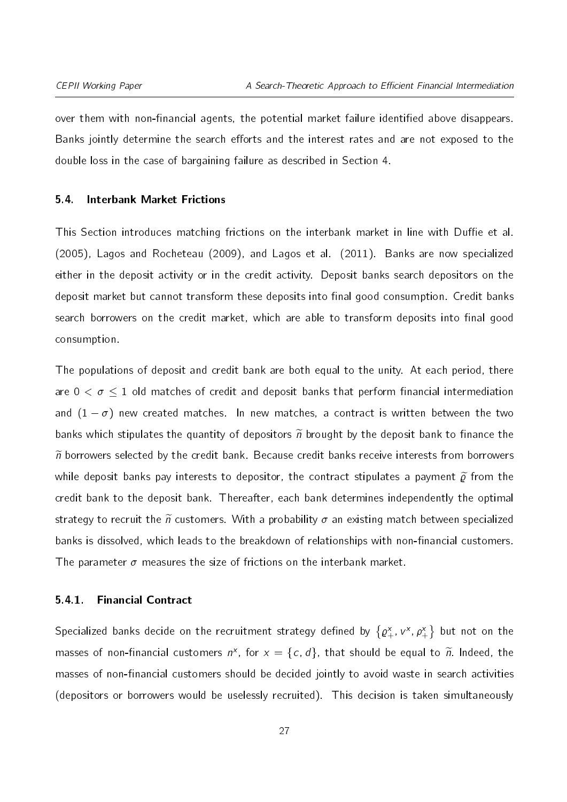over them with non-financial agents, the potential market failure identified above disappears. Banks jointly determine the search efforts and the interest rates and are not exposed to the double loss in the case of bargaining failure as described in Section [4.](#page-13-0)

#### <span id="page-26-0"></span>5.4. Interbank Market Frictions

This Section introduces matching frictions on the interbank market in line with Duffie et al. (2005), Lagos and Rocheteau (2009), and Lagos et al. (2011). Banks are now specialized either in the deposit activity or in the credit activity. Deposit banks search depositors on the deposit market but cannot transform these deposits into final good consumption. Credit banks search borrowers on the credit market, which are able to transform deposits into final good consumption.

The populations of deposit and credit bank are both equal to the unity. At each period, there are  $0 < \sigma \leq 1$  old matches of credit and deposit banks that perform financial intermediation and  $(1 - \sigma)$  new created matches. In new matches, a contract is written between the two banks which stipulates the quantity of depositors  $\tilde{n}$  brought by the deposit bank to finance the  $\widetilde{n}$  borrowers selected by the credit bank. Because credit banks receive interests from borrowers while deposit banks pay interests to depositor, the contract stipulates a payment  $\tilde{\varrho}$  from the credit bank to the deposit bank. Thereafter, each bank determines independently the optimal strategy to recruit the  $\tilde{n}$  customers. With a probability  $\sigma$  an existing match between specialized banks is dissolved, which leads to the breakdown of relationships with non-financial customers. The parameter  $\sigma$  measures the size of frictions on the interbank market.

#### 5.4.1. Financial Contract

Specialized banks decide on the recruitment strategy defined by  $\{\varrho_+^{\sf x},\,\nu_-^{\sf x},\,\rho_+^{\sf x}\}$  but not on the masses of non-financial customers  $n^x$ , for  $x = \{c, d\}$ , that should be equal to  $\widetilde{n}$ . Indeed, the masses of non-financial customers should be decided jointly to avoid waste in search activities (depositors or borrowers would be uselessly recruited). This decision is taken simultaneously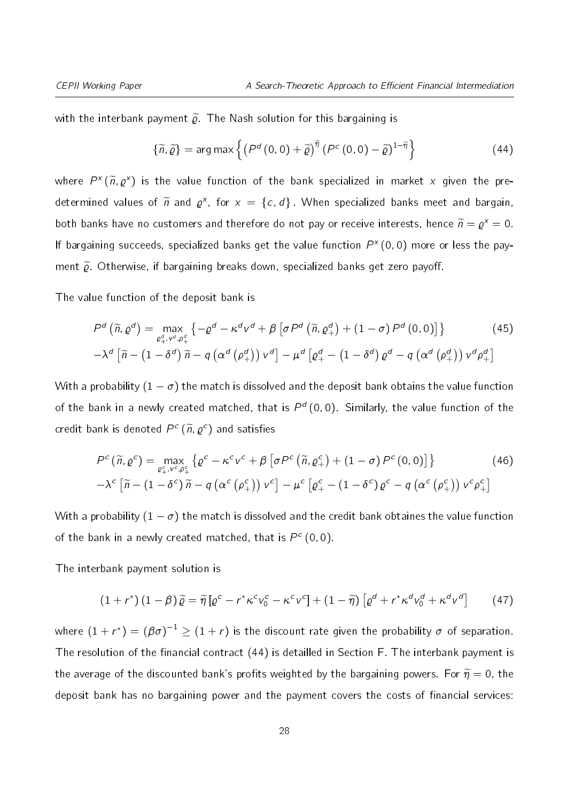with the interbank payment  $\widetilde{\varrho}$ . The Nash solution for this bargaining is

<span id="page-27-0"></span>
$$
\{\widetilde{n},\widetilde{\varrho}\} = \arg \max \left\{ \left( P^d \left(0,0\right) + \widetilde{\varrho} \right)^{\widetilde{\eta}} \left( P^c \left(0,0\right) - \widetilde{\varrho} \right)^{1-\widetilde{\eta}} \right\} \tag{44}
$$

where  $P^x(\widetilde{n}, \varrho^x)$  is the value function of the bank specialized in market x given the predetermined values of  $\widetilde{n}$  and  $\varrho^{\mathsf{x}}$ , for  $\mathsf{x} = \{\mathsf{c},\mathsf{d}\}$ . When specialized banks meet and bargain, both banks have no customers and therefore do not pay or receive interests, hence  $\widetilde{n} = \varrho^x = 0$ . If bargaining succeeds, specialized banks get the value function  $P^{\times}(0,0)$  more or less the payment  $\tilde{\rho}$ . Otherwise, if bargaining breaks down, specialized banks get zero payoff.

The value function of the deposit bank is

<span id="page-27-1"></span>
$$
P^{d}(\widetilde{n},\varrho^{d}) = \max_{\varrho_{+}^{d},v^{d},\varrho_{+}^{d}} \left\{ -\varrho^{d} - \kappa^{d}v^{d} + \beta \left[ \sigma P^{d}(\widetilde{n},\varrho_{+}^{d}) + (1-\sigma) P^{d}(0,0) \right] \right\}
$$
\n
$$
-\lambda^{d} \left[ \widetilde{n} - (1-\delta^{d}) \widetilde{n} - q \left( \alpha^{d}(\varrho_{+}^{d}) \right) v^{d} \right] - \mu^{d} \left[ \varrho_{+}^{d} - (1-\delta^{d}) \varrho^{d} - q \left( \alpha^{d}(\varrho_{+}^{d}) \right) v^{d} \varrho_{+}^{d} \right]
$$
\n(45)

With a probability  $(1 - \sigma)$  the match is dissolved and the deposit bank obtains the value function of the bank in a newly created matched, that is  $P^d$  (0, 0). Similarly, the value function of the credit bank is denoted  $P^c(\widetilde{n},\varrho^c)$  and satisfies

<span id="page-27-2"></span>
$$
P^{c}(\widetilde{n},\varrho^{c}) = \max_{\varrho_{+}^{c},\nu^{c},\varrho_{+}^{c}} \left\{ \varrho^{c} - \kappa^{c}\nu^{c} + \beta \left[ \sigma P^{c}(\widetilde{n},\varrho_{+}^{c}) + (1-\sigma) P^{c}(0,0) \right] \right\}
$$
(46)  
 
$$
-\lambda^{c} \left[ \widetilde{n} - (1-\delta^{c})\widetilde{n} - q\left( \alpha^{c}(\varrho_{+}^{c}) \right) \nu^{c} \right] - \mu^{c} \left[ \varrho_{+}^{c} - (1-\delta^{c})\varrho^{c} - q\left( \alpha^{c}(\varrho_{+}^{c}) \right) \nu^{c} \varrho_{+}^{c} \right]
$$

With a probability  $(1 - \sigma)$  the match is dissolved and the credit bank obtaines the value function of the bank in a newly created matched, that is  $P^c$  (0,0).

The interbank payment solution is

<span id="page-27-3"></span>
$$
(1+r^*)(1-\beta)\widetilde{\varrho}=\widetilde{\eta}\left[\varrho^c-r^*\kappa^c\nu_0^c-\kappa^c\nu^c\right]+(1-\widetilde{\eta})\left[\varrho^d+r^*\kappa^d\nu_0^d+\kappa^d\nu^d\right]
$$
(47)

where  $(1+r^*) = (\beta \sigma)^{-1} \geq (1+r)$  is the discount rate given the probability  $\sigma$  of separation. The resolution of the financial contract [\(44\)](#page-27-0) is detailled in Section [F.](#page-29-0) The interbank payment is the average of the discounted bank's profits weighted by the bargaining powers. For  $\widetilde{\eta} = 0$ , the deposit bank has no bargaining power and the payment covers the costs of financial services: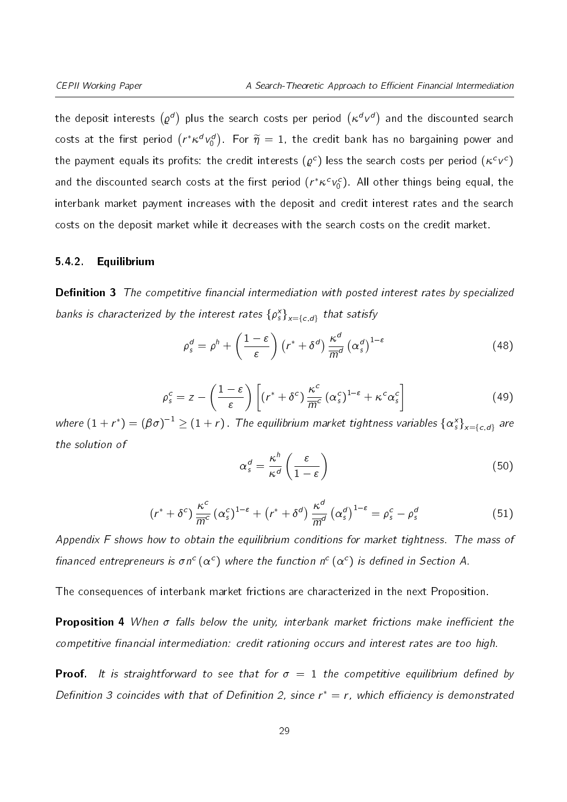the deposit interests  $(\varrho^d)$  plus the search costs per period  $(\kappa^d\, v^d)$  and the discounted search costs at the first period  $\left(r^*\kappa^d\,v_0^d\right)$ . For  $\widetilde{\eta}\,=\,1$ , the credit bank has no bargaining power and the payment equals its profits: the credit interests  $(\varrho^c)$  less the search costs per period  $(\kappa^c \nu^c)$ and the discounted search costs at the first period  $(r^*\kappa^c\mathbf{v}_0^c)$ . All other things being equal, the interbank market payment increases with the deposit and credit interest rates and the search costs on the deposit market while it decreases with the search costs on the credit market.

#### <span id="page-28-0"></span>5.4.2. Equilibrium

**Definition 3** The competitive financial intermediation with posted interest rates by specialized banks is characterized by the interest rates  $\{\rho_s^x\}_{x=\{c,d\}}$  that satisfy

<span id="page-28-3"></span>
$$
\rho_s^d = \rho^h + \left(\frac{1-\varepsilon}{\varepsilon}\right) \left(r^* + \delta^d\right) \frac{\kappa^d}{\overline{m}^d} \left(\alpha_s^d\right)^{1-\varepsilon} \tag{48}
$$

<span id="page-28-1"></span>
$$
\rho_s^c = z - \left(\frac{1-\varepsilon}{\varepsilon}\right) \left[ \left(r^* + \delta^c\right) \frac{\kappa^c}{\overline{m}^c} \left(\alpha_s^c\right)^{1-\varepsilon} + \kappa^c \alpha_s^c \right] \tag{49}
$$

<span id="page-28-4"></span><span id="page-28-2"></span>where  $(1+r^*)=(\beta\sigma)^{-1}\geq (1+r)$  . The equilibrium market tightness variables  $\{\alpha_s^{\sf x}\}_{\sf x=\{c,d\}}$  are the solution of

$$
\alpha_s^d = \frac{\kappa^h}{\kappa^d} \left( \frac{\varepsilon}{1 - \varepsilon} \right) \tag{50}
$$

$$
(r^* + \delta^c) \frac{\kappa^c}{\overline{m}^c} (\alpha_s^c)^{1-\epsilon} + (r^* + \delta^d) \frac{\kappa^d}{\overline{m}^d} (\alpha_s^d)^{1-\epsilon} = \rho_s^c - \rho_s^d \tag{51}
$$

Appendix [F](#page-29-0) shows how to obtain the equilibrium conditions for market tightness. The mass of financed entrepreneurs is  $\sigma n^c (\alpha^c)$  where the function  $n^c (\alpha^c)$  is defined in Section [A.](#page-2-4)

The consequences of interbank market frictions are characterized in the next Proposition.

**Proposition 4** When  $\sigma$  falls below the unity, interbank market frictions make inefficient the competitive financial intermediation: credit rationing occurs and interest rates are too high.

**Proof.** It is straightforward to see that for  $\sigma = 1$  the competitive equilibrium defined by Definition [3](#page-28-0) coincides with that of Definition [2,](#page-25-1) since  $r^* = r$ , which efficiency is demonstrated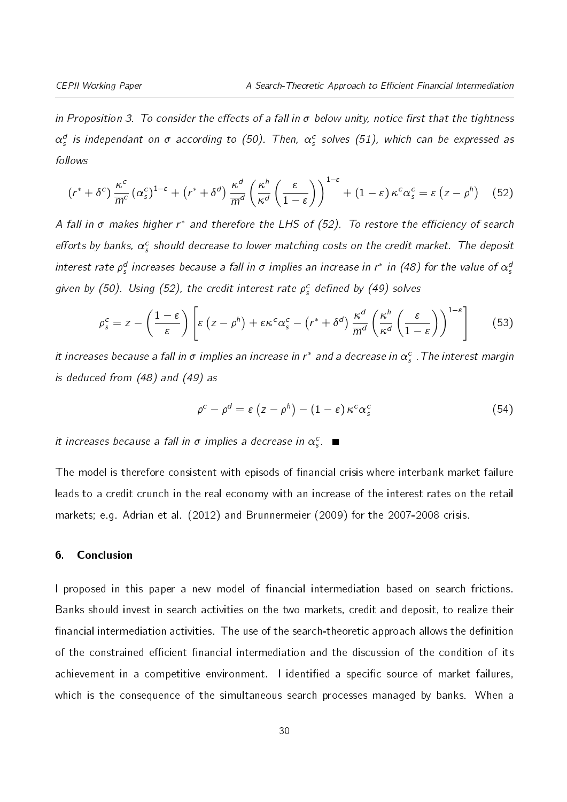in Proposition [3.](#page-25-2) To consider the effects of a fall in  $\sigma$  below unity, notice first that the tightness  $\alpha_s^d$  is independant on  $\sigma$  according to [\(50\)](#page-28-1). Then,  $\alpha_s^c$  solves [\(51\)](#page-28-2), which can be expressed as follows

<span id="page-29-1"></span>
$$
(r^* + \delta^c) \frac{\kappa^c}{\overline{m}^c} (\alpha_s^c)^{1-\epsilon} + (r^* + \delta^d) \frac{\kappa^d}{\overline{m}^d} \left(\frac{\kappa^h}{\kappa^d} \left(\frac{\epsilon}{1-\epsilon}\right)\right)^{1-\epsilon} + (1-\epsilon) \kappa^c \alpha_s^c = \epsilon (z - \rho^h) \quad (52)
$$

A fall in  $\sigma$  makes higher r\* and therefore the LHS of [\(52\)](#page-29-1). To restore the efficiency of search efforts by banks,  $\alpha_s^c$  should decrease to lower matching costs on the credit market. The deposit interest rate  $\rho_s^d$  increases because a fall in  $\sigma$  implies an increase in r\* in [\(48\)](#page-28-3) for the value of  $\alpha_s^a$ given by [\(50\)](#page-28-1). Using [\(52\)](#page-29-1), the credit interest rate  $\rho_{\rm s}^{\rm c}$  defined by [\(49\)](#page-28-4) solves

$$
\rho_s^c = z - \left(\frac{1-\varepsilon}{\varepsilon}\right) \left[\varepsilon \left(z - \rho^h\right) + \varepsilon \kappa^c \alpha_s^c - \left(r^* + \delta^d\right) \frac{\kappa^d}{\overline{m}^d} \left(\frac{\kappa^h}{\kappa^d} \left(\frac{\varepsilon}{1-\varepsilon}\right)\right)^{1-\varepsilon}\right] \tag{53}
$$

it increases because a fall in  $\sigma$  implies an increase in r $^*$  and a decrease in  $\alpha_s^c$  . The interest margin is deduced from [\(48\)](#page-28-3) and [\(49\)](#page-28-4) as

$$
\rho^{c} - \rho^{d} = \varepsilon \left( z - \rho^{h} \right) - (1 - \varepsilon) \kappa^{c} \alpha_{s}^{c}
$$
 (54)

it increases because a fall in  $\sigma$  implies a decrease in  $\alpha_s^c$ .

The model is therefore consistent with episods of financial crisis where interbank market failure leads to a credit crunch in the real economy with an increase of the interest rates on the retail markets; e.g. Adrian et al. (2012) and Brunnermeier (2009) for the 2007-2008 crisis.

#### <span id="page-29-0"></span>6. Conclusion

I proposed in this paper a new model of financial intermediation based on search frictions. Banks should invest in search activities on the two markets, credit and deposit, to realize their financial intermediation activities. The use of the search-theoretic approach allows the definition of the constrained efficient financial intermediation and the discussion of the condition of its achievement in a competitive environment. I identified a specific source of market failures, which is the consequence of the simultaneous search processes managed by banks. When a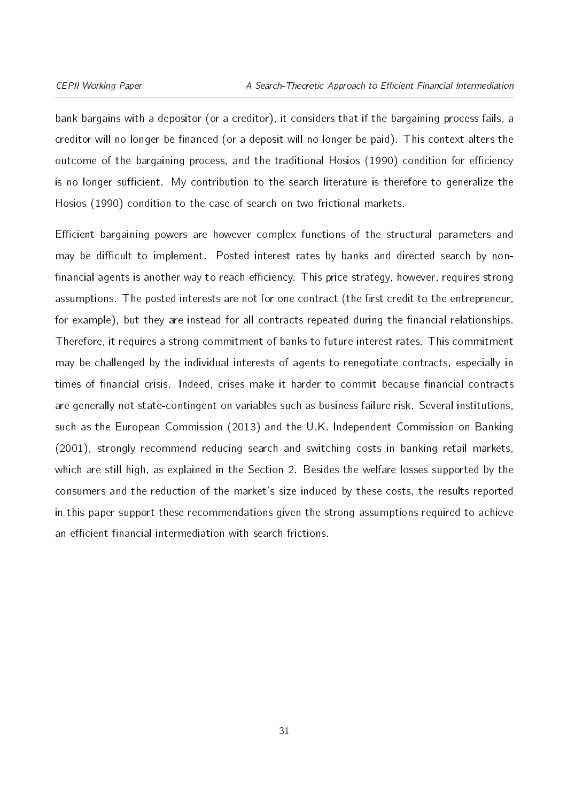bank bargains with a depositor (or a creditor), it considers that if the bargaining process fails, a creditor will no longer be financed (or a deposit will no longer be paid). This context alters the outcome of the bargaining process, and the traditional Hosios (1990) condition for efficiency is no longer sufficient. My contribution to the search literature is therefore to generalize the Hosios (1990) condition to the case of search on two frictional markets.

Efficient bargaining powers are however complex functions of the structural parameters and may be difficult to implement. Posted interest rates by banks and directed search by nonfinancial agents is another way to reach efficiency. This price strategy, however, requires strong assumptions. The posted interests are not for one contract (the first credit to the entrepreneur, for example), but they are instead for all contracts repeated during the financial relationships. Therefore, it requires a strong commitment of banks to future interest rates. This commitment may be challenged by the individual interests of agents to renegotiate contracts, especially in times of financial crisis. Indeed, crises make it harder to commit because financial contracts are generally not state-contingent on variables such as business failure risk. Several institutions, such as the European Commission (2013) and the U.K. Independent Commission on Banking (2001), strongly recommend reducing search and switching costs in banking retail markets, which are still high, as explained in the Section [2.](#page-5-0) Besides the welfare losses supported by the consumers and the reduction of the market's size induced by these costs, the results reported in this paper support these recommendations given the strong assumptions required to achieve an efficient financial intermediation with search frictions.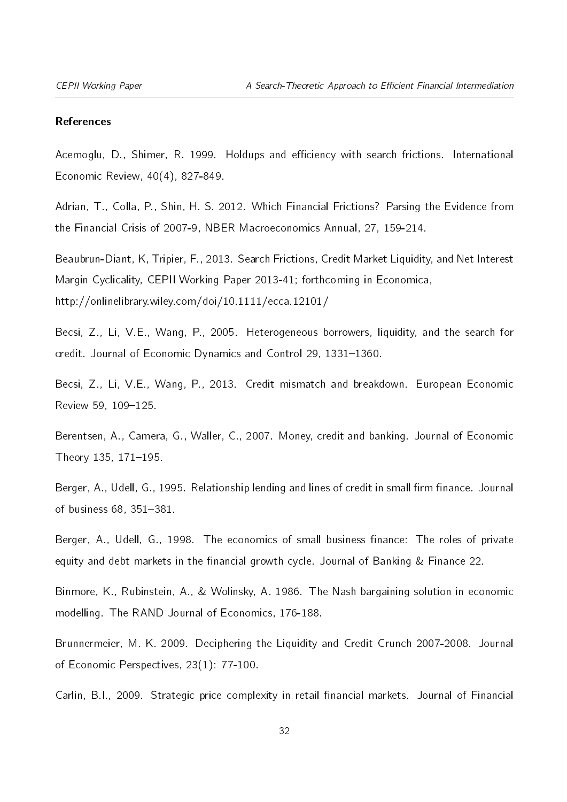#### References

Acemoglu, D., Shimer, R. 1999. Holdups and efficiency with search frictions. International Economic Review, 40(4), 827-849.

Adrian, T., Colla, P., Shin, H. S. 2012. Which Financial Frictions? Parsing the Evidence from the Financial Crisis of 2007-9, NBER Macroeconomics Annual, 27, 159-214.

Beaubrun-Diant, K, Tripier, F., 2013. Search Frictions, Credit Market Liquidity, and Net Interest Margin Cyclicality, CEPII Working Paper 2013-41; forthcoming in Economica, http://onlinelibrary.wiley.com/doi/10.1111/ecca.12101/

Becsi, Z., Li, V.E., Wang, P., 2005. Heterogeneous borrowers, liquidity, and the search for credit. Journal of Economic Dynamics and Control 29, 1331-1360.

Becsi, Z., Li, V.E., Wang, P., 2013. Credit mismatch and breakdown. European Economic Review 59, 109-125.

Berentsen, A., Camera, G., Waller, C., 2007. Money, credit and banking. Journal of Economic Theory  $135, 171 - 195$ .

Berger, A., Udell, G., 1995. Relationship lending and lines of credit in small firm finance. Journal of business 68, 351-381.

Berger, A., Udell, G., 1998. The economics of small business finance: The roles of private equity and debt markets in the financial growth cycle. Journal of Banking  $&$  Finance 22.

Binmore, K., Rubinstein, A., & Wolinsky, A. 1986. The Nash bargaining solution in economic modelling. The RAND Journal of Economics, 176-188.

Brunnermeier, M. K. 2009. Deciphering the Liquidity and Credit Crunch 2007-2008. Journal of Economic Perspectives, 23(1): 77-100.

Carlin, B.I., 2009. Strategic price complexity in retail financial markets. Journal of Financial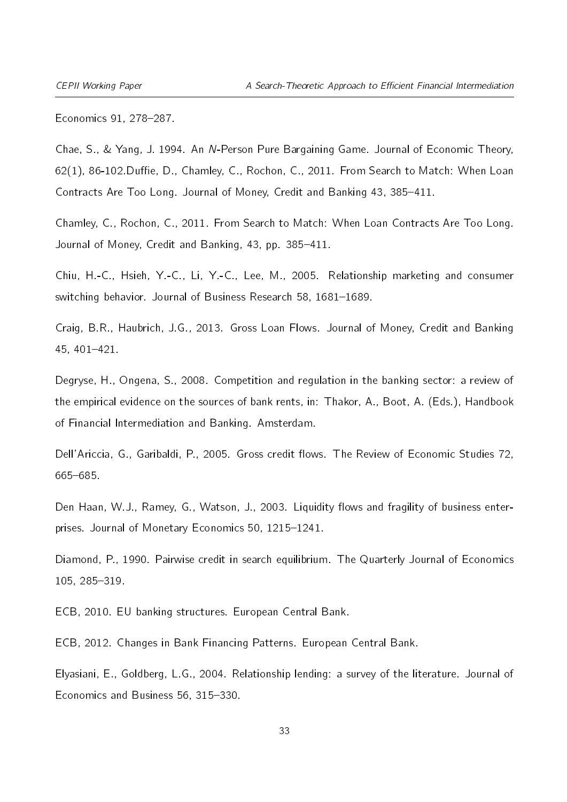Economics 91, 278-287.

Chae, S., & Yang, J. 1994. An N-Person Pure Bargaining Game. Journal of Economic Theory,  $62(1)$ , 86-102 Duffie, D., Chamley, C., Rochon, C., 2011. From Search to Match: When Loan Contracts Are Too Long. Journal of Money, Credit and Banking 43, 385-411.

Chamley, C., Rochon, C., 2011. From Search to Match: When Loan Contracts Are Too Long. Journal of Money, Credit and Banking, 43, pp. 385-411.

Chiu, H.-C., Hsieh, Y.-C., Li, Y.-C., Lee, M., 2005. Relationship marketing and consumer switching behavior. Journal of Business Research 58, 1681-1689.

Craig, B.R., Haubrich, J.G., 2013. Gross Loan Flows. Journal of Money, Credit and Banking  $45, 401 - 421.$ 

Degryse, H., Ongena, S., 2008. Competition and regulation in the banking sector: a review of the empirical evidence on the sources of bank rents, in: Thakor, A., Boot, A. (Eds.), Handbook of Financial Intermediation and Banking. Amsterdam.

Dell'Ariccia, G., Garibaldi, P., 2005. Gross credit flows. The Review of Economic Studies 72, 665-685

Den Haan, W.J., Ramey, G., Watson, J., 2003. Liguidity flows and fragility of business enterprises. Journal of Monetary Economics 50, 1215-1241.

Diamond, P., 1990. Pairwise credit in search equilibrium. The Quarterly Journal of Economics 105, 285-319.

ECB, 2010. EU banking structures. European Central Bank.

ECB, 2012. Changes in Bank Financing Patterns. European Central Bank.

Elyasiani, E., Goldberg, L.G., 2004. Relationship lending: a survey of the literature. Journal of Economics and Business 56, 315-330.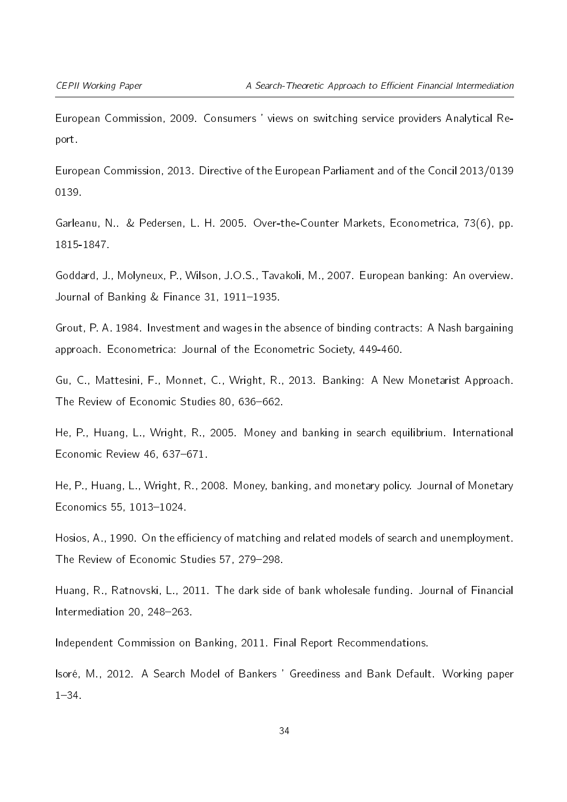European Commission, 2009. Consumers ' views on switching service providers Analytical Report.

European Commission, 2013. Directive of the European Parliament and of the Concil 2013/0139 0139.

Garleanu, N.. & Pedersen, L. H. 2005. Over-the-Counter Markets, Econometrica, 73(6), pp. 1815-1847.

Goddard, J., Molyneux, P., Wilson, J.O.S., Tavakoli, M., 2007. European banking: An overview. Journal of Banking  $&$  Finance 31, 1911-1935.

Grout, P. A. 1984. Investment and wages in the absence of binding contracts: A Nash bargaining approach. Econometrica: Journal of the Econometric Society, 449-460.

Gu, C., Mattesini, F., Monnet, C., Wright, R., 2013. Banking: A New Monetarist Approach. The Review of Economic Studies 80, 636-662.

He, P., Huang, L., Wright, R., 2005. Money and banking in search equilibrium. International Economic Review  $46, 637-671$ .

He, P., Huang, L., Wright, R., 2008. Money, banking, and monetary policy. Journal of Monetary Economics 55, 1013-1024.

Hosios, A., 1990. On the efficiency of matching and related models of search and unemployment. The Review of Economic Studies 57, 279-298.

Huang, R., Ratnovski, L., 2011. The dark side of bank wholesale funding. Journal of Financial Intermediation 20, 248-263.

Independent Commission on Banking, 2011. Final Report Recommendations.

Isoré, M., 2012. A Search Model of Bankers ' Greediness and Bank Default. Working paper  $1 - 34$ 

34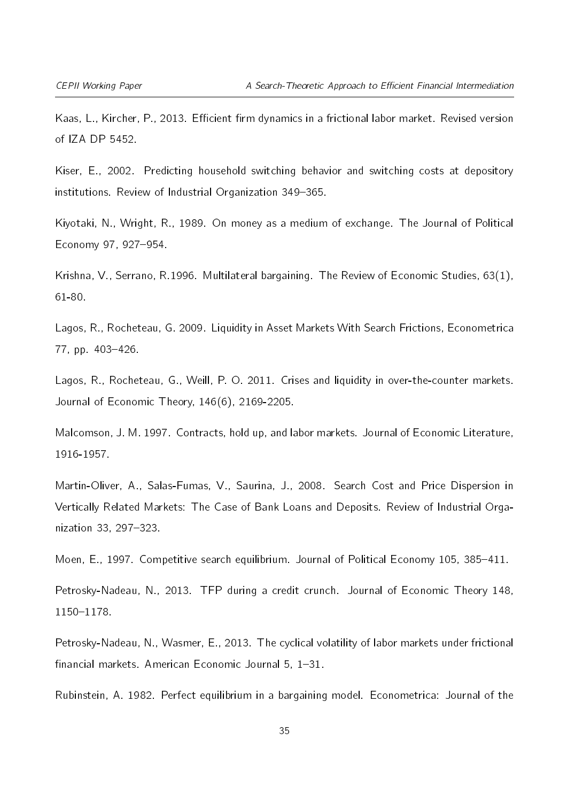Kaas, L., Kircher, P., 2013. Efficient firm dynamics in a frictional labor market. Revised version of IZA DP 5452.

Kiser, E., 2002. Predicting household switching behavior and switching costs at depository institutions. Review of Industrial Organization 349-365.

Kiyotaki, N., Wright, R., 1989. On money as a medium of exchange. The Journal of Political Economy 97, 927-954.

Krishna, V., Serrano, R.1996. Multilateral bargaining. The Review of Economic Studies, 63(1), 61-80.

Lagos, R., Rocheteau, G. 2009. Liquidity in Asset Markets With Search Frictions, Econometrica 77, pp. 403-426.

Lagos, R., Rocheteau, G., Weill, P. O. 2011. Crises and liquidity in over-the-counter markets. Journal of Economic Theory, 146(6), 2169-2205.

Malcomson, J. M. 1997. Contracts, hold up, and labor markets. Journal of Economic Literature, 1916-1957.

Martin-Oliver, A., Salas-Fumas, V., Saurina, J., 2008. Search Cost and Price Dispersion in Vertically Related Markets: The Case of Bank Loans and Deposits. Review of Industrial Organization 33, 297-323.

Moen, E., 1997. Competitive search equilibrium. Journal of Political Economy 105, 385-411.

Petrosky-Nadeau, N., 2013. TFP during a credit crunch. Journal of Economic Theory 148, 1150-1178.

Petrosky-Nadeau, N., Wasmer, E., 2013. The cyclical volatility of labor markets under frictional  $f$ inancial markets. American Economic Journal 5, 1-31.

Rubinstein, A. 1982. Perfect equilibrium in a bargaining model. Econometrica: Journal of the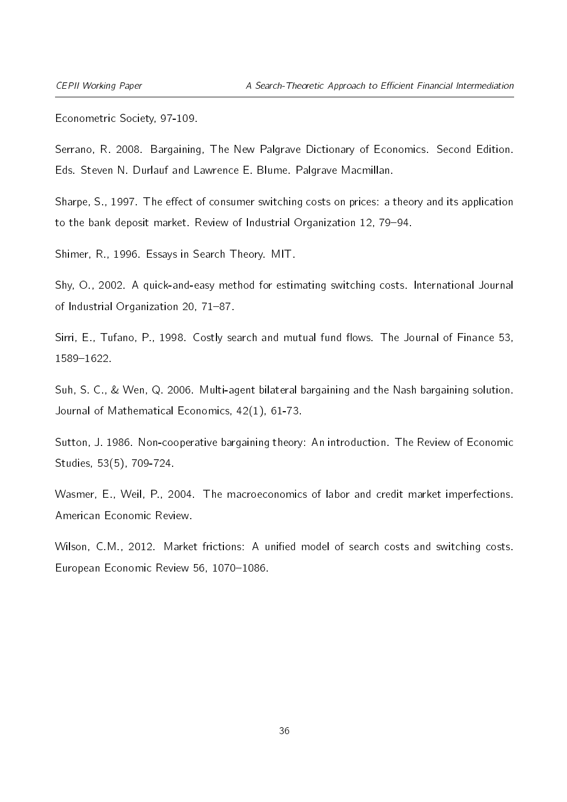Econometric Society, 97-109.

Serrano, R. 2008. Bargaining, The New Palgrave Dictionary of Economics. Second Edition. Eds. Steven N. Durlauf and Lawrence E. Blume. Palgrave Macmillan.

Sharpe, S., 1997. The effect of consumer switching costs on prices: a theory and its application to the bank deposit market. Review of Industrial Organization 12, 79-94.

Shimer, R., 1996. Essays in Search Theory. MIT.

Shy, O., 2002. A quick-and-easy method for estimating switching costs. International Journal of Industrial Organization 20, 71-87.

Sirri, E., Tufano, P., 1998. Costly search and mutual fund flows. The Journal of Finance 53, 15891622.

Suh, S. C., & Wen, Q. 2006. Multi-agent bilateral bargaining and the Nash bargaining solution. Journal of Mathematical Economics, 42(1), 61-73.

Sutton, J. 1986. Non-cooperative bargaining theory: An introduction. The Review of Economic Studies, 53(5), 709-724.

Wasmer, E., Weil, P., 2004. The macroeconomics of labor and credit market imperfections. American Economic Review.

Wilson, C.M., 2012. Market frictions: A unified model of search costs and switching costs. European Economic Review 56, 1070-1086.

36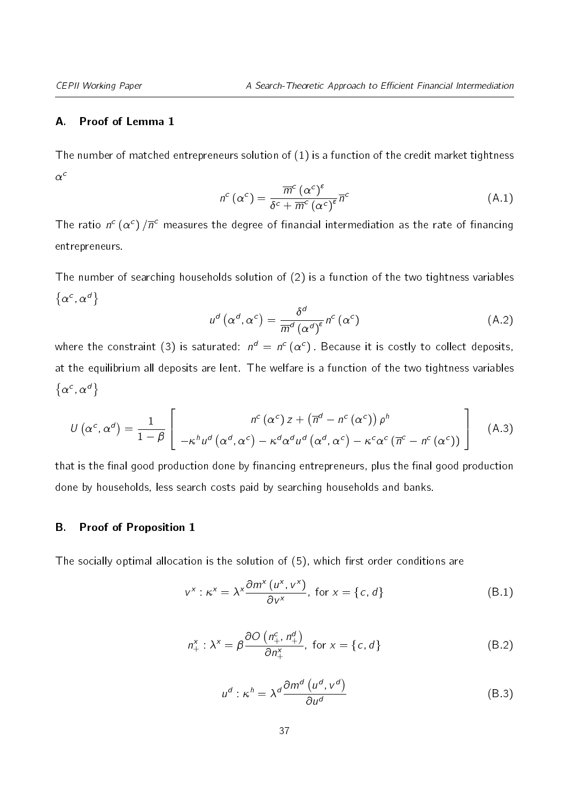#### A. Proof of Lemma [1](#page-11-3)

The number of matched entrepreneurs solution of [\(1\)](#page-10-2) is a function of the credit market tightness  $\alpha^c$ 

$$
n^{c}(\alpha^{c}) = \frac{\overline{m}^{c}(\alpha^{c})^{\epsilon}}{\delta^{c} + \overline{m}^{c}(\alpha^{c})^{\epsilon}} \overline{n}^{c}
$$
 (A.1)

The ratio  $n^c \, (\alpha^c) \, / \overline{n}^c$  measures the degree of financial intermediation as the rate of financing entrepreneurs.

The number of searching households solution of [\(2\)](#page-10-3) is a function of the two tightness variables  $\{\alpha^c, \alpha^d\}$ 

$$
u^{d}\left(\alpha^{d},\alpha^{c}\right)=\frac{\delta^{d}}{\overline{m}^{d}\left(\alpha^{d}\right)^{\epsilon}}n^{c}\left(\alpha^{c}\right)
$$
\n(A.2)

where the constraint [\(3\)](#page-10-4) is saturated:  $n^d\,=\,n^c\,(\alpha^c)$  . Because it is costly to collect deposits, at the equilibrium all deposits are lent. The welfare is a function of the two tightness variables  $\{\alpha^c, \alpha^d\}$ 

$$
U\left(\alpha^{c},\alpha^{d}\right)=\frac{1}{1-\beta}\left[\begin{array}{c}n^{c}\left(\alpha^{c}\right)z+\left(\overline{n}^{d}-n^{c}\left(\alpha^{c}\right)\right)\rho^{h}\\-\kappa^{h}u^{d}\left(\alpha^{d},\alpha^{c}\right)-\kappa^{d}\alpha^{d}u^{d}\left(\alpha^{d},\alpha^{c}\right)-\kappa^{c}\alpha^{c}\left(\overline{n}^{c}-n^{c}\left(\alpha^{c}\right)\right)\end{array}\right]
$$
(A.3)

that is the final good production done by financing entrepreneurs, plus the final good production done by households, less search costs paid by searching households and banks.

#### B. Proof of Proposition [1](#page-12-3)

<span id="page-36-2"></span><span id="page-36-1"></span>The socially optimal allocation is the solution of  $(5)$ , which first order conditions are

$$
v^{x}: \kappa^{x} = \lambda^{x} \frac{\partial m^{x}(u^{x}, v^{x})}{\partial v^{x}}, \text{ for } x = \{c, d\}
$$
 (B.1)

$$
n_{+}^{x} : \lambda^{x} = \beta \frac{\partial O\left(n_{+}^{c}, n_{+}^{d}\right)}{\partial n_{+}^{x}}, \text{ for } x = \{c, d\}
$$
 (B.2)

<span id="page-36-0"></span>
$$
u^{d}: \kappa^{h} = \lambda^{d} \frac{\partial m^{d} (u^{d}, v^{d})}{\partial u^{d}}
$$
 (B.3)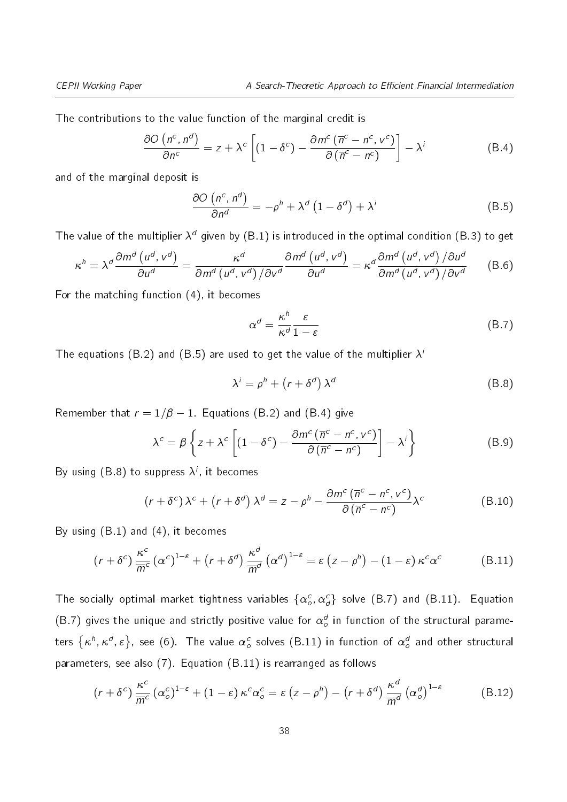The contributions to the value function of the marginal credit is

$$
\frac{\partial O\left(n^c, n^d\right)}{\partial n^c} = z + \lambda^c \left[ \left(1 - \delta^c\right) - \frac{\partial m^c \left(\overline{n}^c - n^c, v^c\right)}{\partial \left(\overline{n}^c - n^c\right)} \right] - \lambda^i \tag{B.4}
$$

and of the marginal deposit is

<span id="page-37-1"></span><span id="page-37-0"></span>
$$
\frac{\partial O\left(n^{c}, n^{d}\right)}{\partial n^{d}} = -\rho^{h} + \lambda^{d} \left(1 - \delta^{d}\right) + \lambda^{i}
$$
\n(B.5)

The value of the multiplier  $\lambda^d$  given by [\(B.1\)](#page-36-0) is introduced in the optimal condition [\(B.3\)](#page-36-1) to get

$$
\kappa^{h} = \lambda^{d} \frac{\partial m^{d} \left( u^{d}, v^{d} \right)}{\partial u^{d}} = \frac{\kappa^{d}}{\partial m^{d} \left( u^{d}, v^{d} \right) / \partial v^{d}} \frac{\partial m^{d} \left( u^{d}, v^{d} \right)}{\partial u^{d}} = \kappa^{d} \frac{\partial m^{d} \left( u^{d}, v^{d} \right) / \partial u^{d}}{\partial m^{d} \left( u^{d}, v^{d} \right) / \partial v^{d}}
$$
(B.6)

For the matching function [\(4\)](#page-11-1), it becomes

<span id="page-37-3"></span><span id="page-37-2"></span>
$$
\alpha^d = \frac{\kappa^h}{\kappa^d} \frac{\varepsilon}{1 - \varepsilon} \tag{B.7}
$$

The equations [\(B.2\)](#page-36-2) and [\(B.5\)](#page-37-0) are used to get the value of the multiplier  $\lambda^2$ 

$$
\lambda^i = \rho^h + \left(r + \delta^d\right) \lambda^d \tag{B.8}
$$

Remember that  $r = 1/\beta - 1$ . Equations [\(B.2\)](#page-36-2) and [\(B.4\)](#page-37-1) give

$$
\lambda^{c} = \beta \left\{ z + \lambda^{c} \left[ (1 - \delta^{c}) - \frac{\partial m^{c} (\overline{n}^{c} - n^{c}, v^{c})}{\partial (\overline{n}^{c} - n^{c})} \right] - \lambda^{i} \right\}
$$
(B.9)

By using  $(\mathsf{B.8})$  to suppress  $\lambda^i$ , it becomes

<span id="page-37-4"></span>
$$
(r + \delta^c) \lambda^c + (r + \delta^d) \lambda^d = z - \rho^h - \frac{\partial m^c (\overline{n}^c - n^c, v^c)}{\partial (\overline{n}^c - n^c)} \lambda^c
$$
 (B.10)

By using [\(B.1\)](#page-36-0) and [\(4\)](#page-11-1), it becomes

$$
(r+\delta^c)\frac{\kappa^c}{\overline{m}^c}(\alpha^c)^{1-\epsilon}+(r+\delta^d)\frac{\kappa^d}{\overline{m}^d}(\alpha^d)^{1-\epsilon}=\epsilon(z-\rho^h)-(1-\epsilon)\kappa^c\alpha^c
$$
(B.11)

The socially optimal market tightness variables  $\{\alpha^c_o,\alpha^c_d\}$  solve [\(B.7\)](#page-37-3) and [\(B.11\)](#page-37-4). Equation [\(B.7\)](#page-37-3) gives the unique and strictly positive value for  $\alpha_o^d$  in function of the structural parameters  $\{\kappa^h,\kappa^d,\varepsilon\}$ , see [\(6\)](#page-12-0). The value  $\alpha_o^c$  solves [\(B.11\)](#page-37-4) in function of  $\alpha_o^d$  and other structural parameters, see also [\(7\)](#page-12-2). Equation [\(B.11\)](#page-37-4) is rearranged as follows

$$
(r + \delta^c) \frac{\kappa^c}{\overline{m}^c} (\alpha_o^c)^{1-\epsilon} + (1-\epsilon) \kappa^c \alpha_o^c = \epsilon (z - \rho^h) - (r + \delta^d) \frac{\kappa^d}{\overline{m}^d} (\alpha_o^d)^{1-\epsilon}
$$
 (B.12)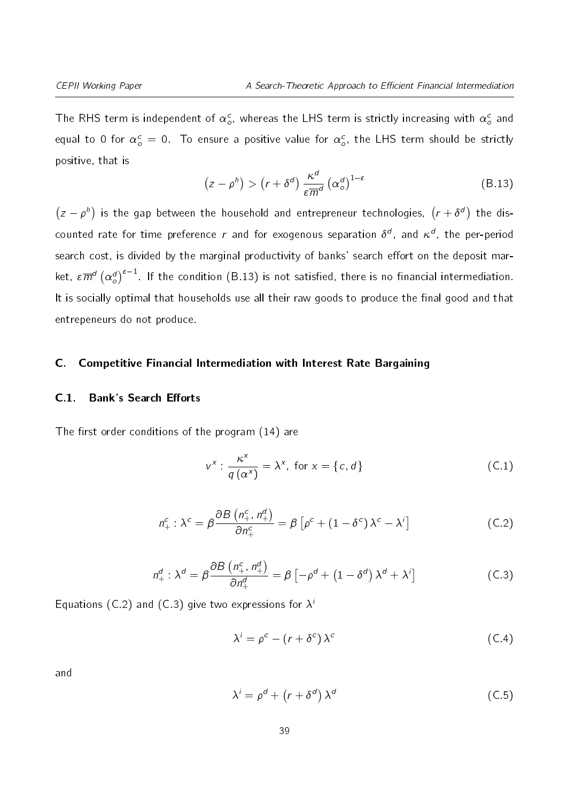The RHS term is independent of  $\alpha_o^c$ , whereas the LHS term is strictly increasing with  $\alpha_o^c$  and equal to 0 for  $\alpha_o^c=$  0. To ensure a positive value for  $\alpha_o^c$ , the LHS term should be strictly positive, that is

<span id="page-38-0"></span>
$$
(z - \rho^h) > (r + \delta^d) \frac{\kappa^d}{\varepsilon \overline{m}^d} (\alpha^d_{\rho})^{1-\varepsilon}
$$
 (B.13)

 $(z - \rho^h)$  is the gap between the household and entrepreneur technologies,  $(r + \delta^d)$  the discounted rate for time preference  $r$  and for exogenous separation  $\delta^d$ , and  $\kappa^d$ , the per-period search cost, is divided by the marginal productivity of banks' search effort on the deposit market,  $\epsilon \overline{m}^d \left( \alpha_o^d \right)^{\epsilon-1}$ . If the condition [\(B.13\)](#page-38-0) is not satisfied, there is no financial intermediation. It is socially optimal that households use all their raw goods to produce the final good and that entrepeneurs do not produce.

#### C. Competitive Financial Intermediation with Interest Rate Bargaining

#### C.1. Bank's Search Efforts

The first order conditions of the program  $(14)$  are

$$
v^{x} : \frac{\kappa^{x}}{q(\alpha^{x})} = \lambda^{x}, \text{ for } x = \{c, d\}
$$
 (C.1)

$$
n_{+}^{c}: \lambda^{c} = \beta \frac{\partial B\left(n_{+}^{c}, n_{+}^{d}\right)}{\partial n_{+}^{c}} = \beta \left[\rho^{c} + \left(1 - \delta^{c}\right) \lambda^{c} - \lambda^{i}\right]
$$
(C.2)

$$
n_+^d: \lambda^d = \beta \frac{\partial B\left(n_+^c, n_+^d\right)}{\partial n_+^d} = \beta \left[-\rho^d + \left(1 - \delta^d\right) \lambda^d + \lambda^i\right] \tag{C.3}
$$

Equations [\(C.2\)](#page-10-3) and [\(C.3\)](#page-10-4) give two expressions for  $\lambda'$ 

$$
\lambda^{i} = \rho^{c} - (r + \delta^{c}) \lambda^{c}
$$
 (C.4)

and

$$
\lambda^{i} = \rho^{d} + (r + \delta^{d}) \lambda^{d}
$$
 (C.5)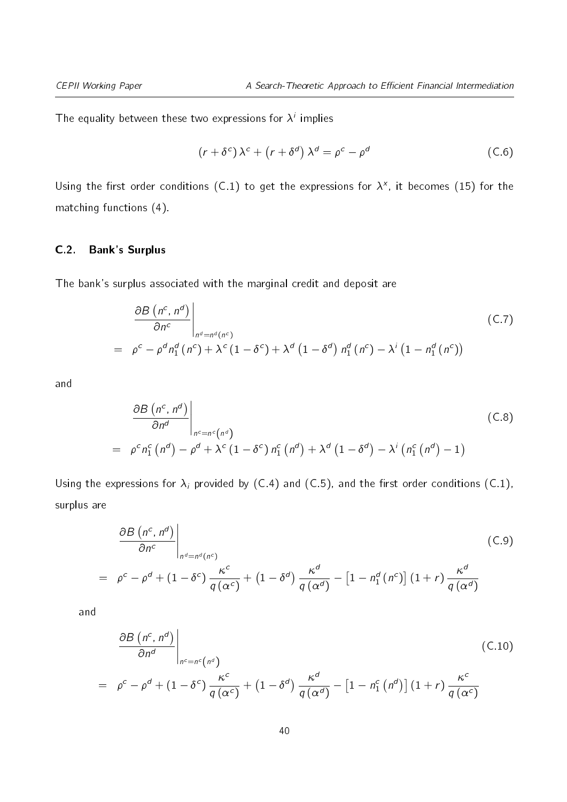The equality between these two expressions for  $\lambda^i$  implies

$$
(r + \delta^c) \lambda^c + (r + \delta^d) \lambda^d = \rho^c - \rho^d
$$
 (C.6)

Using the first order conditions [\(C.1\)](#page-10-2) to get the expressions for  $\lambda^{\mathsf{x}}$ , it becomes [\(15\)](#page-15-0) for the matching functions [\(4\)](#page-11-1).

#### C.2. Bank's Surplus

The bank's surplus associated with the marginal credit and deposit are

$$
\left.\frac{\partial B\left(n^{c}, n^{d}\right)}{\partial n^{c}}\right|_{n^{d}=n^{d}\left(n^{c}\right)}
$$
\n
$$
= \left.\rho^{c}-\rho^{d}n_{1}^{d}\left(n^{c}\right)+\lambda^{c}\left(1-\delta^{c}\right)+\lambda^{d}\left(1-\delta^{d}\right)n_{1}^{d}\left(n^{c}\right)-\lambda^{i}\left(1-n_{1}^{d}\left(n^{c}\right)\right)\right\}
$$
\n(C.7)

and

$$
\frac{\partial B\left(n^{c}, n^{d}\right)}{\partial n^{d}}\Big|_{n^{c}=n^{c}\left(n^{d}\right)}
$$
\n
$$
= \rho^{c} n_{1}^{c}\left(n^{d}\right) - \rho^{d} + \lambda^{c}\left(1 - \delta^{c}\right)n_{1}^{c}\left(n^{d}\right) + \lambda^{d}\left(1 - \delta^{d}\right) - \lambda^{i}\left(n_{1}^{c}\left(n^{d}\right) - 1\right)
$$
\n(C.8)

Using the expressions for  $\lambda_i$  provided by [\(C.4\)](#page-11-1) and [\(C.5\)](#page-11-0), and the first order conditions [\(C.1\)](#page-10-2), surplus are

<span id="page-39-1"></span>
$$
\frac{\partial B\left(n^{c}, n^{d}\right)}{\partial n^{c}}\Big|_{n^{d}=n^{d}\left(n^{c}\right)}
$$
\n
$$
= \rho^{c} - \rho^{d} + \left(1 - \delta^{c}\right) \frac{\kappa^{c}}{q\left(\alpha^{c}\right)} + \left(1 - \delta^{d}\right) \frac{\kappa^{d}}{q\left(\alpha^{d}\right)} - \left[1 - n_{1}^{d}\left(n^{c}\right)\right]\left(1 + r\right) \frac{\kappa^{d}}{q\left(\alpha^{d}\right)}
$$
\n(C.9)

and

<span id="page-39-0"></span>
$$
\frac{\partial B\left(n^{c}, n^{d}\right)}{\partial n^{d}}\Big|_{n^{c}=n^{c}\left(n^{d}\right)}
$$
\n
$$
= \rho^{c} - \rho^{d} + (1 - \delta^{c})\frac{\kappa^{c}}{q\left(\alpha^{c}\right)} + (1 - \delta^{d})\frac{\kappa^{d}}{q\left(\alpha^{d}\right)} - \left[1 - n_{1}^{c}\left(n^{d}\right)\right]\left(1 + r\right)\frac{\kappa^{c}}{q\left(\alpha^{c}\right)}
$$
\n(C.10)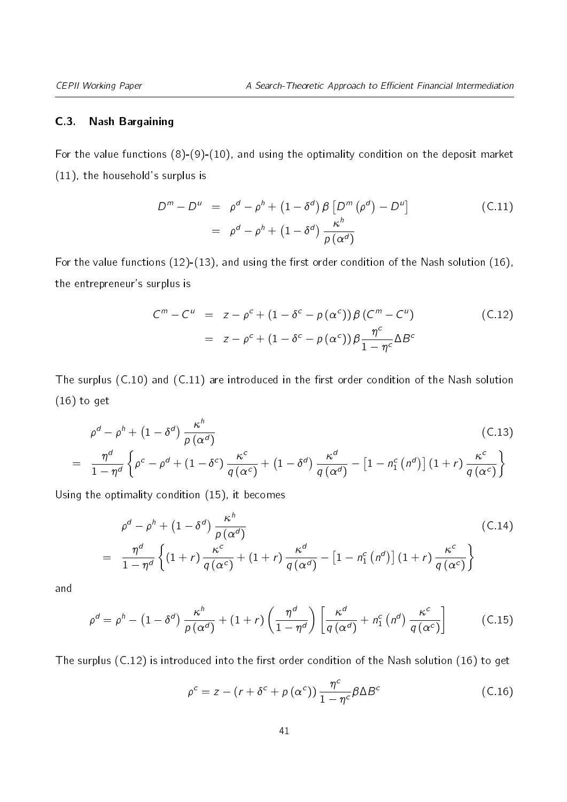#### C.3. Nash Bargaining

For the value functions [\(8\)](#page-13-1)-[\(9\)](#page-13-2)-[\(10\)](#page-13-3), and using the optimality condition on the deposit market [\(11\)](#page-14-2), the household's surplus is

<span id="page-40-0"></span>
$$
Dm - Du = \rhod - \rhoh + (1 - \deltad) \beta [Dm (\rhod) - Du]
$$
  
=  $\rhod - \rhoh + (1 - \deltad) \frac{\kappah}{\rho (\alphad)}$  (C.11)

For the value functions  $(12)-(13)$  $(12)-(13)$  $(12)-(13)$ , and using the first order condition of the Nash solution  $(16)$ , the entrepreneur's surplus is

<span id="page-40-1"></span>
$$
C^{m} - C^{u} = z - \rho^{c} + (1 - \delta^{c} - p(\alpha^{c})) \beta (C^{m} - C^{u})
$$
  
= 
$$
z - \rho^{c} + (1 - \delta^{c} - p(\alpha^{c})) \beta \frac{\eta^{c}}{1 - \eta^{c}} \Delta B^{c}
$$
 (C.12)

The surplus  $(C.10)$  and  $(C.11)$  are introduced in the first order condition of the Nash solution [\(16\)](#page-15-1) to get

$$
\rho^{d} - \rho^{h} + (1 - \delta^{d}) \frac{\kappa^{h}}{\rho(\alpha^{d})}
$$
\n
$$
= \frac{\eta^{d}}{1 - \eta^{d}} \left\{ \rho^{c} - \rho^{d} + (1 - \delta^{c}) \frac{\kappa^{c}}{q(\alpha^{c})} + (1 - \delta^{d}) \frac{\kappa^{d}}{q(\alpha^{d})} - \left[ 1 - n_{1}^{c} (n^{d}) \right] (1 + r) \frac{\kappa^{c}}{q(\alpha^{c})} \right\}
$$
\n(C.13)

Using the optimality condition [\(15\)](#page-15-0), it becomes

$$
\rho^{d} - \rho^{h} + (1 - \delta^{d}) \frac{\kappa^{h}}{\rho(\alpha^{d})}
$$
\n
$$
= \frac{\eta^{d}}{1 - \eta^{d}} \left\{ (1 + r) \frac{\kappa^{c}}{q(\alpha^{c})} + (1 + r) \frac{\kappa^{d}}{q(\alpha^{d})} - \left[ 1 - n_{1}^{c}(n^{d}) \right] (1 + r) \frac{\kappa^{c}}{q(\alpha^{c})} \right\}
$$
\n(C.14)

<span id="page-40-2"></span>and

$$
\rho^d = \rho^h - \left(1 - \delta^d\right) \frac{\kappa^h}{\rho \left(\alpha^d\right)} + \left(1 + r\right) \left(\frac{\eta^d}{1 - \eta^d}\right) \left[\frac{\kappa^d}{q \left(\alpha^d\right)} + n_1^c \left(n^d\right) \frac{\kappa^c}{q \left(\alpha^c\right)}\right] \tag{C.15}
$$

The surplus  $(C.12)$  is introduced into the first order condition of the Nash solution  $(16)$  to get

$$
\rho^{c} = z - (r + \delta^{c} + p(\alpha^{c})) \frac{\eta^{c}}{1 - \eta^{c}} \beta \Delta B^{c}
$$
 (C.16)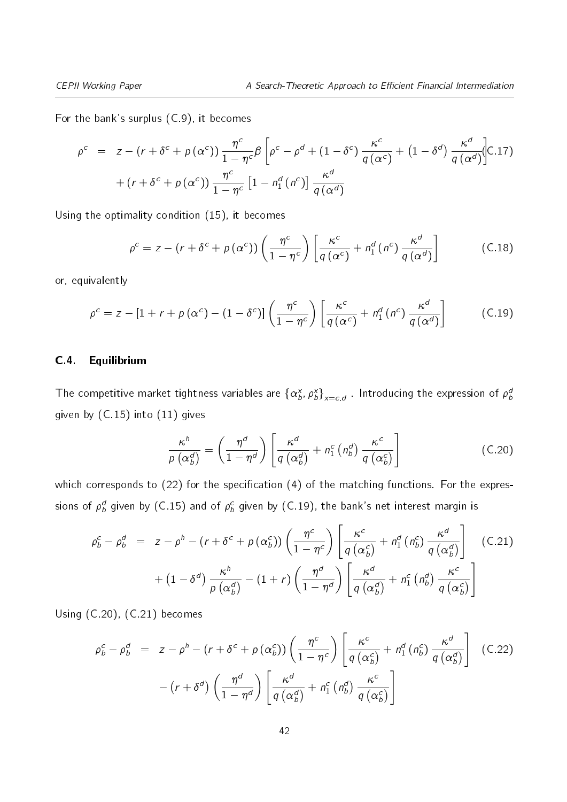For the bank's surplus [\(C.9\)](#page-39-1), it becomes

$$
\rho^{c} = z - (r + \delta^{c} + p(\alpha^{c})) \frac{\eta^{c}}{1 - \eta^{c}} \beta \left[ \rho^{c} - \rho^{d} + (1 - \delta^{c}) \frac{\kappa^{c}}{q(\alpha^{c})} + (1 - \delta^{d}) \frac{\kappa^{d}}{q(\alpha^{d})} \right]
$$
\n
$$
+ (r + \delta^{c} + p(\alpha^{c})) \frac{\eta^{c}}{1 - \eta^{c}} \left[ 1 - n_{1}^{d}(n^{c}) \right] \frac{\kappa^{d}}{q(\alpha^{d})}
$$

Using the optimality condition [\(15\)](#page-15-0), it becomes

<span id="page-41-1"></span>
$$
\rho^{c} = z - (r + \delta^{c} + \rho(\alpha^{c})) \left( \frac{\eta^{c}}{1 - \eta^{c}} \right) \left[ \frac{\kappa^{c}}{q(\alpha^{c})} + n_{1}^{d}(n^{c}) \frac{\kappa^{d}}{q(\alpha^{d})} \right]
$$
(C.18)

or, equivalently

$$
\rho^{c} = z - [1 + r + p(\alpha^{c}) - (1 - \delta^{c})] \left( \frac{\eta^{c}}{1 - \eta^{c}} \right) \left[ \frac{\kappa^{c}}{q(\alpha^{c})} + n_{1}^{d}(n^{c}) \frac{\kappa^{d}}{q(\alpha^{d})} \right]
$$
(C.19)

#### <span id="page-41-0"></span>C.4. Equilibrium

The competitive market tightness variables are  $\{\alpha_b^\chi,\rho_b^\chi\}_{\chi=c,d}$  . Introducing the expression of  $\rho_b^a$ given by [\(C.15\)](#page-40-2) into [\(11\)](#page-14-2) gives

<span id="page-41-2"></span>
$$
\frac{\kappa^h}{\rho\left(\alpha_b^d\right)} = \left(\frac{\eta^d}{1-\eta^d}\right) \left[\frac{\kappa^d}{q\left(\alpha_b^d\right)} + n_1^c\left(n_b^d\right) \frac{\kappa^c}{q\left(\alpha_b^c\right)}\right]
$$
(C.20)

which corresponds to  $(22)$  for the specification  $(4)$  of the matching functions. For the expressions of  $\rho_b^d$  given by [\(C.15\)](#page-40-2) and of  $\rho_b^c$  given by [\(C.19\)](#page-41-1), the bank's net interest margin is

<span id="page-41-3"></span>
$$
\rho_b^c - \rho_b^d = z - \rho^h - (r + \delta^c + p(\alpha_b^c)) \left( \frac{\eta^c}{1 - \eta^c} \right) \left[ \frac{\kappa^c}{q(\alpha_b^c)} + n_1^d(n_b^c) \frac{\kappa^d}{q(\alpha_b^d)} \right] \quad \text{(C.21)}
$$

$$
+ (1 - \delta^d) \frac{\kappa^h}{p(\alpha_b^d)} - (1 + r) \left( \frac{\eta^d}{1 - \eta^d} \right) \left[ \frac{\kappa^d}{q(\alpha_b^d)} + n_1^c(n_b^d) \frac{\kappa^c}{q(\alpha_b^c)} \right]
$$

Using [\(C.20\)](#page-41-2), [\(C.21\)](#page-41-3) becomes

<span id="page-41-4"></span>
$$
\rho_b^c - \rho_b^d = z - \rho^h - (r + \delta^c + p(\alpha_b^c)) \left( \frac{\eta^c}{1 - \eta^c} \right) \left[ \frac{\kappa^c}{q(\alpha_b^c)} + n_1^d(n_b^c) \frac{\kappa^d}{q(\alpha_b^d)} \right] \tag{C.22}
$$

$$
- (r + \delta^d) \left( \frac{\eta^d}{1 - \eta^d} \right) \left[ \frac{\kappa^d}{q(\alpha_b^d)} + n_1^c(n_b^d) \frac{\kappa^c}{q(\alpha_b^c)} \right]
$$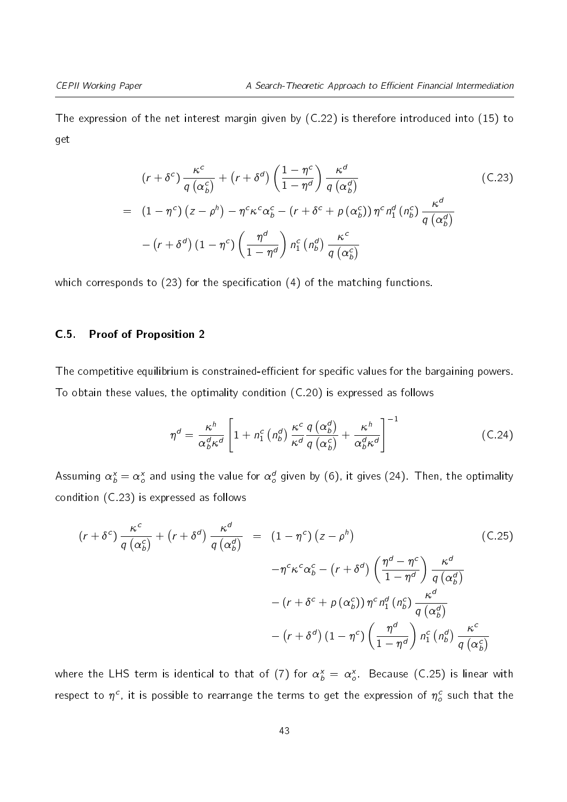The expression of the net interest margin given by [\(C.22\)](#page-41-4) is therefore introduced into [\(15\)](#page-15-0) to get

<span id="page-42-1"></span>
$$
(r + \delta^{c}) \frac{\kappa^{c}}{q(\alpha_{b}^{c})} + (r + \delta^{d}) \left(\frac{1 - \eta^{c}}{1 - \eta^{d}}\right) \frac{\kappa^{d}}{q(\alpha_{b}^{d})}
$$
\n
$$
= (1 - \eta^{c}) (z - \rho^{h}) - \eta^{c} \kappa^{c} \alpha_{b}^{c} - (r + \delta^{c} + p(\alpha_{b}^{c})) \eta^{c} n_{1}^{d}(n_{b}^{c}) \frac{\kappa^{d}}{q(\alpha_{b}^{d})}
$$
\n
$$
- (r + \delta^{d}) (1 - \eta^{c}) \left(\frac{\eta^{d}}{1 - \eta^{d}}\right) n_{1}^{c}(n_{b}^{d}) \frac{\kappa^{c}}{q(\alpha_{b}^{c})}
$$
\n(C.23)

which corresponds to  $(23)$  for the specification  $(4)$  of the matching functions.

#### <span id="page-42-0"></span>C.5. Proof of Proposition [2](#page-19-2)

The competitive equilibrium is constrained-efficient for specific values for the bargaining powers. To obtain these values, the optimality condition [\(C.20\)](#page-41-2) is expressed as follows

$$
\eta^d = \frac{\kappa^h}{\alpha_b^d \kappa^d} \left[ 1 + n_1^c \left( n_b^d \right) \frac{\kappa^c}{\kappa^d} \frac{q \left( \alpha_b^d \right)}{q \left( \alpha_b^c \right)} + \frac{\kappa^h}{\alpha_b^d \kappa^d} \right]^{-1} \tag{C.24}
$$

Assuming  $\alpha_b^{\text{x}}=\alpha_o^{\text{x}}$  and using the value for  $\alpha_o^d$  given by [\(6\)](#page-12-0), it gives [\(24\)](#page-19-0). Then, the optimality condition [\(C.23\)](#page-42-1) is expressed as follows

<span id="page-42-2"></span>
$$
(r + \delta^{c}) \frac{\kappa^{c}}{q(\alpha_{b}^{c})} + (r + \delta^{d}) \frac{\kappa^{d}}{q(\alpha_{b}^{d})} = (1 - \eta^{c}) (z - \rho^{h})
$$
\n
$$
- \eta^{c} \kappa^{c} \alpha_{b}^{c} - (r + \delta^{d}) \left(\frac{\eta^{d} - \eta^{c}}{1 - \eta^{d}}\right) \frac{\kappa^{d}}{q(\alpha_{b}^{d})}
$$
\n
$$
- (r + \delta^{c} + p(\alpha_{b}^{c})) \eta^{c} n_{1}^{d} (n_{b}^{c}) \frac{\kappa^{d}}{q(\alpha_{b}^{d})}
$$
\n
$$
- (r + \delta^{d}) (1 - \eta^{c}) \left(\frac{\eta^{d}}{1 - \eta^{d}}\right) n_{1}^{c} (n_{b}^{d}) \frac{\kappa^{c}}{q(\alpha_{b}^{c})}
$$

where the LHS term is identical to that of [\(7\)](#page-12-2) for  $\alpha_b^\chi\,=\,\alpha_o^\chi$  . Because [\(C.25\)](#page-42-2) is linear with respect to  $\eta^c$ , it is possible to rearrange the terms to get the expression of  $\eta_o^c$  such that the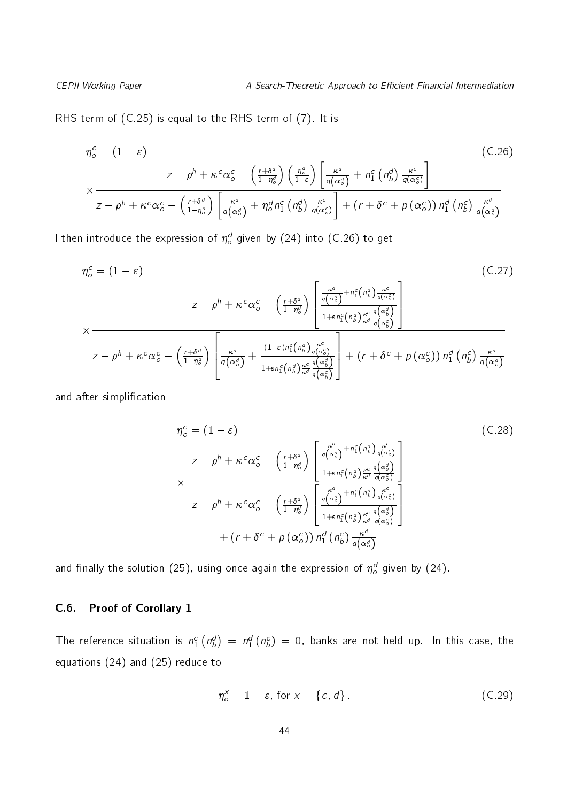RHS term of [\(C.25\)](#page-42-2) is equal to the RHS term of [\(7\)](#page-12-2). It is

<span id="page-43-1"></span>
$$
\eta_o^c = (1 - \varepsilon) \tag{C.26}
$$
\n
$$
\times \frac{z - \rho^h + \kappa^c \alpha_o^c - \left(\frac{r + \delta^d}{1 - \eta_o^d}\right) \left(\frac{\eta_o^d}{1 - \varepsilon}\right) \left[\frac{\kappa^d}{q(\alpha_o^d)} + n_1^c \left(n_b^d\right) \frac{\kappa^c}{q(\alpha_o^c)}\right]}{z - \rho^h + \kappa^c \alpha_o^c - \left(\frac{r + \delta^d}{1 - \eta_o^d}\right) \left[\frac{\kappa^d}{q(\alpha_o^d)} + n_0^d n_1^c \left(n_b^d\right) \frac{\kappa^c}{q(\alpha_o^c)}\right] + \left(r + \delta^c + p\left(\alpha_o^c\right)\right) n_1^d \left(n_b^c\right) \frac{\kappa^d}{q(\alpha_o^d)}
$$

I then introduce the expression of  $\eta_o^d$  given by [\(24\)](#page-19-0) into [\(C.26\)](#page-43-1) to get

$$
\eta_o^c = (1 - \varepsilon) \tag{C.27}
$$
\n
$$
z - \rho^h + \kappa^c \alpha_o^c - \left(\frac{r + \delta^d}{1 - \eta_o^d}\right) \left[\frac{\frac{\kappa^d}{q(\alpha_o^d)} + n_1^c(n_b^d) \frac{\kappa^c}{q(\alpha_o^c)}}{1 + \varepsilon n_1^c(n_b^d) \frac{\kappa^c}{\kappa^d} \frac{q(\alpha_b^d)}{q(\alpha_b^c)}}\right]
$$
\n
$$
z - \rho^h + \kappa^c \alpha_o^c - \left(\frac{r + \delta^d}{1 - \eta_o^d}\right) \left[\frac{\kappa^d}{q(\alpha_o^d)} + \frac{(1 - \varepsilon) n_1^c(n_b^d) \frac{\kappa^c}{q(\alpha_o^c)}}{1 + \varepsilon n_1^c(n_b^d) \frac{\kappa^c}{\kappa^d} \frac{q(\alpha_b^d)}{q(\alpha_b^c)}}\right] + \left(r + \delta^c + p(\alpha_o^c)\right) n_1^d(n_b^c) \frac{\kappa^d}{q(\alpha_o^d)}
$$
\n
$$
(C.27)
$$

and after simplification

$$
\eta_o^c = (1 - \varepsilon) \qquad (C.28)
$$
\n
$$
z - \rho^h + \kappa^c \alpha_o^c - \left(\frac{r + \delta^d}{1 - \eta_o^d}\right) \left[\frac{\frac{\kappa^d}{q(\alpha_o^d)} + n_1^c(n_b^d) \frac{\kappa^c}{q(\alpha_o^c)}}{1 + \varepsilon n_1^c(n_b^d) \frac{\kappa^c}{\kappa^d} \frac{q(\alpha_g^d)}{q(\alpha_o^c)}}\right] \times \frac{\frac{\kappa^d}{q(\alpha_o^d)} \left[1 + \varepsilon n_1^c(n_b^d) \frac{\kappa^c}{\kappa^d} \frac{q(\alpha_g^d)}{q(\alpha_o^c)}\right]}{1 + \varepsilon n_1^c(n_b^d) \frac{\kappa^c}{\kappa^d} \frac{q(\alpha_g^d)}{q(\alpha_o^c)}}\right]} + (r + \delta^c + p(\alpha_o^c)) n_1^d(n_b^c) \frac{\kappa^d}{q(\alpha_g^d)}
$$
\n(C.28)

and finally the solution [\(25\)](#page-19-1), using once again the expression of  $\eta_o^d$  given by [\(24\)](#page-19-0).

#### <span id="page-43-0"></span>C.6. Proof of Corollary [1](#page-20-1)

The reference situation is  $n_1^c \left( n_b^d \right) \ = \ n_1^d \left( n_b^c \right) \ = \ 0,$  banks are not held up. In this case, the equations [\(24\)](#page-19-0) and [\(25\)](#page-19-1) reduce to

$$
\eta_o^x = 1 - \varepsilon, \text{ for } x = \{c, d\} \tag{C.29}
$$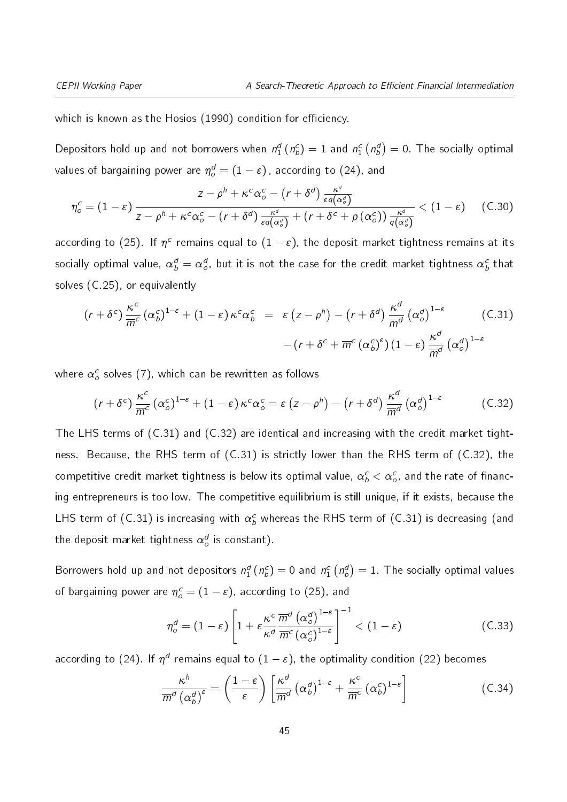which is known as the Hosios (1990) condition for efficiency.

Depositors hold up and not borrowers when  $n_1^d$  ( $n_b^c)=1$  and  $n_1^c$  ( $n_b^d)=0.$  The socially optimal values of bargaining power are  $\eta_o^d=(1-\varepsilon)$  , according to [\(24\)](#page-19-0), and

$$
\eta_o^c = (1 - \varepsilon) \frac{z - \rho^h + \kappa^c \alpha_o^c - (r + \delta^d) \frac{\kappa^d}{\varepsilon q(\alpha_o^d)}}{z - \rho^h + \kappa^c \alpha_o^c - (r + \delta^d) \frac{\kappa^d}{\varepsilon q(\alpha_o^d)} + (r + \delta^c + p(\alpha_o^c)) \frac{\kappa^d}{q(\alpha_o^d)}} < (1 - \varepsilon) \tag{C.30}
$$

according to [\(25\)](#page-19-1). If  $\eta^c$  remains equal to  $(1-\varepsilon)$ , the deposit market tightness remains at its socially optimal value,  $\alpha^d_b=\alpha^d_o$ , but it is not the case for the credit market tightness  $\alpha^c_b$  that solves [\(C.25\)](#page-42-2), or equivalently

<span id="page-44-0"></span>
$$
(r + \delta^c) \frac{\kappa^c}{\overline{m}^c} (\alpha_b^c)^{1-\epsilon} + (1-\epsilon) \kappa^c \alpha_b^c = \epsilon (z - \rho^h) - (r + \delta^d) \frac{\kappa^d}{\overline{m}^d} (\alpha_o^d)^{1-\epsilon} \qquad (C.31)
$$

$$
- (r + \delta^c + \overline{m}^c (\alpha_b^c)^{\epsilon}) (1-\epsilon) \frac{\kappa^d}{\overline{m}^d} (\alpha_o^d)^{1-\epsilon}
$$

where  $\alpha_o^c$  solves [\(7\)](#page-12-2), which can be rewritten as follows

<span id="page-44-1"></span>
$$
(r + \delta^c) \frac{\kappa^c}{\overline{m}^c} (\alpha_o^c)^{1-\epsilon} + (1-\epsilon) \kappa^c \alpha_o^c = \epsilon (z - \rho^h) - (r + \delta^d) \frac{\kappa^d}{\overline{m}^d} (\alpha_o^d)^{1-\epsilon}
$$
 (C.32)

The LHS terms of [\(C.31\)](#page-44-0) and [\(C.32\)](#page-44-1) are identical and increasing with the credit market tightness. Because, the RHS term of [\(C.31\)](#page-44-0) is strictly lower than the RHS term of [\(C.32\)](#page-44-1), the competitive credit market tightness is below its optimal value,  $\alpha^c_b<\alpha^c_o$ , and the rate of financing entrepreneurs is too low. The competitive equilibrium is still unique, if it exists, because the LHS term of [\(C.31\)](#page-44-0) is increasing with  $\alpha^c_b$  whereas the RHS term of (C.31) is decreasing (and the deposit market tightness  $\alpha_o^d$  is constant).

Borrowers hold up and not depositors  $n_1^d$  ( $n_b^c)=0$  and  $n_1^c$   $\left(n_b^d\right)=1.$  The socially optimal values of bargaining power are  $\eta_o^c = (1-\varepsilon)$ , according to [\(25\)](#page-19-1), and

<span id="page-44-2"></span>
$$
\eta_o^d = (1 - \varepsilon) \left[ 1 + \varepsilon \frac{\kappa^c}{\kappa^d} \frac{\overline{m}^d \left( \alpha_o^d \right)^{1 - \varepsilon}}{\overline{m}^c \left( \alpha_o^c \right)^{1 - \varepsilon}} \right]^{-1} < (1 - \varepsilon)
$$
\n(C.33)

according to [\(24\)](#page-19-0). If  $\eta^d$  remains equal to  $(1-\varepsilon)$ , the optimality condition [\(22\)](#page-17-2) becomes

$$
\frac{\kappa^h}{\overline{m}^d \left(\alpha_b^d\right)^\varepsilon} = \left(\frac{1-\varepsilon}{\varepsilon}\right) \left[\frac{\kappa^d}{\overline{m}^d} \left(\alpha_b^d\right)^{1-\varepsilon} + \frac{\kappa^c}{\overline{m}^c} \left(\alpha_b^c\right)^{1-\varepsilon}\right]
$$
(C.34)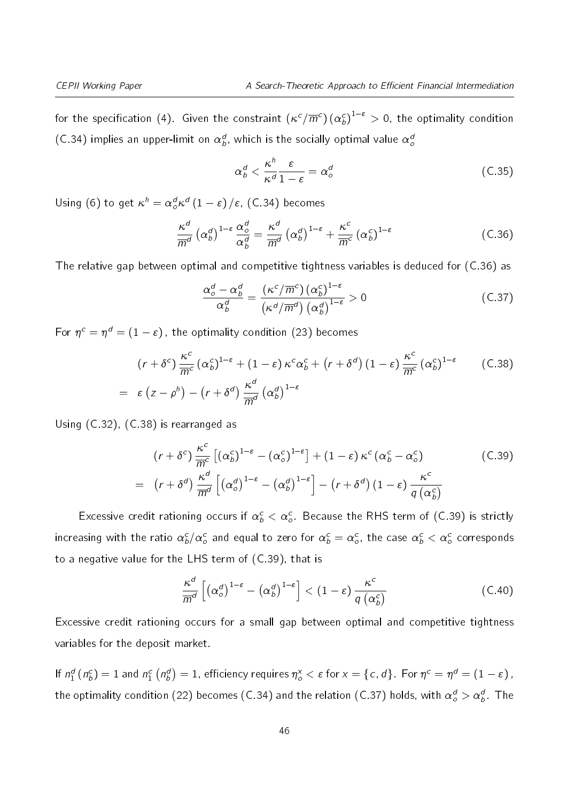for the specification [\(4\)](#page-11-1). Given the constraint  $(\kappa^c/\overline{m}^c)$   $(\alpha^c_b)^{1-\varepsilon}>$  0, the optimality condition [\(C.34\)](#page-44-2) implies an upper-limit on  $\alpha_b^d$ , which is the socially optimal value  $\alpha_c^d$ 

<span id="page-45-3"></span><span id="page-45-0"></span>
$$
\alpha_b^d < \frac{\kappa^h}{\kappa^d} \frac{\varepsilon}{1 - \varepsilon} = \alpha_o^d \tag{C.35}
$$

Using [\(6\)](#page-12-0) to get  $\kappa^h = \alpha_o^d \kappa^d \left(1 - \varepsilon\right) / \varepsilon$ , [\(C.34\)](#page-44-2) becomes

$$
\frac{\kappa^d}{\overline{m}^d} \left( \alpha^d_b \right)^{1-\varepsilon} \frac{\alpha^d_o}{\alpha^d_b} = \frac{\kappa^d}{\overline{m}^d} \left( \alpha^d_b \right)^{1-\varepsilon} + \frac{\kappa^c}{\overline{m}^c} \left( \alpha^c_b \right)^{1-\varepsilon} \tag{C.36}
$$

The relative gap between optimal and competitive tightness variables is deduced for [\(C.36\)](#page-45-0) as

$$
\frac{\alpha_o^d - \alpha_b^d}{\alpha_b^d} = \frac{(\kappa^c / \overline{m}^c) (\alpha_b^c)^{1-\epsilon}}{(\kappa^d / \overline{m}^d) (\alpha_b^d)^{1-\epsilon}} > 0
$$
\n(C.37)

For  $\eta^{\hskip1pt c}=\eta^{\hskip1pt d}=(1-\varepsilon)$  , the optimality condition [\(23\)](#page-17-3) becomes

<span id="page-45-1"></span>
$$
(r + \delta^c) \frac{\kappa^c}{\overline{m}^c} (\alpha_b^c)^{1-\epsilon} + (1 - \epsilon) \kappa^c \alpha_b^c + (r + \delta^d) (1 - \epsilon) \frac{\kappa^c}{\overline{m}^c} (\alpha_b^c)^{1-\epsilon} \qquad (C.38)
$$
  
=  $\epsilon (z - \rho^h) - (r + \delta^d) \frac{\kappa^d}{\overline{m}^d} (\alpha_b^d)^{1-\epsilon}$ 

Using [\(C.32\)](#page-44-1), [\(C.38\)](#page-45-1) is rearranged as

<span id="page-45-2"></span>
$$
(r + \delta^{c}) \frac{\kappa^{c}}{m^{c}} \left[ (\alpha_{b}^{c})^{1-\epsilon} - (\alpha_{o}^{c})^{1-\epsilon} \right] + (1 - \epsilon) \kappa^{c} (\alpha_{b}^{c} - \alpha_{o}^{c})
$$
(C.39)  

$$
= (r + \delta^{d}) \frac{\kappa^{d}}{m^{d}} \left[ (\alpha_{o}^{d})^{1-\epsilon} - (\alpha_{b}^{d})^{1-\epsilon} \right] - (r + \delta^{d}) (1 - \epsilon) \frac{\kappa^{c}}{q (\alpha_{b}^{c})}
$$

Excessive credit rationing occurs if  $\alpha^c_b < \alpha^c_o$  . Because the RHS term of [\(C.39\)](#page-45-2) is strictly increasing with the ratio  $\alpha^c_b/\alpha^c_o$  and equal to zero for  $\alpha^c_b=\alpha^c_o$ , the case  $\alpha^c_b<\alpha^c_o$  corresponds to a negative value for the LHS term of [\(C.39\)](#page-45-2), that is

$$
\frac{\kappa^d}{\overline{m}^d} \left[ \left( \alpha_o^d \right)^{1-\varepsilon} - \left( \alpha_b^d \right)^{1-\varepsilon} \right] < \left( 1-\varepsilon \right) \frac{\kappa^c}{q \left( \alpha_b^c \right)} \tag{C.40}
$$

Excessive credit rationing occurs for a small gap between optimal and competitive tightness variables for the deposit market.

If  $n_1^d$  (  $n_b^c)=1$  and  $n_1^c$   $\big(n_b^d\big)=1$ , efficiency requires  $\eta_o^\times<\varepsilon$  for  $x=\{c,\,d\}$ . For  $\eta^c=\eta^d=(1-\varepsilon)$  , the optimality condition [\(22\)](#page-17-2) becomes [\(C.34\)](#page-44-2) and the relation [\(C.37\)](#page-45-3) holds, with  $\alpha_o^d > \alpha_b^d$ . The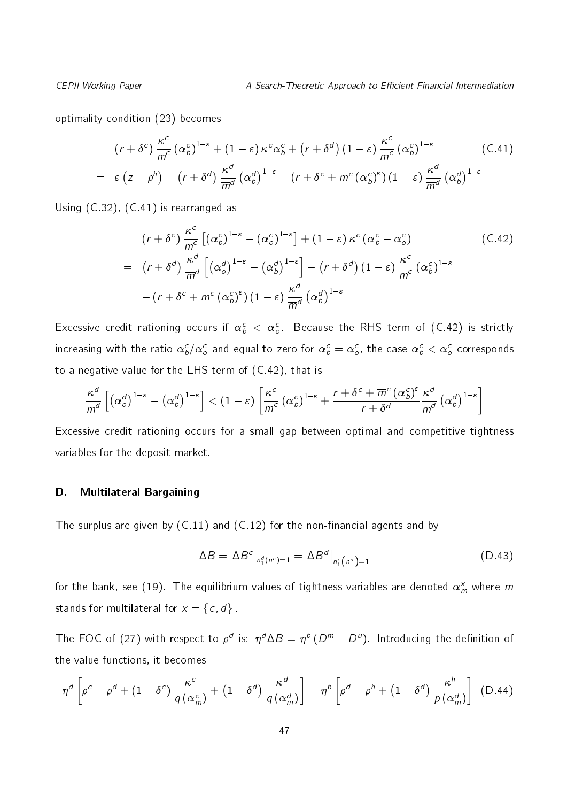optimality condition [\(23\)](#page-17-3) becomes

<span id="page-46-0"></span>
$$
(r + \delta^c) \frac{\kappa^c}{\overline{m}^c} (\alpha_b^c)^{1-\epsilon} + (1 - \varepsilon) \kappa^c \alpha_b^c + (r + \delta^d) (1 - \varepsilon) \frac{\kappa^c}{\overline{m}^c} (\alpha_b^c)^{1-\epsilon} \qquad (C.41)
$$
  
=  $\varepsilon (z - \rho^h) - (r + \delta^d) \frac{\kappa^d}{\overline{m}^d} (\alpha_b^d)^{1-\epsilon} - (r + \delta^c + \overline{m}^c (\alpha_b^c)^{\epsilon}) (1 - \varepsilon) \frac{\kappa^d}{\overline{m}^d} (\alpha_b^d)^{1-\epsilon}$ 

Using [\(C.32\)](#page-44-1), [\(C.41\)](#page-46-0) is rearranged as

<span id="page-46-1"></span>
$$
(r + \delta^{c}) \frac{\kappa^{c}}{\overline{m}^{c}} \left[ (\alpha_{b}^{c})^{1-\epsilon} - (\alpha_{o}^{c})^{1-\epsilon} \right] + (1 - \epsilon) \kappa^{c} (\alpha_{b}^{c} - \alpha_{o}^{c})
$$
\n
$$
= (r + \delta^{d}) \frac{\kappa^{d}}{\overline{m}^{d}} \left[ (\alpha_{o}^{d})^{1-\epsilon} - (\alpha_{b}^{d})^{1-\epsilon} \right] - (r + \delta^{d}) (1 - \epsilon) \frac{\kappa^{c}}{\overline{m}^{c}} (\alpha_{b}^{c})^{1-\epsilon}
$$
\n
$$
- (r + \delta^{c} + \overline{m}^{c} (\alpha_{b}^{c})^{\epsilon}) (1 - \epsilon) \frac{\kappa^{d}}{\overline{m}^{d}} (\alpha_{b}^{d})^{1-\epsilon}
$$
\n(C.42)

Excessive credit rationing occurs if  $\alpha^c_b\,<\,\alpha^c_o$  . Because the RHS term of [\(C.42\)](#page-46-1) is strictly increasing with the ratio  $\alpha^c_b/\alpha^c_o$  and equal to zero for  $\alpha^c_b=\alpha^c_o$ , the case  $\alpha^c_b<\alpha^c_o$  corresponds to a negative value for the LHS term of [\(C.42\)](#page-46-1), that is

$$
\frac{\kappa^d}{\overline{m}^d}\left[ \left( \alpha^d_{o} \right)^{1-\varepsilon} - \left( \alpha^d_{b} \right)^{1-\varepsilon} \right] < (1-\varepsilon) \left[ \frac{\kappa^c}{\overline{m}^c} \left( \alpha^c_{b} \right)^{1-\varepsilon} + \frac{r+\delta^c + \overline{m}^c \left( \alpha^c_{b} \right)^{\varepsilon}}{r+\delta^d} \frac{\kappa^d}{\overline{m}^d} \left( \alpha^d_{b} \right)^{1-\varepsilon} \right]
$$

Excessive credit rationing occurs for a small gap between optimal and competitive tightness variables for the deposit market.

#### D. Multilateral Bargaining

The surplus are given by  $(C.11)$  and  $(C.12)$  for the non-financial agents and by

<span id="page-46-2"></span>
$$
\Delta B = \Delta B^{c}|_{n_1^d(n^c) = 1} = \Delta B^{d}|_{n_1^c(n^d) = 1}
$$
\n(D.43)

for the bank, see [\(19\)](#page-16-1). The equilibrium values of tightness variables are denoted  $\alpha_{m}^{\mathsf{x}}$  where  $m$ stands for multilateral for  $x = \{c, d\}$ .

The FOC of [\(27\)](#page-21-2) with respect to  $\rho^d$  is:  $\eta^d\Delta B=\eta^b\,(D^m-D^u).$  Introducing the definition of the value functions, it becomes

$$
\eta^d \left[ \rho^c - \rho^d + (1 - \delta^c) \frac{\kappa^c}{q \left( \alpha_m^c \right)} + (1 - \delta^d) \frac{\kappa^d}{q \left( \alpha_m^d \right)} \right] = \eta^b \left[ \rho^d - \rho^h + (1 - \delta^d) \frac{\kappa^h}{p \left( \alpha_m^d \right)} \right] \tag{D.44}
$$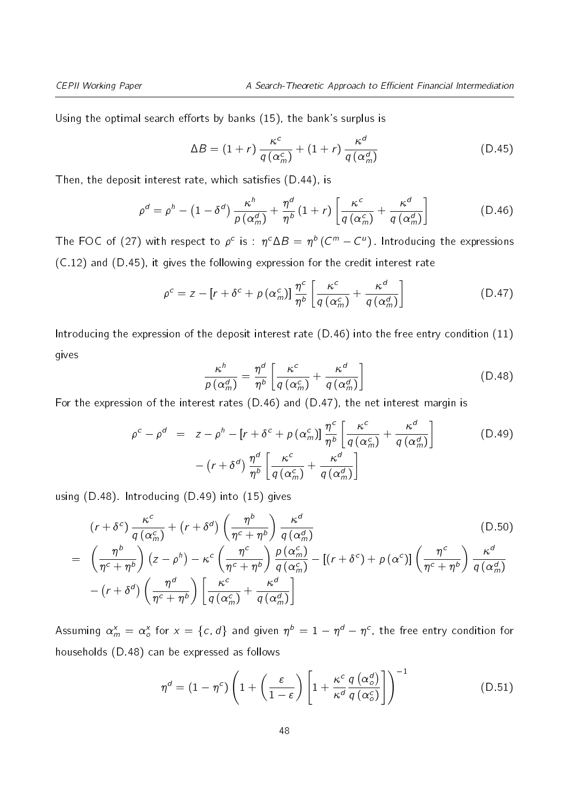Using the optimal search efforts by banks  $(15)$ , the bank's surplus is

<span id="page-47-1"></span><span id="page-47-0"></span>
$$
\Delta B = (1+r)\frac{\kappa^c}{q(\alpha_m^c)} + (1+r)\frac{\kappa^d}{q(\alpha_m^d)}
$$
(D.45)

Then, the deposit interest rate, which satisfies  $(D.44)$ , is

$$
\rho^d = \rho^h - \left(1 - \delta^d\right) \frac{\kappa^h}{\rho \left(\alpha_m^d\right)} + \frac{\eta^d}{\eta^b} \left(1 + r\right) \left[\frac{\kappa^c}{q \left(\alpha_m^c\right)} + \frac{\kappa^d}{q \left(\alpha_m^d\right)}\right] \tag{D.46}
$$

The FOC of [\(27\)](#page-21-2) with respect to  $\rho^c$  is :  $\eta^c \Delta B = \eta^b \, (C^m - C^u)$  . Introducing the expressions [\(C.12\)](#page-40-1) and [\(D.45\)](#page-47-0), it gives the following expression for the credit interest rate

$$
\rho^{c} = z - [r + \delta^{c} + \rho \left( \alpha_{m}^{c} \right) ] \frac{\eta^{c}}{\eta^{b}} \left[ \frac{\kappa^{c}}{q \left( \alpha_{m}^{c} \right)} + \frac{\kappa^{d}}{q \left( \alpha_{m}^{d} \right)} \right]
$$
(D.47)

<span id="page-47-3"></span>Introducing the expression of the deposit interest rate [\(D.46\)](#page-47-1) into the free entry condition [\(11\)](#page-14-2) gives

<span id="page-47-2"></span>
$$
\frac{\kappa^h}{\rho\left(\alpha_m^d\right)} = \frac{\eta^d}{\eta^b} \left[ \frac{\kappa^c}{q\left(\alpha_m^c\right)} + \frac{\kappa^d}{q\left(\alpha_m^d\right)} \right] \tag{D.48}
$$

For the expression of the interest rates [\(D.46\)](#page-47-1) and [\(D.47\)](#page-47-2), the net interest margin is

<span id="page-47-4"></span>
$$
\rho^{c} - \rho^{d} = z - \rho^{h} - [r + \delta^{c} + p(\alpha_{m}^{c})] \frac{\eta^{c}}{\eta^{b}} \left[ \frac{\kappa^{c}}{q(\alpha_{m}^{c})} + \frac{\kappa^{d}}{q(\alpha_{m}^{d})} \right] \qquad (D.49)
$$

$$
- (r + \delta^{d}) \frac{\eta^{d}}{\eta^{b}} \left[ \frac{\kappa^{c}}{q(\alpha_{m}^{c})} + \frac{\kappa^{d}}{q(\alpha_{m}^{d})} \right]
$$

using [\(D.48\)](#page-47-3). Introducing [\(D.49\)](#page-47-4) into [\(15\)](#page-15-0) gives

<span id="page-47-5"></span>
$$
(r + \delta^{c}) \frac{\kappa^{c}}{q(\alpha_{m}^{c})} + (r + \delta^{d}) \left(\frac{\eta^{b}}{\eta^{c} + \eta^{b}}\right) \frac{\kappa^{d}}{q(\alpha_{m}^{d})}
$$
\n
$$
= \left(\frac{\eta^{b}}{\eta^{c} + \eta^{b}}\right) (z - \rho^{h}) - \kappa^{c} \left(\frac{\eta^{c}}{\eta^{c} + \eta^{b}}\right) \frac{p(\alpha_{m}^{c})}{q(\alpha_{m}^{c})} - [(r + \delta^{c}) + p(\alpha^{c})] \left(\frac{\eta^{c}}{\eta^{c} + \eta^{b}}\right) \frac{\kappa^{d}}{q(\alpha_{m}^{d})}
$$
\n
$$
- (r + \delta^{d}) \left(\frac{\eta^{d}}{\eta^{c} + \eta^{b}}\right) \left[\frac{\kappa^{c}}{q(\alpha_{m}^{c})} + \frac{\kappa^{d}}{q(\alpha_{m}^{d})}\right]
$$
\n(D.50)

Assuming  $\alpha_m^{\text{x}}=\alpha_o^{\text{x}}$  for  $\text{x}=\{c,d\}$  and given  $\eta^{\,b}=1-\eta^{\,d}-\eta^{\,c},$  the free entry condition for households [\(D.48\)](#page-47-3) can be expressed as follows

<span id="page-47-6"></span>
$$
\eta^d = (1 - \eta^c) \left( 1 + \left( \frac{\varepsilon}{1 - \varepsilon} \right) \left[ 1 + \frac{\kappa^c}{\kappa^d} \frac{q(\alpha_o^d)}{q(\alpha_o^c)} \right] \right)^{-1}
$$
(D.51)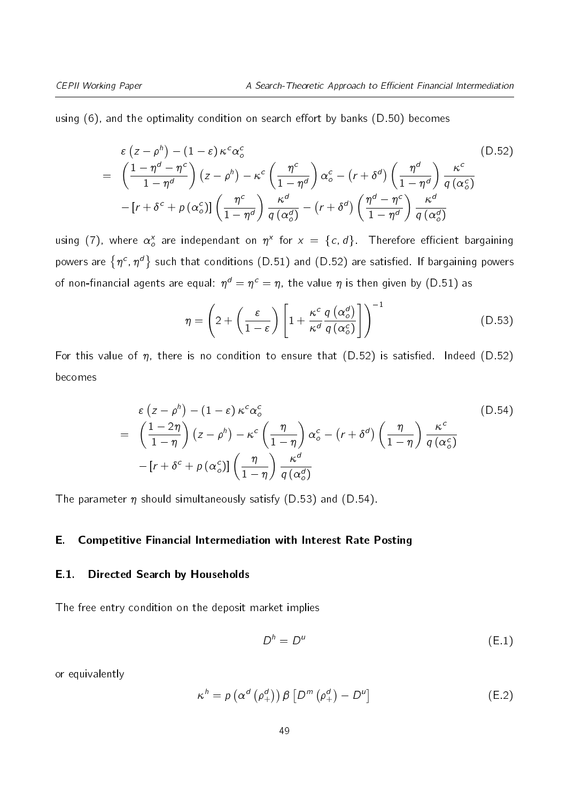using  $(6)$ , and the optimality condition on search effort by banks  $(D.50)$  becomes

<span id="page-48-0"></span>
$$
\varepsilon (z - \rho^h) - (1 - \varepsilon) \kappa^c \alpha_o^c
$$
\n
$$
= \left( \frac{1 - \eta^d - \eta^c}{1 - \eta^d} \right) (z - \rho^h) - \kappa^c \left( \frac{\eta^c}{1 - \eta^d} \right) \alpha_o^c - (r + \delta^d) \left( \frac{\eta^d}{1 - \eta^d} \right) \frac{\kappa^c}{q(\alpha_o^c)}
$$
\n
$$
- [r + \delta^c + \rho (\alpha_o^c)] \left( \frac{\eta^c}{1 - \eta^d} \right) \frac{\kappa^d}{q(\alpha_o^d)} - (r + \delta^d) \left( \frac{\eta^d - \eta^c}{1 - \eta^d} \right) \frac{\kappa^d}{q(\alpha_o^d)}
$$
\n(D.52)

using [\(7\)](#page-12-2), where  $\alpha_o^{\mathrm{x}}$  are independant on  $\eta^{\mathrm{x}}$  for  $\mathrm{x}~=~\{c,d\}$ . Therefore efficient bargaining powers are  $\{\eta^c,\eta^d\}$  such that conditions [\(D.51\)](#page-47-6) and [\(D.52\)](#page-48-0) are satisfied. If bargaining powers of non-financial agents are equal:  $\eta^d=\eta^c=\eta$ , the value  $\eta$  is then given by [\(D.51\)](#page-47-6) as

<span id="page-48-1"></span>
$$
\eta = \left(2 + \left(\frac{\varepsilon}{1-\varepsilon}\right) \left[1 + \frac{\kappa^c}{\kappa^d} \frac{q\left(\alpha_o^d\right)}{q\left(\alpha_o^c\right)}\right]\right)^{-1} \tag{D.53}
$$

For this value of  $\eta$ , there is no condition to ensure that [\(D.52\)](#page-48-0) is satisfied. Indeed (D.52) becomes

<span id="page-48-2"></span>
$$
\varepsilon (z - \rho^h) - (1 - \varepsilon) \kappa^c \alpha_o^c
$$
\n
$$
= \left(\frac{1 - 2\eta}{1 - \eta}\right) (z - \rho^h) - \kappa^c \left(\frac{\eta}{1 - \eta}\right) \alpha_o^c - \left(r + \delta^d\right) \left(\frac{\eta}{1 - \eta}\right) \frac{\kappa^c}{q(\alpha_o^c)}
$$
\n
$$
- \left[r + \delta^c + p(\alpha_o^c)\right] \left(\frac{\eta}{1 - \eta}\right) \frac{\kappa^d}{q(\alpha_o^d)}
$$
\n(D.54)

The parameter  $\eta$  should simultaneously satisfy [\(D.53\)](#page-48-1) and [\(D.54\)](#page-48-2).

#### E. Competitive Financial Intermediation with Interest Rate Posting

#### E.1. Directed Search by Households

The free entry condition on the deposit market implies

<span id="page-48-3"></span>
$$
D^h = D^u \tag{E.1}
$$

<span id="page-48-4"></span>or equivalently

$$
\kappa^h = \rho \left( \alpha^d \left( \rho_+^d \right) \right) \beta \left[ D^m \left( \rho_+^d \right) - D^u \right] \tag{E.2}
$$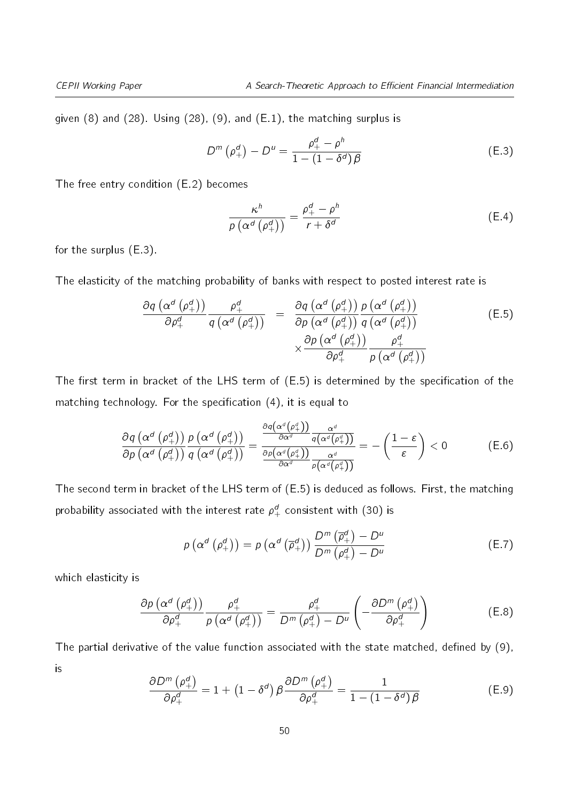given [\(8\)](#page-13-1) and [\(28\)](#page-22-1). Using [\(28\)](#page-22-1), [\(9\)](#page-13-2), and [\(E.1\)](#page-48-3), the matching surplus is

<span id="page-49-0"></span>
$$
D^{m}(\rho_{+}^{d})-D^{u}=\frac{\rho_{+}^{d}-\rho_{-}^{h}}{1-(1-\delta^{d})\beta}
$$
 (E.3)

The free entry condition [\(E.2\)](#page-48-4) becomes

<span id="page-49-5"></span><span id="page-49-4"></span>
$$
\frac{\kappa^h}{\rho\left(\alpha^d\left(\rho_+^d\right)\right)} = \frac{\rho_+^d - \rho^h}{r + \delta^d} \tag{E.4}
$$

for the surplus [\(E.3\)](#page-49-0).

The elasticity of the matching probability of banks with respect to posted interest rate is

<span id="page-49-1"></span>
$$
\frac{\partial q\left(\alpha^{d}\left(\rho_{+}^{d}\right)\right)}{\partial \rho_{+}^{d}}\frac{\rho_{+}^{d}}{q\left(\alpha^{d}\left(\rho_{+}^{d}\right)\right)} = \frac{\partial q\left(\alpha^{d}\left(\rho_{+}^{d}\right)\right)}{\partial p\left(\alpha^{d}\left(\rho_{+}^{d}\right)\right)}\frac{p\left(\alpha^{d}\left(\rho_{+}^{d}\right)\right)}{q\left(\alpha^{d}\left(\rho_{+}^{d}\right)\right)} \times \frac{\partial p\left(\alpha^{d}\left(\rho_{+}^{d}\right)\right)}{\partial \rho_{+}^{d}}\frac{\rho_{+}^{d}}{p\left(\alpha^{d}\left(\rho_{+}^{d}\right)\right)}
$$
(E.5)

The first term in bracket of the LHS term of  $(E.5)$  is determined by the specification of the matching technology. For the specification  $(4)$ , it is equal to

$$
\frac{\partial q\left(\alpha^{d}\left(\rho_{+}^{d}\right)\right)}{\partial p\left(\alpha^{d}\left(\rho_{+}^{d}\right)\right)}\frac{p\left(\alpha^{d}\left(\rho_{+}^{d}\right)\right)}{q\left(\alpha^{d}\left(\rho_{+}^{d}\right)\right)}=\frac{\frac{\partial q\left(\alpha^{d}\left(\rho_{+}^{d}\right)\right)}{\partial \alpha^{d}}\frac{\alpha^{d}}{q\left(\alpha^{d}\left(\rho_{+}^{d}\right)\right)}}{\frac{\partial q\left(\alpha^{d}\left(\rho_{+}^{d}\right)\right)}{\partial \alpha^{d}}\frac{\alpha^{d}}{p\left(\alpha^{d}\left(\rho_{+}^{d}\right)\right)}}=-\left(\frac{1-\varepsilon}{\varepsilon}\right)<0
$$
\n(E.6)

The second term in bracket of the LHS term of [\(E.5\)](#page-49-1) is deduced as follows. First, the matching probability associated with the interest rate  $\rho_+^d$  consistent with [\(30\)](#page-22-3) is

$$
p\left(\alpha^{d}\left(\rho_{+}^{d}\right)\right)=p\left(\alpha^{d}\left(\overline{\rho}_{+}^{d}\right)\right)\frac{D^{m}\left(\overline{\rho}_{+}^{d}\right)-D^{u}}{D^{m}\left(\rho_{+}^{d}\right)-D^{u}}
$$
\n(E.7)

which elasticity is

<span id="page-49-2"></span>
$$
\frac{\partial \rho \left( \alpha^{d} \left( \rho_{+}^{d} \right) \right)}{\partial \rho_{+}^{d}} \frac{\rho_{+}^{d}}{\rho \left( \alpha^{d} \left( \rho_{+}^{d} \right) \right)} = \frac{\rho_{+}^{d}}{D^{m} \left( \rho_{+}^{d} \right) - D^{u}} \left( -\frac{\partial D^{m} \left( \rho_{+}^{d} \right)}{\partial \rho_{+}^{d}} \right)
$$
(E.8)

<span id="page-49-3"></span>The partial derivative of the value function associated with the state matched, defined by  $(9)$ , is

$$
\frac{\partial D^m \left( \rho_+^d \right)}{\partial \rho_+^d} = 1 + \left( 1 - \delta^d \right) \beta \frac{\partial D^m \left( \rho_+^d \right)}{\partial \rho_+^d} = \frac{1}{1 - \left( 1 - \delta^d \right) \beta} \tag{E.9}
$$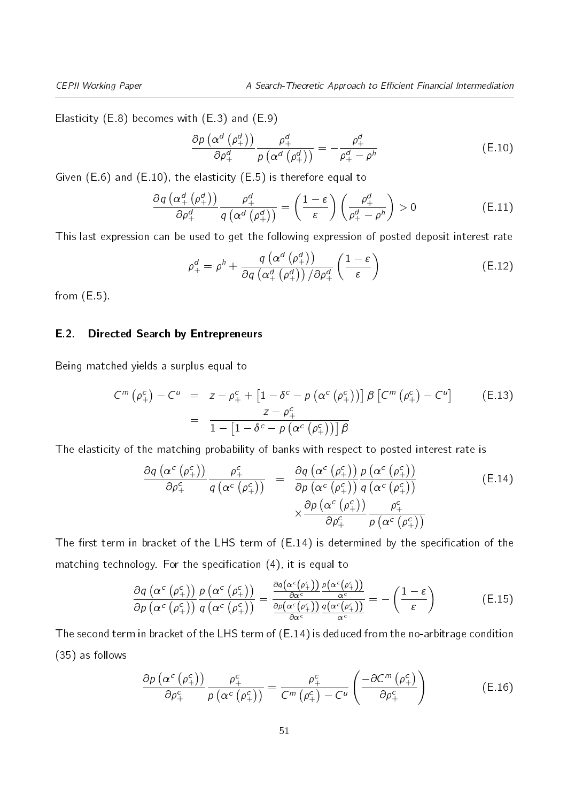Elasticity [\(E.8\)](#page-49-2) becomes with [\(E.3\)](#page-49-0) and [\(E.9\)](#page-49-3)

<span id="page-50-0"></span>
$$
\frac{\partial \rho \left( \alpha^{d} \left( \rho_{+}^{d} \right) \right)}{\partial \rho_{+}^{d}} \frac{\rho_{+}^{d}}{\rho \left( \alpha^{d} \left( \rho_{+}^{d} \right) \right)} = -\frac{\rho_{+}^{d}}{\rho_{+}^{d} - \rho_{-}^{h}}
$$
(E.10)

Given [\(E.6\)](#page-49-4) and [\(E.10\)](#page-50-0), the elasticity [\(E.5\)](#page-49-1) is therefore equal to

$$
\frac{\partial q\left(\alpha_{+}^{d}\left(\rho_{+}^{d}\right)\right)}{\partial \rho_{+}^{d}}\frac{\rho_{+}^{d}}{q\left(\alpha^{d}\left(\rho_{+}^{d}\right)\right)}=\left(\frac{1-\varepsilon}{\varepsilon}\right)\left(\frac{\rho_{+}^{d}}{\rho_{+}^{d}-\rho^{h}}\right)>0
$$
\n(E.11)

This last expression can be used to get the following expression of posted deposit interest rate

<span id="page-50-5"></span>
$$
\rho_{+}^{d} = \rho^{h} + \frac{q\left(\alpha^{d}\left(\rho_{+}^{d}\right)\right)}{\partial q\left(\alpha_{+}^{d}\left(\rho_{+}^{d}\right)\right)/\partial \rho_{+}^{d}}\left(\frac{1-\varepsilon}{\varepsilon}\right)
$$
(E.12)

from  $(E.5)$ .

#### E.2. Directed Search by Entrepreneurs

Being matched yields a surplus equal to

<span id="page-50-2"></span>
$$
C^{m}(\rho_{+}^{c}) - C^{u} = z - \rho_{+}^{c} + \left[1 - \delta^{c} - p\left(\alpha^{c}(\rho_{+}^{c})\right)\right] \beta \left[C^{m}(\rho_{+}^{c}) - C^{u}\right]
$$
\n
$$
= \frac{z - \rho_{+}^{c}}{1 - \left[1 - \delta^{c} - p\left(\alpha^{c}(\rho_{+}^{c})\right)\right] \beta}
$$
\n(E.13)

The elasticity of the matching probability of banks with respect to posted interest rate is

<span id="page-50-1"></span>
$$
\frac{\partial q\left(\alpha^{c}\left(\rho_{+}^{c}\right)\right)}{\partial \rho_{+}^{c}}\frac{\rho_{+}^{c}}{q\left(\alpha^{c}\left(\rho_{+}^{c}\right)\right)} = \frac{\partial q\left(\alpha^{c}\left(\rho_{+}^{c}\right)\right)}{\partial p\left(\alpha^{c}\left(\rho_{+}^{c}\right)\right)}\frac{p\left(\alpha^{c}\left(\rho_{+}^{c}\right)\right)}{q\left(\alpha^{c}\left(\rho_{+}^{c}\right)\right)} \times \frac{\partial p\left(\alpha^{c}\left(\rho_{+}^{c}\right)\right)}{\partial \rho_{+}^{c}}\frac{\rho_{+}^{c}}{p\left(\alpha^{c}\left(\rho_{+}^{c}\right)\right)}
$$
(E.14)

The first term in bracket of the LHS term of  $(E.14)$  is determined by the specification of the matching technology. For the specification  $(4)$ , it is equal to

<span id="page-50-4"></span>
$$
\frac{\partial q\left(\alpha^{c}\left(\rho_{+}^{c}\right)\right)}{\partial p\left(\alpha^{c}\left(\rho_{+}^{c}\right)\right)}\frac{p\left(\alpha^{c}\left(\rho_{+}^{c}\right)\right)}{q\left(\alpha^{c}\left(\rho_{+}^{c}\right)\right)}=\frac{\frac{\partial q\left(\alpha^{c}\left(\rho_{+}^{c}\right)\right)}{\partial\alpha^{c}}\frac{p\left(\alpha^{c}\left(\rho_{+}^{c}\right)\right)}{\alpha^{c}}}{\frac{\partial p\left(\alpha^{c}\left(\rho_{+}^{c}\right)\right)}{\partial\alpha^{c}}\frac{q\left(\alpha^{c}\left(\rho_{+}^{c}\right)\right)}{\alpha^{c}}}=-\left(\frac{1-\varepsilon}{\varepsilon}\right)
$$
(E.15)

The second term in bracket of the LHS term of [\(E.14\)](#page-50-1) is deduced from the no-arbitrage condition [\(35\)](#page-23-1) as follows

<span id="page-50-3"></span>
$$
\frac{\partial p\left(\alpha^{c}\left(\rho_{+}^{c}\right)\right)}{\partial \rho_{+}^{c}}\frac{\rho_{+}^{c}}{p\left(\alpha^{c}\left(\rho_{+}^{c}\right)\right)}=\frac{\rho_{+}^{c}}{C^{m}\left(\rho_{+}^{c}\right)-C^{u}}\left(\frac{-\partial C^{m}\left(\rho_{+}^{c}\right)}{\partial \rho_{+}^{c}}\right)
$$
(E.16)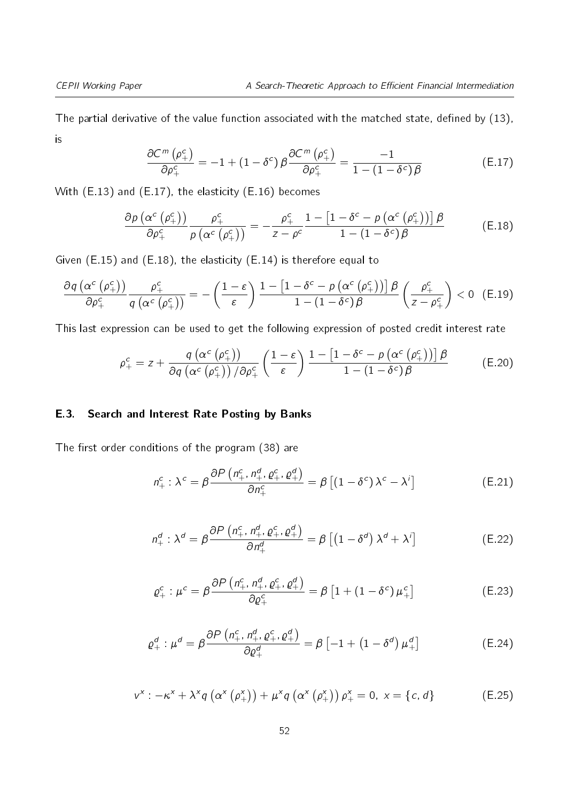<span id="page-51-0"></span>The partial derivative of the value function associated with the matched state, defined by  $(13)$ , is

<span id="page-51-1"></span>
$$
\frac{\partial C^m(\rho_+^c)}{\partial \rho_+^c} = -1 + (1 - \delta^c) \beta \frac{\partial C^m(\rho_+^c)}{\partial \rho_+^c} = \frac{-1}{1 - (1 - \delta^c) \beta} \tag{E.17}
$$

With [\(E.13\)](#page-50-2) and [\(E.17\)](#page-51-0), the elasticity [\(E.16\)](#page-50-3) becomes

$$
\frac{\partial \rho \left( \alpha^{c} \left( \rho_{+}^{c} \right) \right)}{\partial \rho_{+}^{c}} \frac{\rho_{+}^{c}}{\rho \left( \alpha^{c} \left( \rho_{+}^{c} \right) \right)} = -\frac{\rho_{+}^{c}}{z - \rho^{c}} \frac{1 - \left[ 1 - \delta^{c} - \rho \left( \alpha^{c} \left( \rho_{+}^{c} \right) \right) \right] \beta}{1 - \left( 1 - \delta^{c} \right) \beta} \tag{E.18}
$$

Given [\(E.15\)](#page-50-4) and [\(E.18\)](#page-51-1), the elasticity [\(E.14\)](#page-50-1) is therefore equal to

$$
\frac{\partial q\left(\alpha^c\left(\rho_+^c\right)\right)}{\partial \rho_+^c} \frac{\rho_+^c}{q\left(\alpha^c\left(\rho_+^c\right)\right)} = -\left(\frac{1-\varepsilon}{\varepsilon}\right) \frac{1-\left[1-\delta^c - \rho\left(\alpha^c\left(\rho_+^c\right)\right)\right] \beta}{1-\left(1-\delta^c\right) \beta} \left(\frac{\rho_+^c}{z-\rho_+^c}\right) < 0 \quad \text{(E.19)}
$$

This last expression can be used to get the following expression of posted credit interest rate

$$
\rho_{+}^{c} = z + \frac{q\left(\alpha^{c}\left(\rho_{+}^{c}\right)\right)}{\partial q\left(\alpha^{c}\left(\rho_{+}^{c}\right)\right)/\partial \rho_{+}^{c}} \left(\frac{1-\varepsilon}{\varepsilon}\right) \frac{1-\left[1-\delta^{c}-p\left(\alpha^{c}\left(\rho_{+}^{c}\right)\right)\right]\beta}{1-\left(1-\delta^{c}\right)\beta} \tag{E.20}
$$

### E.3. Search and Interest Rate Posting by Banks

<span id="page-51-6"></span>The first order conditions of the program  $(38)$  are

<span id="page-51-7"></span><span id="page-51-5"></span>
$$
n_{+}^{c} : \lambda^{c} = \beta \frac{\partial P\left(n_{+}^{c}, n_{+}^{d}, \varrho_{+}^{c}, \varrho_{+}^{d}\right)}{\partial n_{+}^{c}} = \beta \left[ \left(1 - \delta^{c}\right) \lambda^{c} - \lambda^{i} \right]
$$
(E.21)

<span id="page-51-2"></span>
$$
n_+^d: \lambda^d = \beta \frac{\partial P\left(n_+^c, n_+^d, \varrho_+^c, \varrho_+^d\right)}{\partial n_+^d} = \beta \left[ \left(1 - \delta^d\right) \lambda^d + \lambda^i \right] \tag{E.22}
$$

$$
\varrho_{+}^{c}: \mu^{c} = \beta \frac{\partial P\left(n_{+}^{c}, n_{+}^{d}, \varrho_{+}^{c}, \varrho_{+}^{d}\right)}{\partial \varrho_{+}^{c}} = \beta \left[1 + \left(1 - \delta^{c}\right) \mu_{+}^{c}\right]
$$
\n(E.23)

<span id="page-51-3"></span>
$$
\varrho_{+}^{d} : \mu^{d} = \beta \frac{\partial P\left(n_{+}^{c}, n_{+}^{d}, \varrho_{+}^{c}, \varrho_{+}^{d}\right)}{\partial \varrho_{+}^{d}} = \beta \left[-1 + \left(1 - \delta^{d}\right) \mu_{+}^{d}\right]
$$
\n(E.24)

<span id="page-51-4"></span>
$$
v^{x} : -\kappa^{x} + \lambda^{x} q\left(\alpha^{x}\left(\rho_{+}^{x}\right)\right) + \mu^{x} q\left(\alpha^{x}\left(\rho_{+}^{x}\right)\right) \rho_{+}^{x} = 0, \ x = \{c, d\}
$$
 (E.25)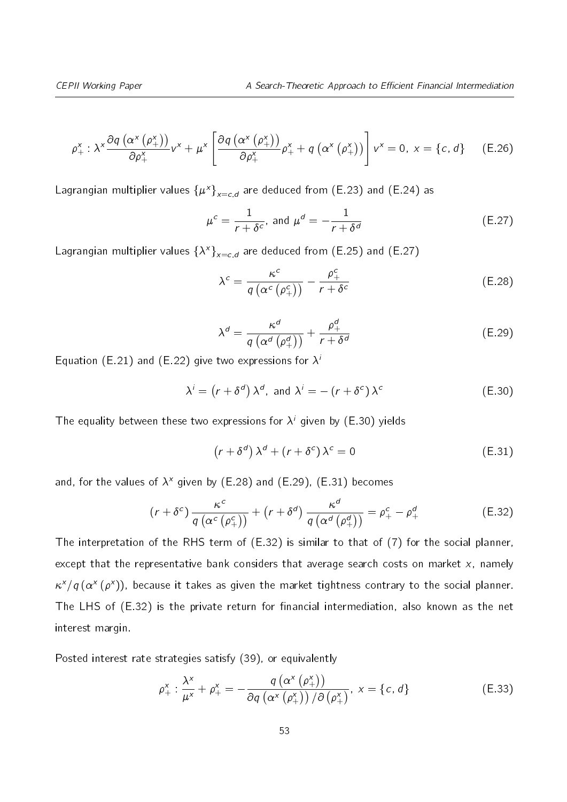$$
\rho_{+}^{x} : \lambda^{x} \frac{\partial q\left(\alpha^{x}\left(\rho_{+}^{x}\right)\right)}{\partial \rho_{+}^{x}} \nu^{x} + \mu^{x} \left[\frac{\partial q\left(\alpha^{x}\left(\rho_{+}^{x}\right)\right)}{\partial \rho_{+}^{x}} \rho_{+}^{x} + q\left(\alpha^{x}\left(\rho_{+}^{x}\right)\right)\right] \nu^{x} = 0, \ x = \{c, d\} \quad \text{(E.26)}
$$

Lagrangian multiplier values  $\left\{\mu^{\mathsf{x}}\right\}_{\mathsf{x}=c,d}$  are deduced from [\(E.23\)](#page-51-2) and [\(E.24\)](#page-51-3) as

<span id="page-52-0"></span>
$$
\mu^{c} = \frac{1}{r + \delta^{c}}, \text{ and } \mu^{d} = -\frac{1}{r + \delta^{d}}
$$
 (E.27)

Lagrangian multiplier values  $\left\{\lambda^\mathsf{x}\right\}_{\mathsf{x}=c,d}$  are deduced from [\(E.25\)](#page-51-4) and [\(E.27\)](#page-52-0)

$$
\lambda^{c} = \frac{\kappa^{c}}{q\left(\alpha^{c}\left(\rho_{+}^{c}\right)\right)} - \frac{\rho_{+}^{c}}{r + \delta^{c}}
$$
 (E.28)

$$
\lambda^{d} = \frac{\kappa^{d}}{q\left(\alpha^{d}\left(\rho_{+}^{d}\right)\right)} + \frac{\rho_{+}^{d}}{r + \delta^{d}} \tag{E.29}
$$

Equation [\(E.21\)](#page-51-5) and [\(E.22\)](#page-51-6) give two expressions for  $\lambda$ 

$$
\lambda^{i} = (r + \delta^{d}) \lambda^{d}, \text{ and } \lambda^{i} = -(r + \delta^{c}) \lambda^{c}
$$
 (E.30)

The equality between these two expressions for  $\lambda^i$  given by [\(E.30\)](#page-22-3) yields

$$
\left(r+\delta^d\right)\lambda^d+\left(r+\delta^c\right)\lambda^c=0\tag{E.31}
$$

and, for the values of  $\lambda^x$  given by [\(E.28\)](#page-22-1) and [\(E.29\)](#page-22-4), [\(E.31\)](#page-22-5) becomes

$$
(r + \delta^c) \frac{\kappa^c}{q \left(\alpha^c \left(\rho_+^c\right)\right)} + \left(r + \delta^d\right) \frac{\kappa^d}{q \left(\alpha^d \left(\rho_+^d\right)\right)} = \rho_+^c - \rho_+^d \tag{E.32}
$$

The interpretation of the RHS term of [\(E.32\)](#page-23-0) is similar to that of [\(7\)](#page-12-2) for the social planner, except that the representative bank considers that average search costs on market  $x$ , namely  $\kappa^\times/q\,(\alpha^\times\,(\rho^\times))$ , because it takes as given the market tightness contrary to the social planner. The LHS of [\(E.32\)](#page-23-0) is the private return for financial intermediation, also known as the net interest margin.

Posted interest rate strategies satisfy [\(39\)](#page-24-2), or equivalently

$$
\rho_{+}^{x} : \frac{\lambda^{x}}{\mu^{x}} + \rho_{+}^{x} = -\frac{q\left(\alpha^{x}\left(\rho_{+}^{x}\right)\right)}{\partial q\left(\alpha^{x}\left(\rho_{+}^{x}\right)\right)/\partial\left(\rho_{+}^{x}\right)}, x = \{c, d\}
$$
 (E.33)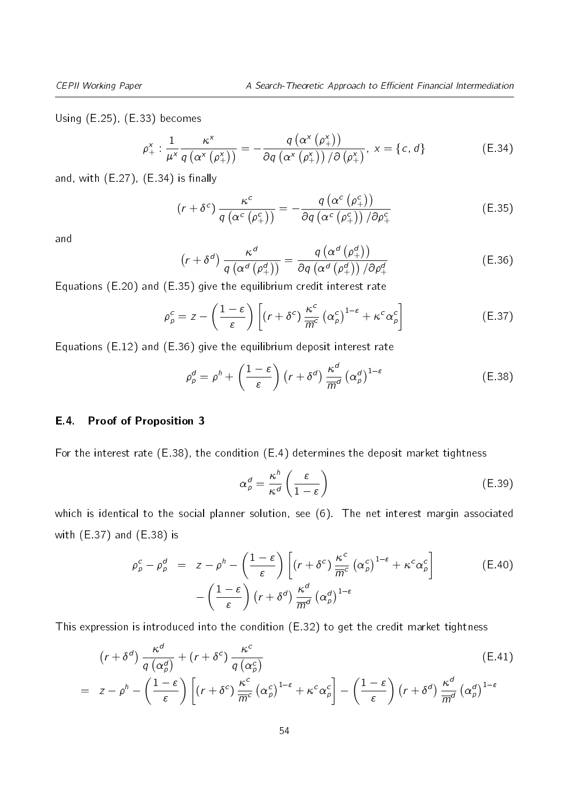Using [\(E.25\)](#page-51-4), [\(E.33\)](#page-23-2) becomes

<span id="page-53-0"></span>
$$
\rho_{+}^{x} : \frac{1}{\mu^{x}} \frac{\kappa^{x}}{q\left(\alpha^{x}\left(\rho_{+}^{x}\right)\right)} = -\frac{q\left(\alpha^{x}\left(\rho_{+}^{x}\right)\right)}{\partial q\left(\alpha^{x}\left(\rho_{+}^{x}\right)\right)/\partial\left(\rho_{+}^{x}\right)}, x = \{c, d\}
$$
 (E.34)

and, with  $(E.27)$ ,  $(E.34)$  is finally

$$
(r + \delta^{c}) \frac{\kappa^{c}}{q (\alpha^{c} (\rho_{+}^{c}))} = -\frac{q (\alpha^{c} (\rho_{+}^{c}))}{\partial q (\alpha^{c} (\rho_{+}^{c})) / \partial \rho_{+}^{c}}
$$
(E.35)

and

$$
\left(r+\delta^{d}\right)\frac{\kappa^{d}}{q\left(\alpha^{d}\left(\rho_{+}^{d}\right)\right)}=\frac{q\left(\alpha^{d}\left(\rho_{+}^{d}\right)\right)}{\partial q\left(\alpha^{d}\left(\rho_{+}^{d}\right)\right)/\partial\rho_{+}^{d}}
$$
\n(E.36)

Equations [\(E.20\)](#page-51-7) and [\(E.35\)](#page-23-1) give the equilibrium credit interest rate

$$
\rho_{p}^{c} = z - \left(\frac{1-\varepsilon}{\varepsilon}\right) \left[ \left(r + \delta^{c}\right) \frac{\kappa^{c}}{\overline{m}^{c}} \left(\alpha_{p}^{c}\right)^{1-\varepsilon} + \kappa^{c} \alpha_{p}^{c} \right] \tag{E.37}
$$

Equations [\(E.12\)](#page-50-5) and [\(E.36\)](#page-23-3) give the equilibrium deposit interest rate

$$
\rho_p^d = \rho^h + \left(\frac{1-\varepsilon}{\varepsilon}\right) \left(r + \delta^d\right) \frac{\kappa^d}{\overline{m}^d} \left(\alpha_p^d\right)^{1-\varepsilon} \tag{E.38}
$$

#### E.4. Proof of Proposition [3](#page-25-2)

For the interest rate [\(E.38\)](#page-24-1), the condition [\(E.4\)](#page-49-5) determines the deposit market tightness

$$
\alpha_p^d = \frac{\kappa^h}{\kappa^d} \left( \frac{\varepsilon}{1 - \varepsilon} \right) \tag{E.39}
$$

which is identical to the social planner solution, see [\(6\)](#page-12-0). The net interest margin associated with [\(E.37\)](#page-24-3) and [\(E.38\)](#page-24-1) is

$$
\rho_{p}^{c} - \rho_{p}^{d} = z - \rho^{h} - \left(\frac{1 - \varepsilon}{\varepsilon}\right) \left[ \left(r + \delta^{c}\right) \frac{\kappa^{c}}{\overline{m}^{c}} \left(\alpha_{p}^{c}\right)^{1 - \varepsilon} + \kappa^{c} \alpha_{p}^{c} \right] - \left(\frac{1 - \varepsilon}{\varepsilon}\right) \left(r + \delta^{d}\right) \frac{\kappa^{d}}{\overline{m}^{d}} \left(\alpha_{p}^{d}\right)^{1 - \varepsilon}
$$
\n(E.40)

This expression is introduced into the condition [\(E.32\)](#page-23-0) to get the credit market tightness

$$
(r + \delta^{d}) \frac{\kappa^{d}}{q (\alpha_{p}^{d})} + (r + \delta^{c}) \frac{\kappa^{c}}{q (\alpha_{p}^{c})}
$$
\n
$$
= z - \rho^{h} - \left(\frac{1 - \varepsilon}{\varepsilon}\right) \left[ (r + \delta^{c}) \frac{\kappa^{c}}{\overline{m}^{c}} (\alpha_{p}^{c})^{1 - \varepsilon} + \kappa^{c} \alpha_{p}^{c} \right] - \left(\frac{1 - \varepsilon}{\varepsilon}\right) (r + \delta^{d}) \frac{\kappa^{d}}{\overline{m}^{d}} (\alpha_{p}^{d})^{1 - \varepsilon}
$$
\n(E.41)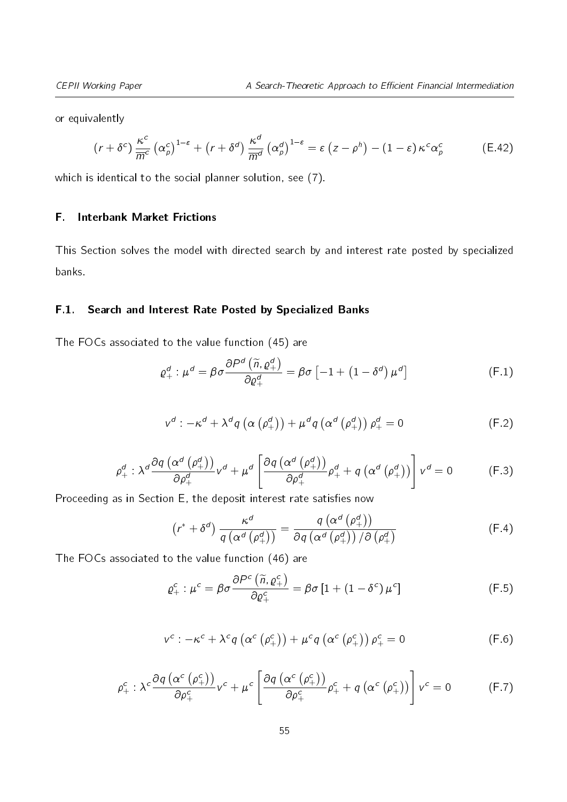or equivalently

$$
(r+\delta^c)\frac{\kappa^c}{\overline{m}^c}(\alpha_\rho^c)^{1-\epsilon}+(r+\delta^d)\frac{\kappa^d}{\overline{m}^d}(\alpha_\rho^d)^{1-\epsilon}=\epsilon(z-\rho^h)-(1-\epsilon)\kappa^c\alpha_\rho^c
$$
 (E.42)

which is identical to the social planner solution, see [\(7\)](#page-12-2).

#### F. Interbank Market Frictions

This Section solves the model with directed search by and interest rate posted by specialized banks.

#### F.1. Search and Interest Rate Posted by Specialized Banks

<span id="page-54-1"></span>The FOCs associated to the value function [\(45\)](#page-27-1) are

<span id="page-54-0"></span>
$$
\varrho_{+}^{d} : \mu^{d} = \beta \sigma \frac{\partial P^{d} \left( \widetilde{n}, \varrho_{+}^{d} \right)}{\partial \varrho_{+}^{d}} = \beta \sigma \left[ -1 + \left( 1 - \delta^{d} \right) \mu^{d} \right]
$$
(F.1)

$$
v^{d} : -\kappa^{d} + \lambda^{d} q \left( \alpha \left( \rho_{+}^{d} \right) \right) + \mu^{d} q \left( \alpha^{d} \left( \rho_{+}^{d} \right) \right) \rho_{+}^{d} = 0 \tag{F.2}
$$

$$
\rho_{+}^{d} : \lambda^{d} \frac{\partial q\left(\alpha^{d}\left(\rho_{+}^{d}\right)\right)}{\partial \rho_{+}^{d}} v^{d} + \mu^{d} \left[\frac{\partial q\left(\alpha^{d}\left(\rho_{+}^{d}\right)\right)}{\partial \rho_{+}^{d}} \rho_{+}^{d} + q\left(\alpha^{d}\left(\rho_{+}^{d}\right)\right)\right] v^{d} = 0 \tag{F.3}
$$

Proceeding as in Section [E,](#page-22-0) the deposit interest rate satisfies now

<span id="page-54-4"></span><span id="page-54-2"></span>
$$
\left(r^* + \delta^d\right) \frac{\kappa^d}{q\left(\alpha^d\left(\rho_+^d\right)\right)} = \frac{q\left(\alpha^d\left(\rho_+^d\right)\right)}{\partial q\left(\alpha^d\left(\rho_+^d\right)\right)/\partial\left(\rho_+^d\right)}\tag{F.4}
$$

<span id="page-54-3"></span>The FOCs associated to the value function [\(46\)](#page-27-2) are

$$
\varrho_{+}^{c}: \mu^{c} = \beta \sigma \frac{\partial P^{c}(\tilde{n}, \varrho_{+}^{c})}{\partial \varrho_{+}^{c}} = \beta \sigma \left[1 + \left(1 - \delta^{c}\right) \mu^{c}\right]
$$
(F.5)

$$
v^{c}: -\kappa^{c} + \lambda^{c} q\left(\alpha^{c}\left(\rho_{+}^{c}\right)\right) + \mu^{c} q\left(\alpha^{c}\left(\rho_{+}^{c}\right)\right) \rho_{+}^{c} = 0
$$
 (F.6)

$$
\rho_{+}^{c} : \lambda^{c} \frac{\partial q\left(\alpha^{c}\left(\rho_{+}^{c}\right)\right)}{\partial \rho_{+}^{c}} v^{c} + \mu^{c} \left[\frac{\partial q\left(\alpha^{c}\left(\rho_{+}^{c}\right)\right)}{\partial \rho_{+}^{c}} \rho_{+}^{c} + q\left(\alpha^{c}\left(\rho_{+}^{c}\right)\right)\right] v^{c} = 0 \tag{F.7}
$$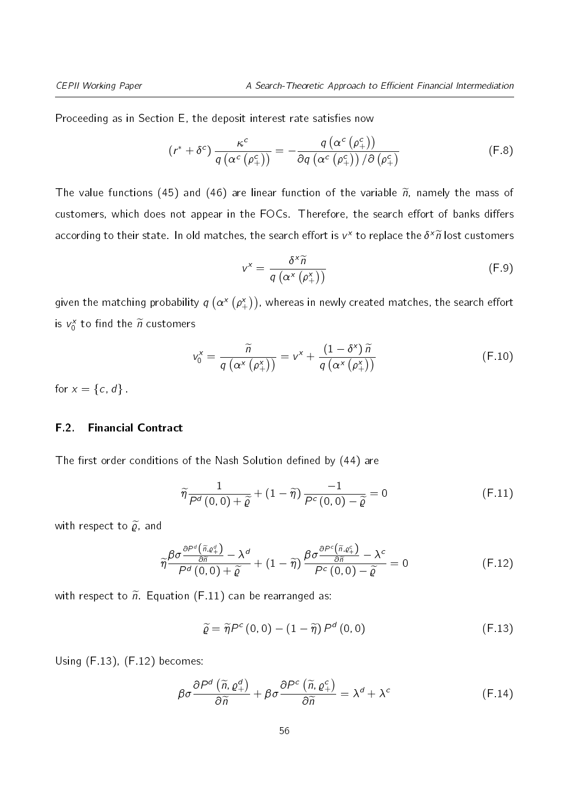Proceeding as in Section [E,](#page-22-0) the deposit interest rate satisfies now

$$
(r^* + \delta^c) \frac{\kappa^c}{q \left(\alpha^c \left(\rho_+^c\right)\right)} = -\frac{q \left(\alpha^c \left(\rho_+^c\right)\right)}{\partial q \left(\alpha^c \left(\rho_+^c\right)\right) / \partial \left(\rho_+^c\right)}
$$
(F.8)

The value functions [\(45\)](#page-27-1) and [\(46\)](#page-27-2) are linear function of the variable  $\tilde{n}$ , namely the mass of customers, which does not appear in the FOCs. Therefore, the search effort of banks differs according to their state. In old matches, the search effort is  $v^\mathsf{x}$  to replace the  $\delta^\mathsf{x} \widetilde{n}$  lost customers

<span id="page-55-3"></span>
$$
v^{x} = \frac{\delta^{x} \widetilde{n}}{q\left(\alpha^{x}\left(\rho_{+}^{x}\right)\right)}
$$
 (F.9)

given the matching probability  $q\left(\alpha^\mathsf{x}\left(\rho_+^\mathsf{x}\right)\right)$ , whereas in newly created matches, the search effort is  $v_0^x$  to find the  $\widetilde{n}$  customers

$$
v_0^x = \frac{\widetilde{n}}{q\left(\alpha^x\left(\rho_+^x\right)\right)} = v^x + \frac{\left(1 - \delta^x\right)\widetilde{n}}{q\left(\alpha^x\left(\rho_+^x\right)\right)}\tag{F.10}
$$

for  $x = \{c, d\}$ .

#### F.2. Financial Contract

The first order conditions of the Nash Solution defined by  $(44)$  are

<span id="page-55-2"></span><span id="page-55-0"></span>
$$
\widetilde{\eta} \frac{1}{P^d(0,0) + \widetilde{\varrho}} + (1 - \widetilde{\eta}) \frac{-1}{P^c(0,0) - \widetilde{\varrho}} = 0
$$
 (F.11)

with respect to  $\widetilde{\varrho}$ , and

$$
\widetilde{\eta} \frac{\beta \sigma \frac{\partial P^d\left(\widetilde{n}, \varrho_+^d\right)}{\partial \widetilde{n}} - \lambda^d}{P^d\left(0, 0\right) + \widetilde{\varrho}} + \left(1 - \widetilde{\eta}\right) \frac{\beta \sigma \frac{\partial P^c\left(\widetilde{n}, \varrho_+^c\right)}{\partial \widetilde{n}} - \lambda^c}{P^c\left(0, 0\right) - \widetilde{\varrho}} = 0 \tag{F.12}
$$

with respect to  $\tilde{n}$ . Equation [\(F.11\)](#page-55-0) can be rearranged as:

<span id="page-55-1"></span>
$$
\widetilde{\varrho} = \widetilde{\eta} P^{c} (0, 0) - (1 - \widetilde{\eta}) P^{d} (0, 0)
$$
 (F.13)

Using [\(F.13\)](#page-55-1), [\(F.12\)](#page-55-2) becomes:

$$
\beta \sigma \frac{\partial P^d \left( \widetilde{n}, \varrho_+^d \right)}{\partial \widetilde{n}} + \beta \sigma \frac{\partial P^c \left( \widetilde{n}, \varrho_+^c \right)}{\partial \widetilde{n}} = \lambda^d + \lambda^c \tag{F.14}
$$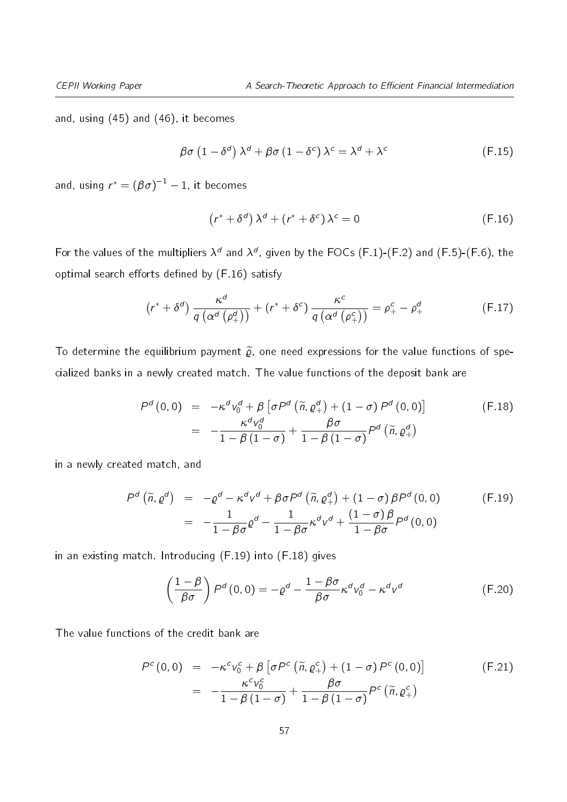and, using [\(45\)](#page-27-1) and [\(46\)](#page-27-2), it becomes

$$
\beta\sigma\left(1-\delta^{d}\right)\lambda^{d}+\beta\sigma\left(1-\delta^{c}\right)\lambda^{c}=\lambda^{d}+\lambda^{c}
$$
 (F.15)

and, using  $r^* = \left(\beta\sigma\right)^{-1} - 1$ , it becomes

<span id="page-56-5"></span><span id="page-56-0"></span>
$$
(r^* + \delta^d) \lambda^d + (r^* + \delta^c) \lambda^c = 0
$$
 (F.16)

For the values of the multipliers  $\lambda^d$  and  $\lambda^d$ , given by the FOCs [\(F.1\)](#page-54-0)-[\(F.2\)](#page-54-1) and [\(F.5\)](#page-54-2)-[\(F.6\)](#page-54-3), the optimal search efforts defined by  $(F.16)$  satisfy

$$
\left(r^* + \delta^d\right) \frac{\kappa^d}{q\left(\alpha^d\left(\rho_+^d\right)\right)} + \left(r^* + \delta^c\right) \frac{\kappa^c}{q\left(\alpha^d\left(\rho_+^c\right)\right)} = \rho_+^c - \rho_+^d \tag{F.17}
$$

To determine the equilibrium payment  $\tilde{\rho}$ , one need expressions for the value functions of specialized banks in a newly created match. The value functions of the deposit bank are

<span id="page-56-2"></span>
$$
P^{d}(0,0) = -\kappa^{d} v_{0}^{d} + \beta \left[ \sigma P^{d} \left( \tilde{n}, \varrho_{+}^{d} \right) + (1 - \sigma) P^{d}(0,0) \right]
$$
  

$$
= -\frac{\kappa^{d} v_{0}^{d}}{1 - \beta (1 - \sigma)} + \frac{\beta \sigma}{1 - \beta (1 - \sigma)} P^{d} \left( \tilde{n}, \varrho_{+}^{d} \right)
$$
(F.18)

in a newly created match, and

<span id="page-56-1"></span>
$$
P^{d}(\widetilde{n},\varrho^{d}) = -\varrho^{d} - \kappa^{d}v^{d} + \beta\sigma P^{d}(\widetilde{n},\varrho_{+}^{d}) + (1-\sigma)\beta P^{d}(0,0)
$$
(F.19)  

$$
= -\frac{1}{1-\beta\sigma}\varrho^{d} - \frac{1}{1-\beta\sigma}\kappa^{d}v^{d} + \frac{(1-\sigma)\beta}{1-\beta\sigma}P^{d}(0,0)
$$

in an existing match. Introducing [\(F.19\)](#page-56-1) into [\(F.18\)](#page-56-2) gives

<span id="page-56-4"></span>
$$
\left(\frac{1-\beta}{\beta\sigma}\right)P^d(0,0)=-\varrho^d-\frac{1-\beta\sigma}{\beta\sigma}\kappa^d v_0^d-\kappa^d v^d\qquad(F.20)
$$

The value functions of the credit bank are

<span id="page-56-3"></span>
$$
P^{c}(0,0) = -\kappa^{c}v_{0}^{c} + \beta \left[\sigma P^{c}(\widetilde{n},\varrho_{+}^{c}) + (1-\sigma) P^{c}(0,0)\right]
$$
  

$$
= -\frac{\kappa^{c}v_{0}^{c}}{1-\beta(1-\sigma)} + \frac{\beta\sigma}{1-\beta(1-\sigma)}P^{c}(\widetilde{n},\varrho_{+}^{c})
$$
(F.21)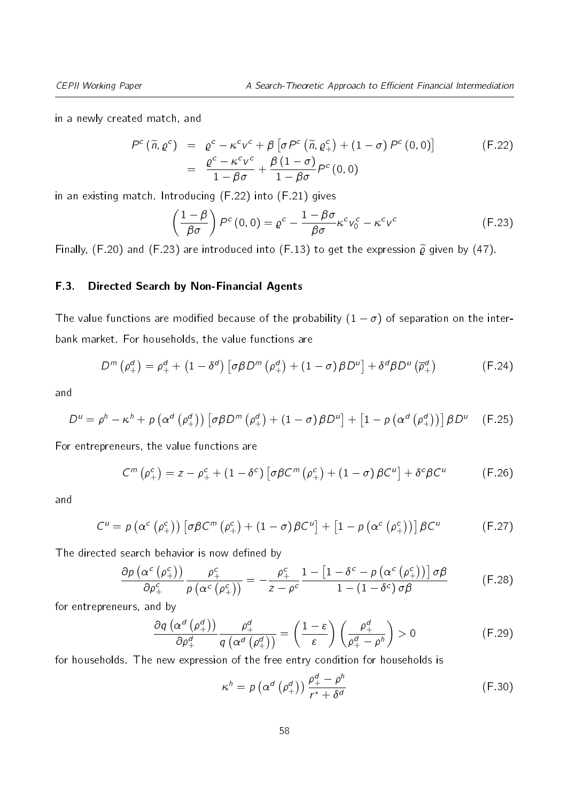in a newly created match, and

<span id="page-57-0"></span>
$$
P^{c}(\widetilde{n},\varrho^{c}) = \varrho^{c} - \kappa^{c}v^{c} + \beta \left[\sigma P^{c}(\widetilde{n},\varrho_{+}^{c}) + (1-\sigma) P^{c}(0,0)\right]
$$
  
= 
$$
\frac{\varrho^{c} - \kappa^{c}v^{c}}{1 - \beta\sigma} + \frac{\beta(1-\sigma)}{1 - \beta\sigma}P^{c}(0,0)
$$
 (F.22)

in an existing match. Introducing [\(F.22\)](#page-57-0) into [\(F.21\)](#page-56-3) gives

<span id="page-57-1"></span>
$$
\left(\frac{1-\beta}{\beta\sigma}\right)P^{c}\left(0,0\right)=\varrho^{c}-\frac{1-\beta\sigma}{\beta\sigma}\kappa^{c}v_{0}^{c}-\kappa^{c}v^{c}\tag{F.23}
$$

Finally, [\(F.20\)](#page-56-4) and [\(F.23\)](#page-57-1) are introduced into [\(F.13\)](#page-55-1) to get the expression  $\tilde{\varrho}$  given by [\(47\)](#page-27-3).

#### F.3. Directed Search by Non-Financial Agents

The value functions are modified because of the probability  $(1 - \sigma)$  of separation on the interbank market. For households, the value functions are

$$
D^{m}(\rho_{+}^{d}) = \rho_{+}^{d} + (1 - \delta^{d}) \left[ \sigma \beta D^{m}(\rho_{+}^{d}) + (1 - \sigma) \beta D^{u} \right] + \delta^{d} \beta D^{u}(\overline{\rho}_{+}^{d}) \tag{F.24}
$$

and

$$
D^{u} = \rho^{h} - \kappa^{h} + \rho \left( \alpha^{d} \left( \rho_{+}^{d} \right) \right) \left[ \sigma \beta D^{m} \left( \rho_{+}^{d} \right) + (1 - \sigma) \beta D^{u} \right] + \left[ 1 - \rho \left( \alpha^{d} \left( \rho_{+}^{d} \right) \right) \right] \beta D^{u} \quad \text{(F.25)}
$$

For entrepreneurs, the value functions are

$$
C^{m}(\rho_{+}^{c}) = z - \rho_{+}^{c} + (1 - \delta^{c}) \left[ \sigma \beta C^{m}(\rho_{+}^{c}) + (1 - \sigma) \beta C^{u} \right] + \delta^{c} \beta C^{u}
$$
 (F.26)

and

$$
C^{u} = p \left( \alpha^{c} \left( \rho_{+}^{c} \right) \right) \left[ \sigma \beta C^{m} \left( \rho_{+}^{c} \right) + \left( 1 - \sigma \right) \beta C^{u} \right] + \left[ 1 - p \left( \alpha^{c} \left( \rho_{+}^{c} \right) \right) \right] \beta C^{u}
$$
 (F.27)

The directed search behavior is now defined by

$$
\frac{\partial \rho \left( \alpha^{c} \left( \rho_{+}^{c} \right) \right)}{\partial \rho_{+}^{c}} \frac{\rho_{+}^{c}}{\rho \left( \alpha^{c} \left( \rho_{+}^{c} \right) \right)} = -\frac{\rho_{+}^{c}}{z - \rho^{c}} \frac{1 - \left[ 1 - \delta^{c} - \rho \left( \alpha^{c} \left( \rho_{+}^{c} \right) \right) \right] \sigma \beta}{1 - \left( 1 - \delta^{c} \right) \sigma \beta}
$$
(F.28)

for entrepreneurs, and by

$$
\frac{\partial q\left(\alpha^{d}\left(\rho_{+}^{d}\right)\right)}{\partial \rho_{+}^{d}}\frac{\rho_{+}^{d}}{q\left(\alpha^{d}\left(\rho_{+}^{d}\right)\right)}=\left(\frac{1-\varepsilon}{\varepsilon}\right)\left(\frac{\rho_{+}^{d}}{\rho_{+}^{d}-\rho_{-}^{h}}\right)>0
$$
\n(F.29)

for households. The new expression of the free entry condition for households is

<span id="page-57-2"></span>
$$
\kappa^{h} = p\left(\alpha^{d}\left(\rho_{+}^{d}\right)\right) \frac{\rho_{+}^{d} - \rho^{h}}{r^{*} + \delta^{d}}
$$
\n(F.30)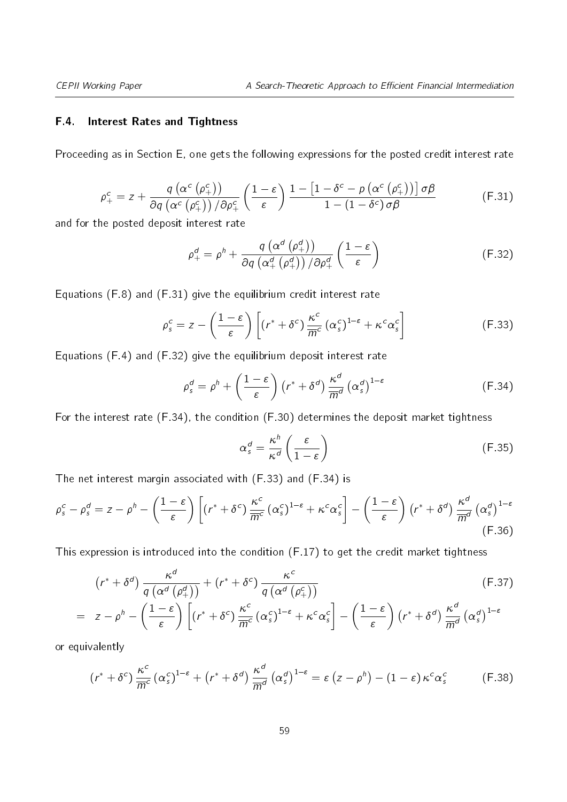#### F.4. Interest Rates and Tightness

<span id="page-58-0"></span>Proceeding as in Section [E,](#page-22-0) one gets the following expressions for the posted credit interest rate

$$
\rho_{+}^{c} = z + \frac{q\left(\alpha^{c}\left(\rho_{+}^{c}\right)\right)}{\partial q\left(\alpha^{c}\left(\rho_{+}^{c}\right)\right)/\partial \rho_{+}^{c}} \left(\frac{1-\varepsilon}{\varepsilon}\right) \frac{1-\left[1-\delta^{c}-p\left(\alpha^{c}\left(\rho_{+}^{c}\right)\right)\right] \sigma \beta}{1-\left(1-\delta^{c}\right) \sigma \beta} \tag{F.31}
$$

and for the posted deposit interest rate

<span id="page-58-3"></span><span id="page-58-1"></span>
$$
\rho_{+}^{d} = \rho^{h} + \frac{q\left(\alpha^{d}\left(\rho_{+}^{d}\right)\right)}{\partial q\left(\alpha_{+}^{d}\left(\rho_{+}^{d}\right)\right)/\partial \rho_{+}^{d}} \left(\frac{1-\varepsilon}{\varepsilon}\right)
$$
(F.32)

Equations [\(F.8\)](#page-55-3) and [\(F.31\)](#page-58-0) give the equilibrium credit interest rate

$$
\rho_s^c = z - \left(\frac{1-\varepsilon}{\varepsilon}\right) \left[ \left(r^* + \delta^c\right) \frac{\kappa^c}{\overline{m}^c} \left(\alpha_s^c\right)^{1-\varepsilon} + \kappa^c \alpha_s^c \right] \tag{F.33}
$$

Equations [\(F.4\)](#page-54-4) and [\(F.32\)](#page-58-1) give the equilibrium deposit interest rate

$$
\rho_s^d = \rho^h + \left(\frac{1-\varepsilon}{\varepsilon}\right) \left(r^* + \delta^d\right) \frac{\kappa^d}{m^d} \left(\alpha_s^d\right)^{1-\varepsilon} \tag{F.34}
$$

For the interest rate [\(F.34\)](#page-58-2), the condition [\(F.30\)](#page-57-2) determines the deposit market tightness

<span id="page-58-2"></span>
$$
\alpha_s^d = \frac{\kappa^h}{\kappa^d} \left( \frac{\varepsilon}{1 - \varepsilon} \right) \tag{F.35}
$$

The net interest margin associated with [\(F.33\)](#page-58-3) and [\(F.34\)](#page-58-2) is

$$
\rho_s^c - \rho_s^d = z - \rho^h - \left(\frac{1-\varepsilon}{\varepsilon}\right) \left[ \left(r^* + \delta^c\right) \frac{\kappa^c}{\overline{m}^c} \left(\alpha_s^c\right)^{1-\varepsilon} + \kappa^c \alpha_s^c \right] - \left(\frac{1-\varepsilon}{\varepsilon}\right) \left(r^* + \delta^d\right) \frac{\kappa^d}{\overline{m}^d} \left(\alpha_s^d\right)^{1-\varepsilon} \tag{F.36}
$$

This expression is introduced into the condition [\(F.17\)](#page-56-5) to get the credit market tightness

$$
\left(r^{*} + \delta^{d}\right) \frac{\kappa^{d}}{q\left(\alpha^{d}\left(\rho_{+}^{d}\right)\right)} + \left(r^{*} + \delta^{c}\right) \frac{\kappa^{c}}{q\left(\alpha^{d}\left(\rho_{+}^{c}\right)\right)}
$$
\n
$$
= z - \rho^{h} - \left(\frac{1 - \varepsilon}{\varepsilon}\right) \left[\left(r^{*} + \delta^{c}\right) \frac{\kappa^{c}}{\overline{m}^{c}} \left(\alpha_{s}^{c}\right)^{1 - \varepsilon} + \kappa^{c} \alpha_{s}^{c}\right] - \left(\frac{1 - \varepsilon}{\varepsilon}\right) \left(r^{*} + \delta^{d}\right) \frac{\kappa^{d}}{\overline{m}^{d}} \left(\alpha_{s}^{d}\right)^{1 - \varepsilon}
$$
\n(F.37)

or equivalently

$$
(r^* + \delta^c) \frac{\kappa^c}{\overline{m}^c} (\alpha_s^c)^{1-\epsilon} + (r^* + \delta^d) \frac{\kappa^d}{\overline{m}^d} (\alpha_s^d)^{1-\epsilon} = \epsilon (z - \rho^h) - (1 - \epsilon) \kappa^c \alpha_s^c
$$
 (F.38)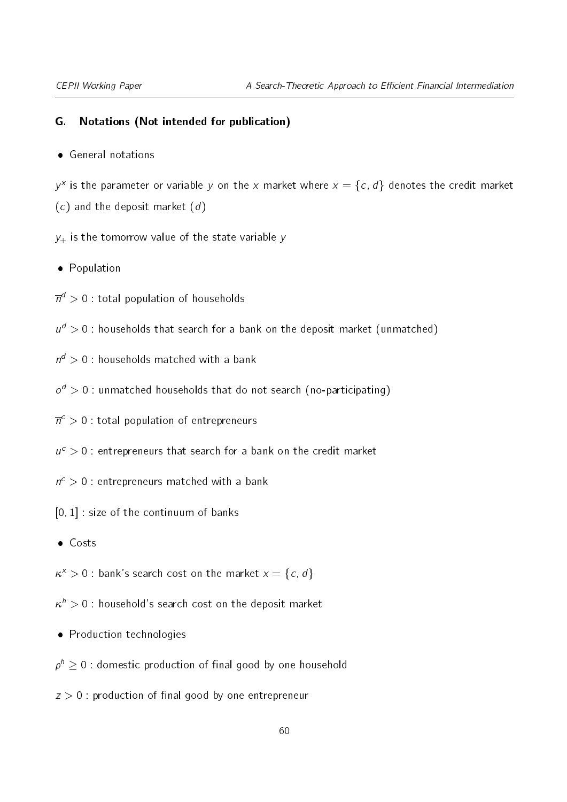#### G. Notations (Not intended for publication)

General notations

 $y^x$  is the parameter or variable y on the x market where  $x = \{c, d\}$  denotes the credit market  $(c)$  and the deposit market  $(d)$ 

 $y_+$  is the tomorrow value of the state variable y

• Population

 $\overline{n}^d>0$  : total population of households

- $u^d > 0$  : households that search for a bank on the deposit market (unmatched)
- $n^d > 0$ : households matched with a bank
- $o^d > 0$  : unmatched households that do not search (no-participating)
- $\overline{n}^c>0$  : total population of entrepreneurs
- $u^c > 0$ : entrepreneurs that search for a bank on the credit market
- $n^{c} > 0$  : entrepreneurs matched with a bank
- [0; 1] : size of the continuum of banks
- Costs

 $\kappa^x > 0$  : bank's search cost on the market  $x = \{c, d\}$ 

- $\kappa^{\textit{h}} > 0$  : household's search cost on the deposit market
- Production technologies

 $\rho^h \geq 0$  : domestic production of final good by one household

 $z > 0$ : production of final good by one entrepreneur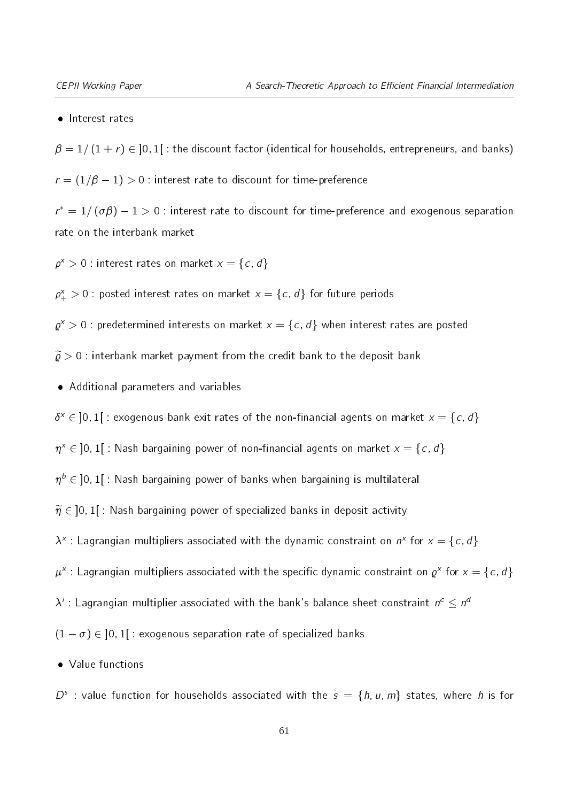#### • Interest rates

 $\beta = 1/(1 + r) \in ]0,1]$ : the discount factor (identical for households, entrepreneurs, and banks)  $r = (1/\beta - 1) > 0$ : interest rate to discount for time-preference

 $r^* = 1/\left(\sigma \beta\right) - 1 > 0$  : interest rate to discount for time-preference and exogenous separation rate on the interbank market

 $\rho^x > 0$  : interest rates on market  $x = \{c, d\}$ 

 $\rho_+^{\chi}>0$  : posted interest rates on market  ${\sf x}=\{\hskip1pt c,\hskip1pt d\}$  for future periods

 $\varrho^\star > 0$  : predetermined interests on market  $x = \{c, d\}$  when interest rates are posted

 $\widetilde{\varrho} > 0$  : interbank market payment from the credit bank to the deposit bank

Additional parameters and variables

 $\delta^x \in \ ]0,1[$  : exogenous bank exit rates of the non-financial agents on market  $x = \{c, d\}$ 

 $\eta^x \in \ ]0,1[$  : Nash bargaining power of non-financial agents on market  $x = \{c, d\}$ 

 $\eta^{\,b} \in \, ]0,1[$  : Nash bargaining power of banks when bargaining is multilateral

 $\widetilde{\eta} \in$  [0, 1] : Nash bargaining power of specialized banks in deposit activity

 $\lambda^x$ : Lagrangian multipliers associated with the dynamic constraint on  $n^x$  for  $x = \{c, d\}$ 

 $\mu^\chi$  : Lagrangian multipliers associated with the specific dynamic constraint on  $\varrho^\chi$  for  $x=\{c,d\}$ 

 $\lambda^i$  : Lagrangian multiplier associated with the bank's balance sheet constraint  $n^c \leq n^a$ 

 $(1 - \sigma) \in ]0, 1]$  : exogenous separation rate of specialized banks

• Value functions

 $D^s$ : value function for households associated with the  $s = \{h, u, m\}$  states, where h is for